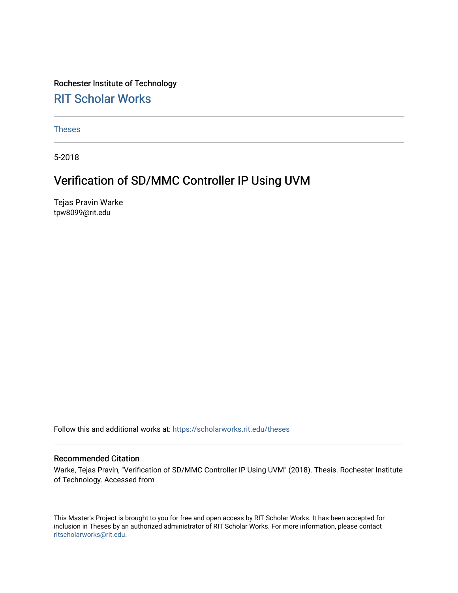### Rochester Institute of Technology [RIT Scholar Works](https://scholarworks.rit.edu/)

[Theses](https://scholarworks.rit.edu/theses) 

5-2018

### Verification of SD/MMC Controller IP Using UVM

Tejas Pravin Warke tpw8099@rit.edu

Follow this and additional works at: [https://scholarworks.rit.edu/theses](https://scholarworks.rit.edu/theses?utm_source=scholarworks.rit.edu%2Ftheses%2F9790&utm_medium=PDF&utm_campaign=PDFCoverPages) 

#### Recommended Citation

Warke, Tejas Pravin, "Verification of SD/MMC Controller IP Using UVM" (2018). Thesis. Rochester Institute of Technology. Accessed from

This Master's Project is brought to you for free and open access by RIT Scholar Works. It has been accepted for inclusion in Theses by an authorized administrator of RIT Scholar Works. For more information, please contact [ritscholarworks@rit.edu](mailto:ritscholarworks@rit.edu).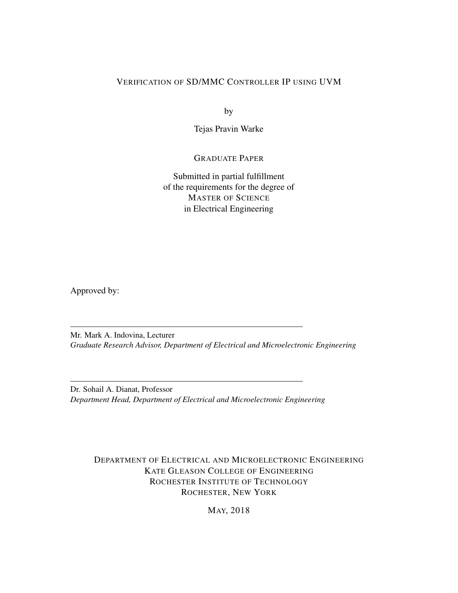#### VERIFICATION OF SD/MMC CONTROLLER IP USING UVM

by

Tejas Pravin Warke

#### GRADUATE PAPER

Submitted in partial fulfillment of the requirements for the degree of MASTER OF SCIENCE in Electrical Engineering

Approved by:

Mr. Mark A. Indovina, Lecturer *Graduate Research Advisor, Department of Electrical and Microelectronic Engineering*

Dr. Sohail A. Dianat, Professor *Department Head, Department of Electrical and Microelectronic Engineering*

DEPARTMENT OF ELECTRICAL AND MICROELECTRONIC ENGINEERING KATE GLEASON COLLEGE OF ENGINEERING ROCHESTER INSTITUTE OF TECHNOLOGY ROCHESTER, NEW YORK

MAY, 2018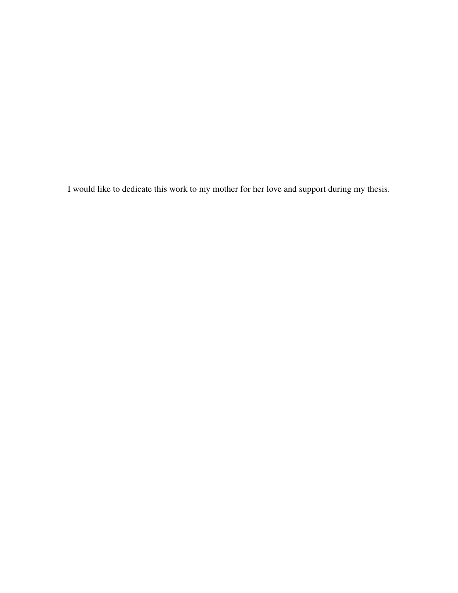I would like to dedicate this work to my mother for her love and support during my thesis.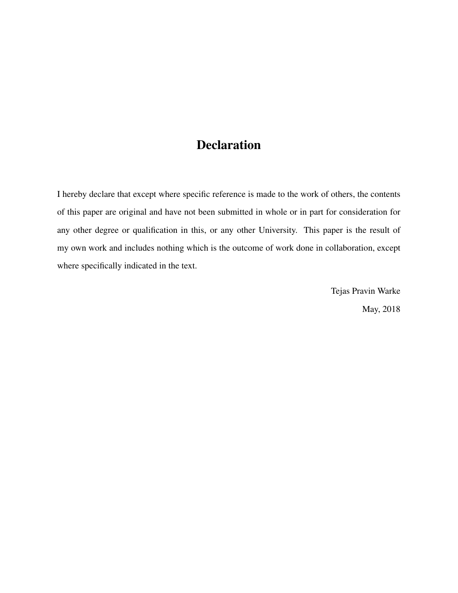### Declaration

I hereby declare that except where specific reference is made to the work of others, the contents of this paper are original and have not been submitted in whole or in part for consideration for any other degree or qualification in this, or any other University. This paper is the result of my own work and includes nothing which is the outcome of work done in collaboration, except where specifically indicated in the text.

> Tejas Pravin Warke May, 2018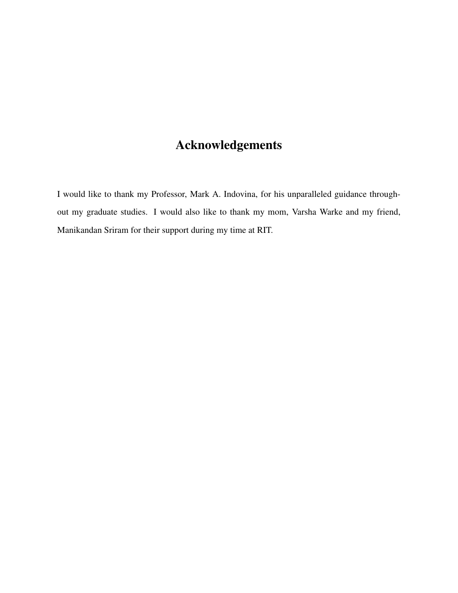## Acknowledgements

I would like to thank my Professor, Mark A. Indovina, for his unparalleled guidance throughout my graduate studies. I would also like to thank my mom, Varsha Warke and my friend, Manikandan Sriram for their support during my time at RIT.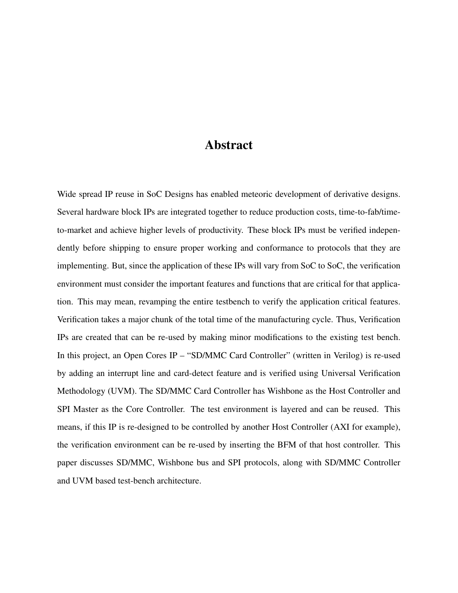### Abstract

Wide spread IP reuse in SoC Designs has enabled meteoric development of derivative designs. Several hardware block IPs are integrated together to reduce production costs, time-to-fab/timeto-market and achieve higher levels of productivity. These block IPs must be verified independently before shipping to ensure proper working and conformance to protocols that they are implementing. But, since the application of these IPs will vary from SoC to SoC, the verification environment must consider the important features and functions that are critical for that application. This may mean, revamping the entire testbench to verify the application critical features. Verification takes a major chunk of the total time of the manufacturing cycle. Thus, Verification IPs are created that can be re-used by making minor modifications to the existing test bench. In this project, an Open Cores IP – "SD/MMC Card Controller" (written in Verilog) is re-used by adding an interrupt line and card-detect feature and is verified using Universal Verification Methodology (UVM). The SD/MMC Card Controller has Wishbone as the Host Controller and SPI Master as the Core Controller. The test environment is layered and can be reused. This means, if this IP is re-designed to be controlled by another Host Controller (AXI for example), the verification environment can be re-used by inserting the BFM of that host controller. This paper discusses SD/MMC, Wishbone bus and SPI protocols, along with SD/MMC Controller and UVM based test-bench architecture.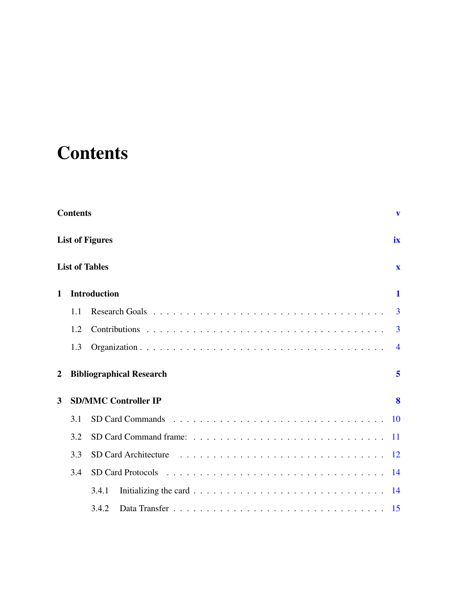# <span id="page-6-0"></span>**Contents**

|              | <b>Contents</b>              |                                 | V                        |  |  |  |  |  |  |  |  |
|--------------|------------------------------|---------------------------------|--------------------------|--|--|--|--|--|--|--|--|
|              | <b>List of Figures</b><br>ix |                                 |                          |  |  |  |  |  |  |  |  |
|              | <b>List of Tables</b>        |                                 | $\mathbf{x}$             |  |  |  |  |  |  |  |  |
| $\mathbf{1}$ |                              | <b>Introduction</b>             | $\mathbf{1}$             |  |  |  |  |  |  |  |  |
|              | 1.1                          |                                 | 3                        |  |  |  |  |  |  |  |  |
|              | 1.2                          |                                 | 3                        |  |  |  |  |  |  |  |  |
|              | 1.3                          |                                 | $\overline{\mathcal{A}}$ |  |  |  |  |  |  |  |  |
| 2            |                              | <b>Bibliographical Research</b> | 5                        |  |  |  |  |  |  |  |  |
| 3            |                              | <b>SD/MMC Controller IP</b>     | 8                        |  |  |  |  |  |  |  |  |
|              | 3.1                          |                                 | 10                       |  |  |  |  |  |  |  |  |
|              | 3.2                          |                                 | 11                       |  |  |  |  |  |  |  |  |
|              | 3.3                          |                                 |                          |  |  |  |  |  |  |  |  |
|              | 3.4                          |                                 | 14                       |  |  |  |  |  |  |  |  |
|              |                              | 3.4.1                           | 14                       |  |  |  |  |  |  |  |  |
|              |                              | 3.4.2                           |                          |  |  |  |  |  |  |  |  |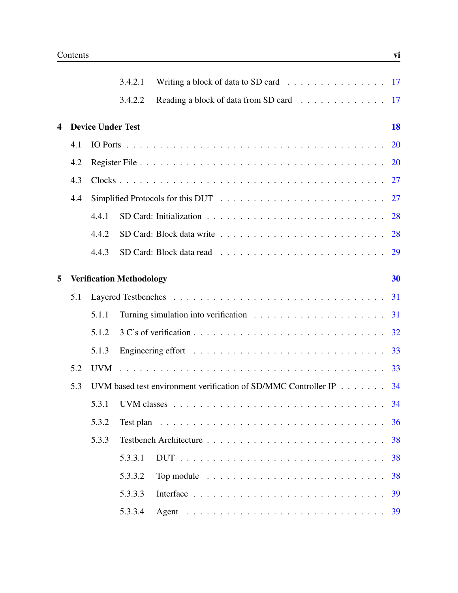|   |     |                          | 3.4.2.1                         | Writing a block of data to SD card $\ldots \ldots \ldots \ldots \ldots \ldots 17$               |           |
|---|-----|--------------------------|---------------------------------|-------------------------------------------------------------------------------------------------|-----------|
|   |     |                          | 3.4.2.2                         | Reading a block of data from SD card                                                            | -17       |
| 4 |     | <b>Device Under Test</b> |                                 |                                                                                                 | 18        |
|   | 4.1 |                          |                                 |                                                                                                 | 20        |
|   | 4.2 |                          |                                 |                                                                                                 | <b>20</b> |
|   | 4.3 |                          |                                 |                                                                                                 | 27        |
|   | 4.4 |                          |                                 |                                                                                                 | 27        |
|   |     | 4.4.1                    |                                 |                                                                                                 | 28        |
|   |     | 4.4.2                    |                                 |                                                                                                 | 28        |
|   |     | 4.4.3                    |                                 |                                                                                                 | 29        |
| 5 |     |                          | <b>Verification Methodology</b> |                                                                                                 | 30        |
|   | 5.1 |                          |                                 |                                                                                                 | 31        |
|   |     | 5.1.1                    |                                 |                                                                                                 | 31        |
|   |     | 5.1.2                    |                                 |                                                                                                 | 32        |
|   |     | 5.1.3                    |                                 |                                                                                                 | 33        |
|   | 5.2 | <b>UVM</b>               |                                 |                                                                                                 | 33        |
|   | 5.3 |                          |                                 | UVM based test environment verification of SD/MMC Controller IP                                 | 34        |
|   |     |                          | 5.3.1 UVM classes               |                                                                                                 | 34        |
|   |     | 5.3.2                    |                                 | Test plan $\ldots \ldots \ldots \ldots \ldots \ldots \ldots \ldots \ldots \ldots \ldots \ldots$ |           |
|   |     | 5.3.3                    |                                 |                                                                                                 | 38        |
|   |     |                          | 5.3.3.1                         |                                                                                                 | 38        |
|   |     |                          | 5.3.3.2                         | Top module $\ldots \ldots \ldots \ldots \ldots \ldots \ldots \ldots \ldots$                     | 38        |
|   |     |                          | 5.3.3.3                         |                                                                                                 | 39        |
|   |     |                          | 5.3.3.4                         |                                                                                                 | 39        |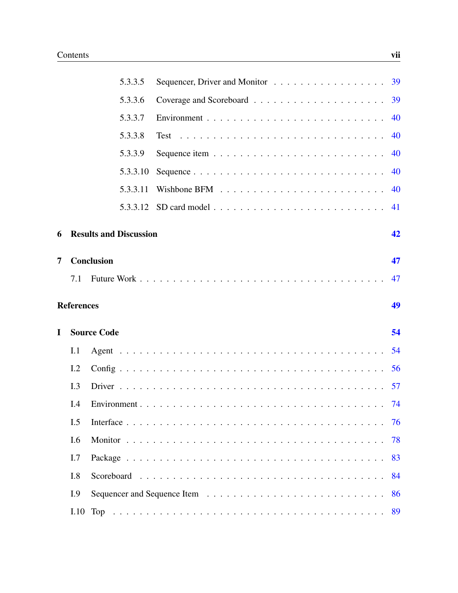|                |                   | 5.3.3.5                       | Sequencer, Driver and Monitor 39 |    |
|----------------|-------------------|-------------------------------|----------------------------------|----|
|                |                   | 5.3.3.6                       |                                  |    |
|                |                   | 5.3.3.7                       |                                  | 40 |
|                |                   | 5.3.3.8                       |                                  | 40 |
|                |                   | 5.3.3.9                       |                                  | 40 |
|                |                   | 5.3.3.10                      |                                  | 40 |
|                |                   | 5.3.3.11                      |                                  | 40 |
|                |                   | 5.3.3.12                      |                                  | 41 |
| 6              |                   | <b>Results and Discussion</b> |                                  | 42 |
| $\overline{7}$ |                   | <b>Conclusion</b>             |                                  | 47 |
|                | 7.1               |                               |                                  | 47 |
|                | <b>References</b> |                               |                                  | 49 |
| I              |                   | <b>Source Code</b>            |                                  | 54 |
|                | I.1               |                               |                                  | 54 |
|                | I.2               |                               |                                  |    |
|                | I.3               |                               |                                  |    |
|                | I.4               |                               |                                  |    |
|                | I.5               |                               |                                  |    |
|                | I.6               |                               |                                  | 78 |
|                | I.7               |                               |                                  | 83 |
|                | I.8               |                               |                                  | 84 |
|                |                   |                               |                                  |    |
|                | I.9               |                               |                                  | 86 |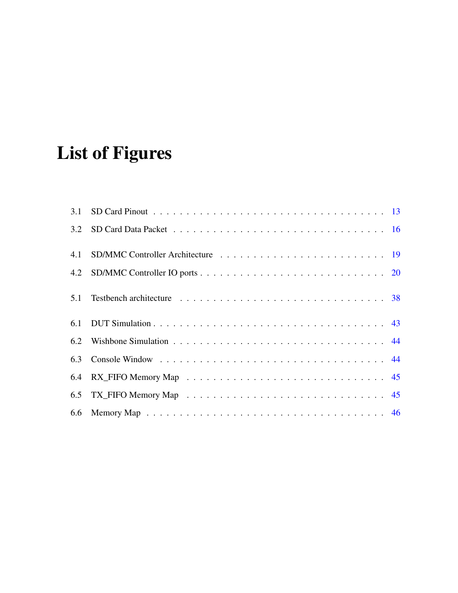# <span id="page-10-0"></span>List of Figures

| 4.1 |                                                                                                                 |  |
|-----|-----------------------------------------------------------------------------------------------------------------|--|
|     |                                                                                                                 |  |
| 5.1 |                                                                                                                 |  |
| 6.1 |                                                                                                                 |  |
|     |                                                                                                                 |  |
| 6.3 |                                                                                                                 |  |
| 6.4 |                                                                                                                 |  |
| 6.5 | TX_FIFO Memory Map $\ldots \ldots \ldots \ldots \ldots \ldots \ldots \ldots \ldots \ldots \ldots \ldots \ldots$ |  |
|     |                                                                                                                 |  |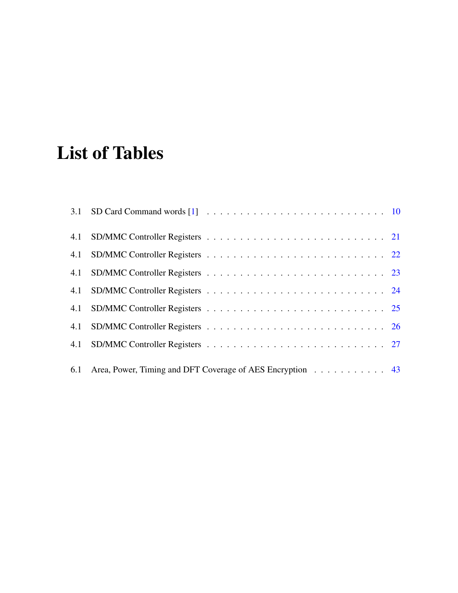# <span id="page-11-0"></span>List of Tables

| 6.1 Area, Power, Timing and DFT Coverage of AES Encryption 43 |  |  |  |  |  |  |  |  |  |  |  |  |
|---------------------------------------------------------------|--|--|--|--|--|--|--|--|--|--|--|--|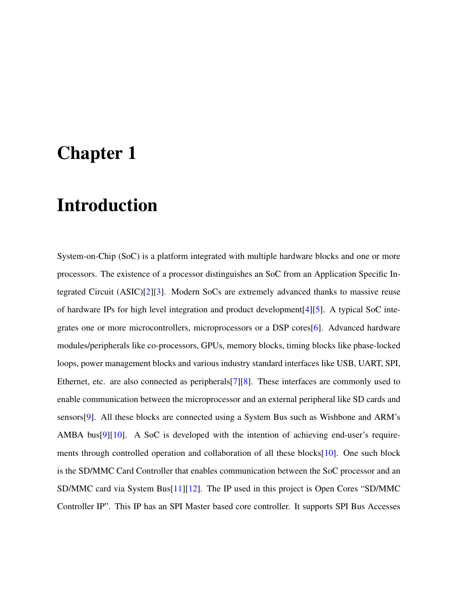## <span id="page-12-0"></span>Chapter 1

## Introduction

System-on-Chip (SoC) is a platform integrated with multiple hardware blocks and one or more processors. The existence of a processor distinguishes an SoC from an Application Specific Integrated Circuit (ASIC)[\[2\]](#page-60-2)[\[3\]](#page-60-3). Modern SoCs are extremely advanced thanks to massive reuse of hardware IPs for high level integration and product development[\[4\]](#page-60-4)[\[5\]](#page-60-5). A typical SoC integrates one or more microcontrollers, microprocessors or a DSP cores[\[6\]](#page-60-6). Advanced hardware modules/peripherals like co-processors, GPUs, memory blocks, timing blocks like phase-locked loops, power management blocks and various industry standard interfaces like USB, UART, SPI, Ethernet, etc. are also connected as peripherals[\[7\]](#page-61-0)[\[8\]](#page-61-1). These interfaces are commonly used to enable communication between the microprocessor and an external peripheral like SD cards and sensors[\[9\]](#page-61-2). All these blocks are connected using a System Bus such as Wishbone and ARM's AMBA bus[\[9\]](#page-61-2)[\[10\]](#page-61-3). A SoC is developed with the intention of achieving end-user's requirements through controlled operation and collaboration of all these blocks[\[10\]](#page-61-3). One such block is the SD/MMC Card Controller that enables communication between the SoC processor and an SD/MMC card via System Bus[\[11\]](#page-61-4)[\[12\]](#page-61-5). The IP used in this project is Open Cores "SD/MMC Controller IP". This IP has an SPI Master based core controller. It supports SPI Bus Accesses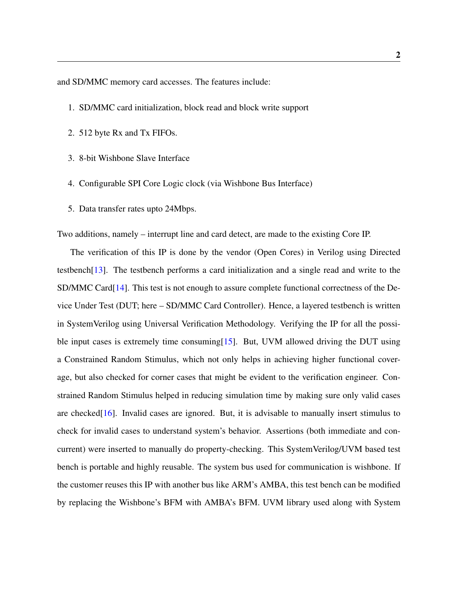and SD/MMC memory card accesses. The features include:

- 1. SD/MMC card initialization, block read and block write support
- 2. 512 byte Rx and Tx FIFOs.
- 3. 8-bit Wishbone Slave Interface
- 4. Configurable SPI Core Logic clock (via Wishbone Bus Interface)
- 5. Data transfer rates upto 24Mbps.

Two additions, namely – interrupt line and card detect, are made to the existing Core IP.

The verification of this IP is done by the vendor (Open Cores) in Verilog using Directed testbench[\[13\]](#page-61-6). The testbench performs a card initialization and a single read and write to the SD/MMC Card[\[14\]](#page-62-0). This test is not enough to assure complete functional correctness of the Device Under Test (DUT; here – SD/MMC Card Controller). Hence, a layered testbench is written in SystemVerilog using Universal Verification Methodology. Verifying the IP for all the possible input cases is extremely time consuming $[15]$ . But, UVM allowed driving the DUT using a Constrained Random Stimulus, which not only helps in achieving higher functional coverage, but also checked for corner cases that might be evident to the verification engineer. Constrained Random Stimulus helped in reducing simulation time by making sure only valid cases are checked[\[16\]](#page-62-2). Invalid cases are ignored. But, it is advisable to manually insert stimulus to check for invalid cases to understand system's behavior. Assertions (both immediate and concurrent) were inserted to manually do property-checking. This SystemVerilog/UVM based test bench is portable and highly reusable. The system bus used for communication is wishbone. If the customer reuses this IP with another bus like ARM's AMBA, this test bench can be modified by replacing the Wishbone's BFM with AMBA's BFM. UVM library used along with System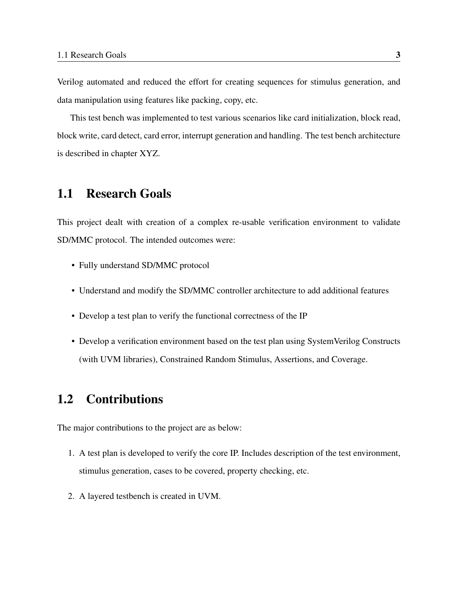Verilog automated and reduced the effort for creating sequences for stimulus generation, and data manipulation using features like packing, copy, etc.

This test bench was implemented to test various scenarios like card initialization, block read, block write, card detect, card error, interrupt generation and handling. The test bench architecture is described in chapter XYZ.

### <span id="page-14-0"></span>1.1 Research Goals

This project dealt with creation of a complex re-usable verification environment to validate SD/MMC protocol. The intended outcomes were:

- Fully understand SD/MMC protocol
- Understand and modify the SD/MMC controller architecture to add additional features
- Develop a test plan to verify the functional correctness of the IP
- Develop a verification environment based on the test plan using SystemVerilog Constructs (with UVM libraries), Constrained Random Stimulus, Assertions, and Coverage.

### <span id="page-14-1"></span>1.2 Contributions

The major contributions to the project are as below:

- 1. A test plan is developed to verify the core IP. Includes description of the test environment, stimulus generation, cases to be covered, property checking, etc.
- 2. A layered testbench is created in UVM.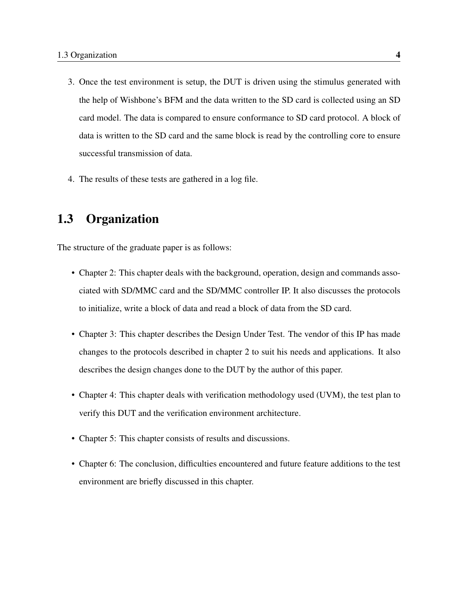- 3. Once the test environment is setup, the DUT is driven using the stimulus generated with the help of Wishbone's BFM and the data written to the SD card is collected using an SD card model. The data is compared to ensure conformance to SD card protocol. A block of data is written to the SD card and the same block is read by the controlling core to ensure successful transmission of data.
- 4. The results of these tests are gathered in a log file.

### <span id="page-15-0"></span>1.3 Organization

The structure of the graduate paper is as follows:

- Chapter 2: This chapter deals with the background, operation, design and commands associated with SD/MMC card and the SD/MMC controller IP. It also discusses the protocols to initialize, write a block of data and read a block of data from the SD card.
- Chapter 3: This chapter describes the Design Under Test. The vendor of this IP has made changes to the protocols described in chapter 2 to suit his needs and applications. It also describes the design changes done to the DUT by the author of this paper.
- Chapter 4: This chapter deals with verification methodology used (UVM), the test plan to verify this DUT and the verification environment architecture.
- Chapter 5: This chapter consists of results and discussions.
- Chapter 6: The conclusion, difficulties encountered and future feature additions to the test environment are briefly discussed in this chapter.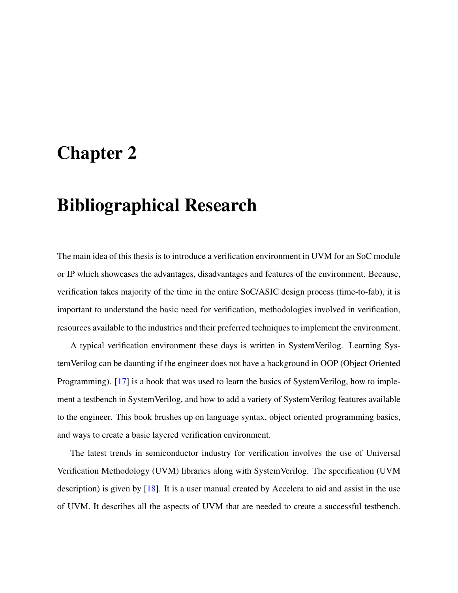## <span id="page-16-0"></span>Chapter 2

## Bibliographical Research

The main idea of this thesis is to introduce a verification environment in UVM for an SoC module or IP which showcases the advantages, disadvantages and features of the environment. Because, verification takes majority of the time in the entire SoC/ASIC design process (time-to-fab), it is important to understand the basic need for verification, methodologies involved in verification, resources available to the industries and their preferred techniques to implement the environment.

A typical verification environment these days is written in SystemVerilog. Learning SystemVerilog can be daunting if the engineer does not have a background in OOP (Object Oriented Programming). [\[17\]](#page-62-3) is a book that was used to learn the basics of SystemVerilog, how to implement a testbench in SystemVerilog, and how to add a variety of SystemVerilog features available to the engineer. This book brushes up on language syntax, object oriented programming basics, and ways to create a basic layered verification environment.

The latest trends in semiconductor industry for verification involves the use of Universal Verification Methodology (UVM) libraries along with SystemVerilog. The specification (UVM description) is given by [\[18\]](#page-62-4). It is a user manual created by Accelera to aid and assist in the use of UVM. It describes all the aspects of UVM that are needed to create a successful testbench.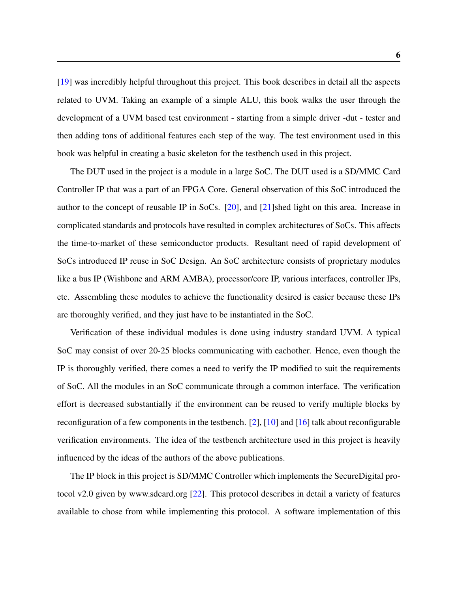[\[19\]](#page-62-5) was incredibly helpful throughout this project. This book describes in detail all the aspects related to UVM. Taking an example of a simple ALU, this book walks the user through the development of a UVM based test environment - starting from a simple driver -dut - tester and then adding tons of additional features each step of the way. The test environment used in this book was helpful in creating a basic skeleton for the testbench used in this project.

The DUT used in the project is a module in a large SoC. The DUT used is a SD/MMC Card Controller IP that was a part of an FPGA Core. General observation of this SoC introduced the author to the concept of reusable IP in SoCs. [\[20\]](#page-62-6), and [\[21\]](#page-62-7)shed light on this area. Increase in complicated standards and protocols have resulted in complex architectures of SoCs. This affects the time-to-market of these semiconductor products. Resultant need of rapid development of SoCs introduced IP reuse in SoC Design. An SoC architecture consists of proprietary modules like a bus IP (Wishbone and ARM AMBA), processor/core IP, various interfaces, controller IPs, etc. Assembling these modules to achieve the functionality desired is easier because these IPs are thoroughly verified, and they just have to be instantiated in the SoC.

Verification of these individual modules is done using industry standard UVM. A typical SoC may consist of over 20-25 blocks communicating with eachother. Hence, even though the IP is thoroughly verified, there comes a need to verify the IP modified to suit the requirements of SoC. All the modules in an SoC communicate through a common interface. The verification effort is decreased substantially if the environment can be reused to verify multiple blocks by reconfiguration of a few components in the testbench. [\[2\]](#page-60-2), [\[10\]](#page-61-3) and [\[16\]](#page-62-2) talk about reconfigurable verification environments. The idea of the testbench architecture used in this project is heavily influenced by the ideas of the authors of the above publications.

The IP block in this project is SD/MMC Controller which implements the SecureDigital protocol v2.0 given by www.sdcard.org [\[22\]](#page-62-8). This protocol describes in detail a variety of features available to chose from while implementing this protocol. A software implementation of this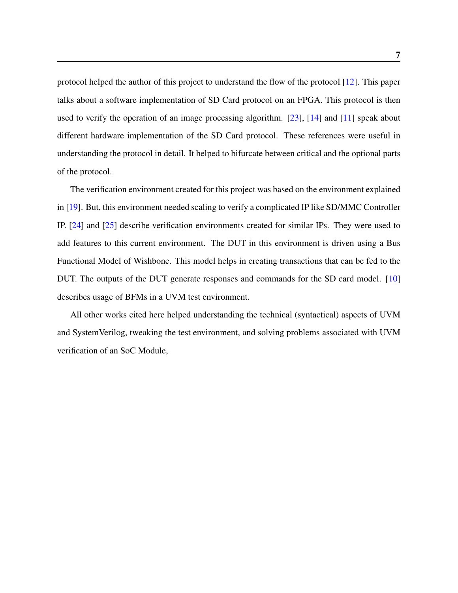protocol helped the author of this project to understand the flow of the protocol [\[12\]](#page-61-5). This paper talks about a software implementation of SD Card protocol on an FPGA. This protocol is then used to verify the operation of an image processing algorithm. [\[23\]](#page-62-9), [\[14\]](#page-62-0) and [\[11\]](#page-61-4) speak about different hardware implementation of the SD Card protocol. These references were useful in understanding the protocol in detail. It helped to bifurcate between critical and the optional parts of the protocol.

The verification environment created for this project was based on the environment explained in [\[19\]](#page-62-5). But, this environment needed scaling to verify a complicated IP like SD/MMC Controller IP. [\[24\]](#page-63-0) and [\[25\]](#page-63-1) describe verification environments created for similar IPs. They were used to add features to this current environment. The DUT in this environment is driven using a Bus Functional Model of Wishbone. This model helps in creating transactions that can be fed to the DUT. The outputs of the DUT generate responses and commands for the SD card model. [\[10\]](#page-61-3) describes usage of BFMs in a UVM test environment.

All other works cited here helped understanding the technical (syntactical) aspects of UVM and SystemVerilog, tweaking the test environment, and solving problems associated with UVM verification of an SoC Module,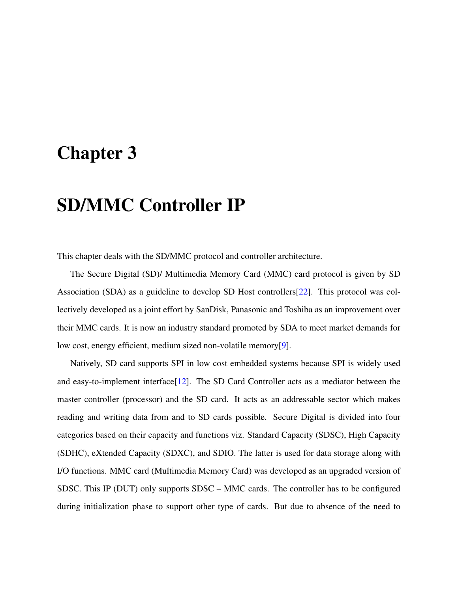## <span id="page-19-0"></span>Chapter 3

## SD/MMC Controller IP

This chapter deals with the SD/MMC protocol and controller architecture.

The Secure Digital (SD)/ Multimedia Memory Card (MMC) card protocol is given by SD Association (SDA) as a guideline to develop SD Host controllers[\[22\]](#page-62-8). This protocol was collectively developed as a joint effort by SanDisk, Panasonic and Toshiba as an improvement over their MMC cards. It is now an industry standard promoted by SDA to meet market demands for low cost, energy efficient, medium sized non-volatile memory[\[9\]](#page-61-2).

Natively, SD card supports SPI in low cost embedded systems because SPI is widely used and easy-to-implement interface[\[12\]](#page-61-5). The SD Card Controller acts as a mediator between the master controller (processor) and the SD card. It acts as an addressable sector which makes reading and writing data from and to SD cards possible. Secure Digital is divided into four categories based on their capacity and functions viz. Standard Capacity (SDSC), High Capacity (SDHC), eXtended Capacity (SDXC), and SDIO. The latter is used for data storage along with I/O functions. MMC card (Multimedia Memory Card) was developed as an upgraded version of SDSC. This IP (DUT) only supports SDSC – MMC cards. The controller has to be configured during initialization phase to support other type of cards. But due to absence of the need to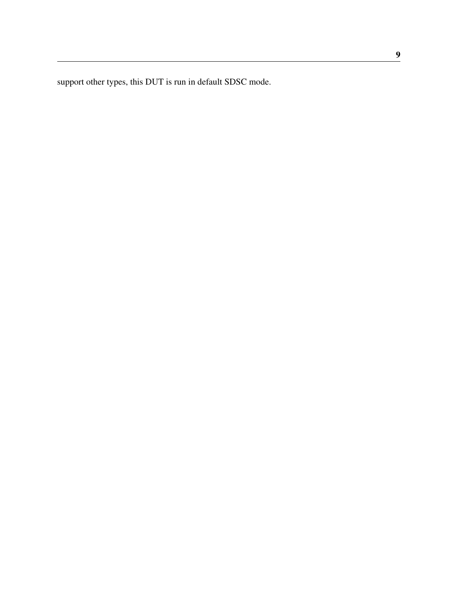support other types, this DUT is run in default SDSC mode.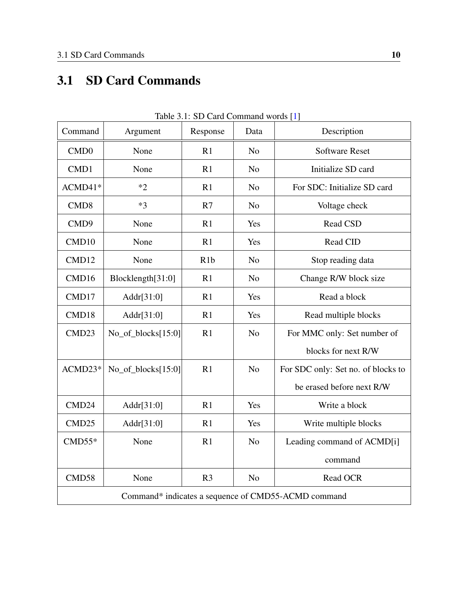## <span id="page-21-0"></span>3.1 SD Card Commands

<span id="page-21-1"></span>

| Command                                                       | Argument                                            | Response | Data           | Description                        |  |  |  |  |  |  |  |
|---------------------------------------------------------------|-----------------------------------------------------|----------|----------------|------------------------------------|--|--|--|--|--|--|--|
| CMD <sub>0</sub>                                              | None                                                | R1       | N <sub>o</sub> | <b>Software Reset</b>              |  |  |  |  |  |  |  |
| CMD1                                                          | None                                                | R1       | N <sub>o</sub> | Initialize SD card                 |  |  |  |  |  |  |  |
| ACMD41*                                                       | $*2$                                                | R1       | N <sub>o</sub> | For SDC: Initialize SD card        |  |  |  |  |  |  |  |
| CMD <sub>8</sub>                                              | $*3$                                                | R7       | N <sub>o</sub> | Voltage check                      |  |  |  |  |  |  |  |
| CMD9                                                          | None                                                | R1       | Yes            | Read CSD                           |  |  |  |  |  |  |  |
| CMD10                                                         | None                                                | R1       | Yes            | Read CID                           |  |  |  |  |  |  |  |
| CMD12                                                         | None                                                | R1b      | N <sub>o</sub> | Stop reading data                  |  |  |  |  |  |  |  |
| CMD16                                                         | Blocklength[31:0]                                   | R1       | N <sub>o</sub> | Change R/W block size              |  |  |  |  |  |  |  |
| CMD17                                                         | Addr $[31:0]$                                       | R1       | Yes            | Read a block                       |  |  |  |  |  |  |  |
| CMD18                                                         | Addr $[31:0]$                                       | R1       | Yes            | Read multiple blocks               |  |  |  |  |  |  |  |
| CMD <sub>23</sub>                                             | No_of_blocks[15:0]                                  | R1       | N <sub>o</sub> | For MMC only: Set number of        |  |  |  |  |  |  |  |
|                                                               |                                                     |          |                | blocks for next R/W                |  |  |  |  |  |  |  |
| ACMD23*                                                       | $No_of_blocks[15:0]$                                | R1       | N <sub>o</sub> | For SDC only: Set no. of blocks to |  |  |  |  |  |  |  |
|                                                               |                                                     |          |                | be erased before next R/W          |  |  |  |  |  |  |  |
| CMD24                                                         | Addr $[31:0]$                                       | R1       | Yes            | Write a block                      |  |  |  |  |  |  |  |
| CMD <sub>25</sub>                                             | Addr $[31:0]$                                       | R1       | Yes            | Write multiple blocks              |  |  |  |  |  |  |  |
| $CMD55*$                                                      | None                                                | R1       | N <sub>o</sub> | Leading command of ACMD[i]         |  |  |  |  |  |  |  |
|                                                               |                                                     |          |                | command                            |  |  |  |  |  |  |  |
| CMD58<br>R <sub>3</sub><br>N <sub>o</sub><br>Read OCR<br>None |                                                     |          |                |                                    |  |  |  |  |  |  |  |
|                                                               | Command* indicates a sequence of CMD55-ACMD command |          |                |                                    |  |  |  |  |  |  |  |

Table 3.1: SD Card Command words [\[1\]](#page-60-1)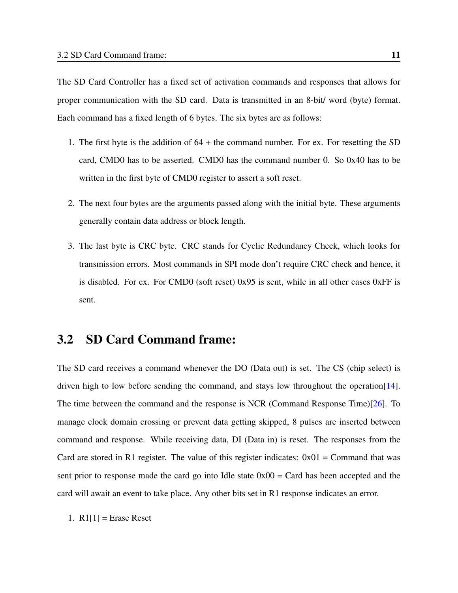The SD Card Controller has a fixed set of activation commands and responses that allows for proper communication with the SD card. Data is transmitted in an 8-bit/ word (byte) format. Each command has a fixed length of 6 bytes. The six bytes are as follows:

- 1. The first byte is the addition of 64 + the command number. For ex. For resetting the SD card, CMD0 has to be asserted. CMD0 has the command number 0. So 0x40 has to be written in the first byte of CMD0 register to assert a soft reset.
- 2. The next four bytes are the arguments passed along with the initial byte. These arguments generally contain data address or block length.
- 3. The last byte is CRC byte. CRC stands for Cyclic Redundancy Check, which looks for transmission errors. Most commands in SPI mode don't require CRC check and hence, it is disabled. For ex. For CMD0 (soft reset)  $0x95$  is sent, while in all other cases  $0xFF$  is sent.

### <span id="page-22-0"></span>3.2 SD Card Command frame:

The SD card receives a command whenever the DO (Data out) is set. The CS (chip select) is driven high to low before sending the command, and stays low throughout the operation[\[14\]](#page-62-0). The time between the command and the response is NCR (Command Response Time)[\[26\]](#page-63-2). To manage clock domain crossing or prevent data getting skipped, 8 pulses are inserted between command and response. While receiving data, DI (Data in) is reset. The responses from the Card are stored in R1 register. The value of this register indicates:  $0x01 =$ Command that was sent prior to response made the card go into Idle state  $0x00 =$  Card has been accepted and the card will await an event to take place. Any other bits set in R1 response indicates an error.

1.  $R1[1]$  = Erase Reset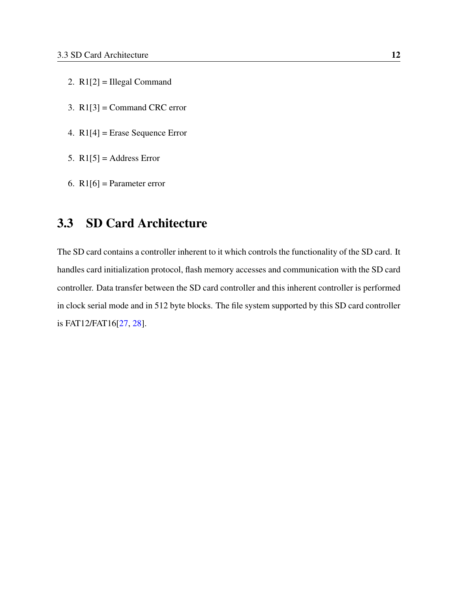- 2.  $R1[2] =$  Illegal Command
- 3. R1[3] = Command CRC error
- 4. R1[4] = Erase Sequence Error
- 5.  $R1[5] =$  Address Error
- 6.  $R1[6]$  = Parameter error

### <span id="page-23-0"></span>3.3 SD Card Architecture

The SD card contains a controller inherent to it which controls the functionality of the SD card. It handles card initialization protocol, flash memory accesses and communication with the SD card controller. Data transfer between the SD card controller and this inherent controller is performed in clock serial mode and in 512 byte blocks. The file system supported by this SD card controller is FAT12/FAT16[\[27,](#page-63-3) [28\]](#page-63-4).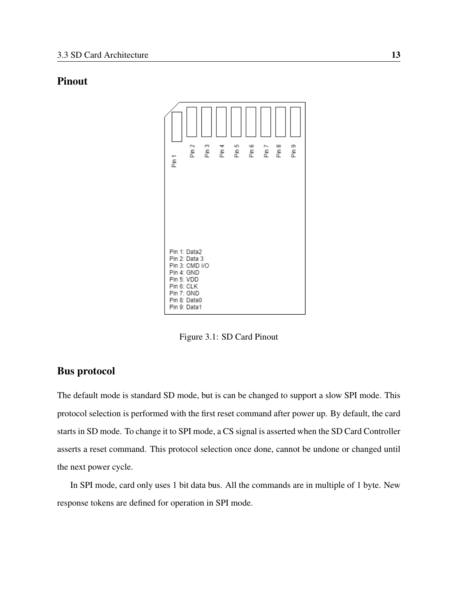#### Pinout



<span id="page-24-0"></span>Figure 3.1: SD Card Pinout

### Bus protocol

The default mode is standard SD mode, but is can be changed to support a slow SPI mode. This protocol selection is performed with the first reset command after power up. By default, the card starts in SD mode. To change it to SPI mode, a CS signal is asserted when the SD Card Controller asserts a reset command. This protocol selection once done, cannot be undone or changed until the next power cycle.

In SPI mode, card only uses 1 bit data bus. All the commands are in multiple of 1 byte. New response tokens are defined for operation in SPI mode.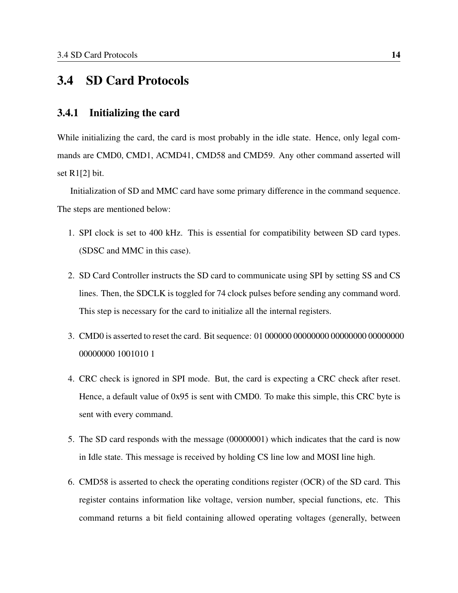### <span id="page-25-0"></span>3.4 SD Card Protocols

#### <span id="page-25-1"></span>3.4.1 Initializing the card

While initializing the card, the card is most probably in the idle state. Hence, only legal commands are CMD0, CMD1, ACMD41, CMD58 and CMD59. Any other command asserted will set R1[2] bit.

Initialization of SD and MMC card have some primary difference in the command sequence. The steps are mentioned below:

- 1. SPI clock is set to 400 kHz. This is essential for compatibility between SD card types. (SDSC and MMC in this case).
- 2. SD Card Controller instructs the SD card to communicate using SPI by setting SS and CS lines. Then, the SDCLK is toggled for 74 clock pulses before sending any command word. This step is necessary for the card to initialize all the internal registers.
- 3. CMD0 is asserted to reset the card. Bit sequence: 01 000000 00000000 00000000 00000000 00000000 1001010 1
- 4. CRC check is ignored in SPI mode. But, the card is expecting a CRC check after reset. Hence, a default value of 0x95 is sent with CMD0. To make this simple, this CRC byte is sent with every command.
- 5. The SD card responds with the message (00000001) which indicates that the card is now in Idle state. This message is received by holding CS line low and MOSI line high.
- 6. CMD58 is asserted to check the operating conditions register (OCR) of the SD card. This register contains information like voltage, version number, special functions, etc. This command returns a bit field containing allowed operating voltages (generally, between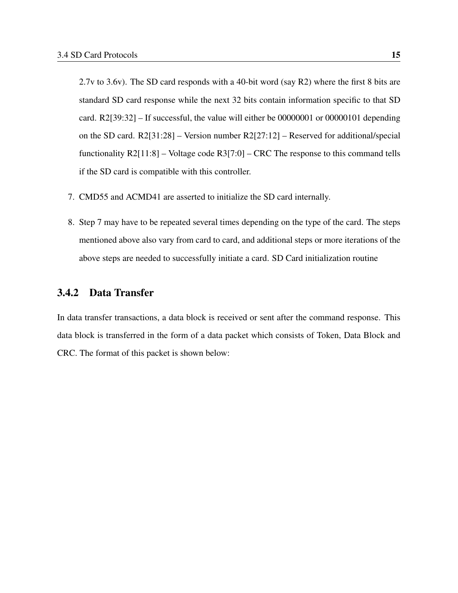2.7v to 3.6v). The SD card responds with a 40-bit word (say R2) where the first 8 bits are standard SD card response while the next 32 bits contain information specific to that SD card. R2[39:32] – If successful, the value will either be 00000001 or 00000101 depending on the SD card. R2[31:28] – Version number R2[27:12] – Reserved for additional/special functionality R2[11:8] – Voltage code R3[7:0] – CRC The response to this command tells if the SD card is compatible with this controller.

- 7. CMD55 and ACMD41 are asserted to initialize the SD card internally.
- 8. Step 7 may have to be repeated several times depending on the type of the card. The steps mentioned above also vary from card to card, and additional steps or more iterations of the above steps are needed to successfully initiate a card. SD Card initialization routine

#### <span id="page-26-0"></span>3.4.2 Data Transfer

In data transfer transactions, a data block is received or sent after the command response. This data block is transferred in the form of a data packet which consists of Token, Data Block and CRC. The format of this packet is shown below: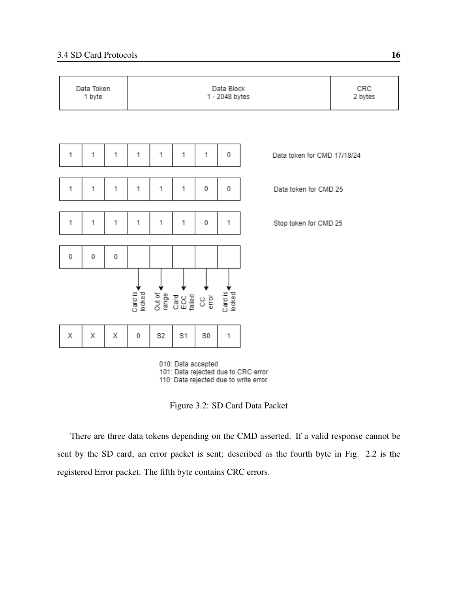#### 3.4 SD Card Protocols 16



101: Data rejected due to CRC error 110: Data rejected due to write error

Figure 3.2: SD Card Data Packet

<span id="page-27-0"></span>There are three data tokens depending on the CMD asserted. If a valid response cannot be sent by the SD card, an error packet is sent; described as the fourth byte in Fig. 2.2 is the registered Error packet. The fifth byte contains CRC errors.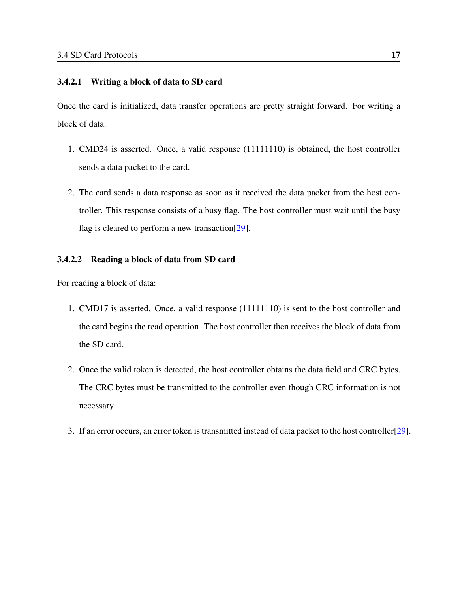#### <span id="page-28-0"></span>3.4.2.1 Writing a block of data to SD card

Once the card is initialized, data transfer operations are pretty straight forward. For writing a block of data:

- 1. CMD24 is asserted. Once, a valid response (11111110) is obtained, the host controller sends a data packet to the card.
- 2. The card sends a data response as soon as it received the data packet from the host controller. This response consists of a busy flag. The host controller must wait until the busy flag is cleared to perform a new transaction[\[29\]](#page-63-5).

#### <span id="page-28-1"></span>3.4.2.2 Reading a block of data from SD card

For reading a block of data:

- 1. CMD17 is asserted. Once, a valid response (11111110) is sent to the host controller and the card begins the read operation. The host controller then receives the block of data from the SD card.
- 2. Once the valid token is detected, the host controller obtains the data field and CRC bytes. The CRC bytes must be transmitted to the controller even though CRC information is not necessary.
- 3. If an error occurs, an error token is transmitted instead of data packet to the host controller[\[29\]](#page-63-5).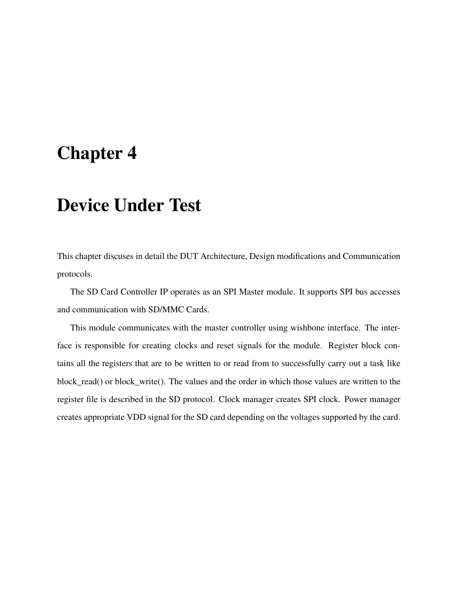## <span id="page-29-0"></span>Chapter 4

## Device Under Test

This chapter discuses in detail the DUT Architecture, Design modifications and Communication protocols.

The SD Card Controller IP operates as an SPI Master module. It supports SPI bus accesses and communication with SD/MMC Cards.

This module communicates with the master controller using wishbone interface. The interface is responsible for creating clocks and reset signals for the module. Register block contains all the registers that are to be written to or read from to successfully carry out a task like block\_read() or block\_write(). The values and the order in which those values are written to the register file is described in the SD protocol. Clock manager creates SPI clock. Power manager creates appropriate VDD signal for the SD card depending on the voltages supported by the card.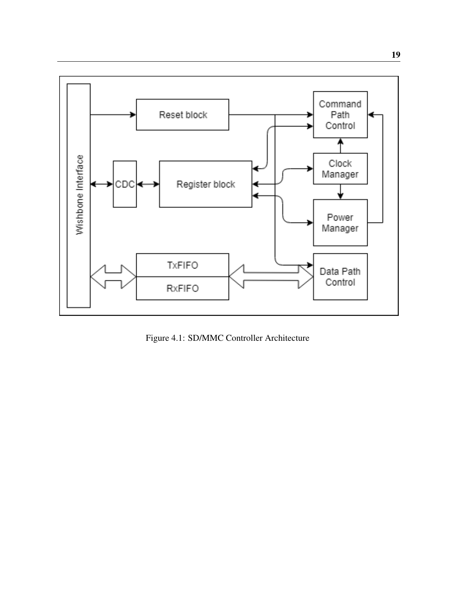

<span id="page-30-0"></span>Figure 4.1: SD/MMC Controller Architecture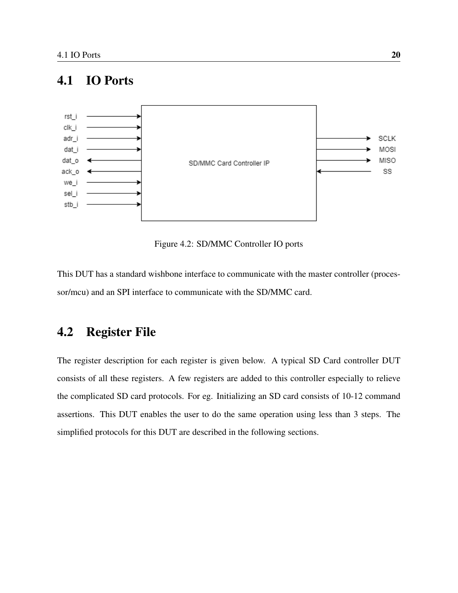### <span id="page-31-0"></span>4.1 IO Ports



<span id="page-31-2"></span>Figure 4.2: SD/MMC Controller IO ports

This DUT has a standard wishbone interface to communicate with the master controller (processor/mcu) and an SPI interface to communicate with the SD/MMC card.

### <span id="page-31-1"></span>4.2 Register File

The register description for each register is given below. A typical SD Card controller DUT consists of all these registers. A few registers are added to this controller especially to relieve the complicated SD card protocols. For eg. Initializing an SD card consists of 10-12 command assertions. This DUT enables the user to do the same operation using less than 3 steps. The simplified protocols for this DUT are described in the following sections.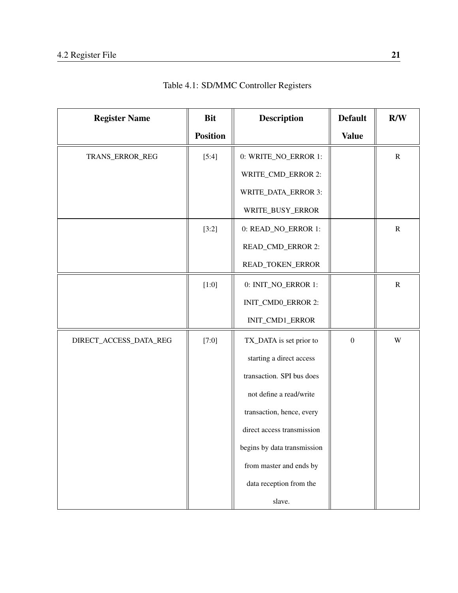<span id="page-32-0"></span>

| <b>Register Name</b>   | <b>Bit</b>      | <b>Description</b>          | <b>Default</b>   | R/W         |
|------------------------|-----------------|-----------------------------|------------------|-------------|
|                        | <b>Position</b> |                             | <b>Value</b>     |             |
| TRANS_ERROR_REG        | [5:4]           | 0: WRITE_NO_ERROR 1:        |                  | $\mathbf R$ |
|                        |                 | WRITE_CMD_ERROR 2:          |                  |             |
|                        |                 | WRITE_DATA_ERROR 3:         |                  |             |
|                        |                 | WRITE_BUSY_ERROR            |                  |             |
|                        | [3:2]           | 0: READ_NO_ERROR 1:         |                  | ${\bf R}$   |
|                        |                 | READ_CMD_ERROR 2:           |                  |             |
|                        |                 | READ_TOKEN_ERROR            |                  |             |
|                        | [1:0]           | 0: INIT_NO_ERROR 1:         |                  | ${\bf R}$   |
|                        |                 | INIT_CMD0_ERROR 2:          |                  |             |
|                        |                 | INIT_CMD1_ERROR             |                  |             |
| DIRECT_ACCESS_DATA_REG | [7:0]           | TX_DATA is set prior to     | $\boldsymbol{0}$ | W           |
|                        |                 | starting a direct access    |                  |             |
|                        |                 | transaction. SPI bus does   |                  |             |
|                        |                 | not define a read/write     |                  |             |
|                        |                 | transaction, hence, every   |                  |             |
|                        |                 | direct access transmission  |                  |             |
|                        |                 | begins by data transmission |                  |             |
|                        |                 | from master and ends by     |                  |             |
|                        |                 | data reception from the     |                  |             |
|                        |                 | slave.                      |                  |             |

Table 4.1: SD/MMC Controller Registers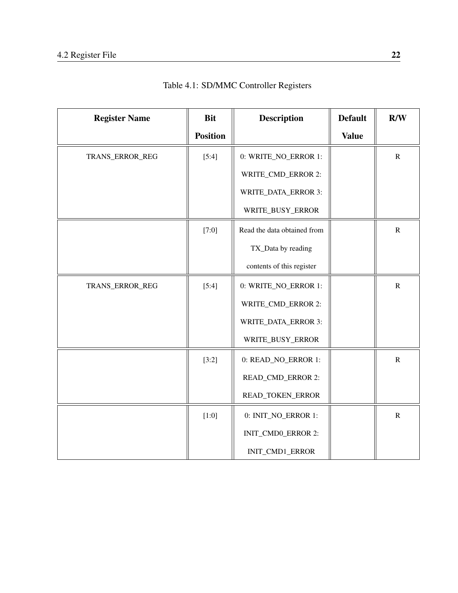| <b>Register Name</b> | <b>Bit</b>      | <b>Description</b><br><b>Default</b> |              | R/W       |
|----------------------|-----------------|--------------------------------------|--------------|-----------|
|                      | <b>Position</b> |                                      | <b>Value</b> |           |
| TRANS_ERROR_REG      | $[5:4]$         | 0: WRITE_NO_ERROR 1:                 |              | ${\bf R}$ |
|                      |                 | WRITE_CMD_ERROR 2:                   |              |           |
|                      |                 | WRITE_DATA_ERROR 3:                  |              |           |
|                      |                 | WRITE_BUSY_ERROR                     |              |           |
|                      | [7:0]           | Read the data obtained from          |              | ${\bf R}$ |
|                      |                 | TX_Data by reading                   |              |           |
|                      |                 | contents of this register            |              |           |
| TRANS_ERROR_REG      | $[5:4]$         | 0: WRITE_NO_ERROR 1:                 |              | ${\bf R}$ |
|                      |                 | WRITE_CMD_ERROR 2:                   |              |           |
|                      |                 | WRITE_DATA_ERROR 3:                  |              |           |
|                      |                 | WRITE_BUSY_ERROR                     |              |           |
|                      | [3:2]           | 0: READ_NO_ERROR 1:                  |              | ${\bf R}$ |
|                      |                 | READ_CMD_ERROR 2:                    |              |           |
|                      |                 | READ_TOKEN_ERROR                     |              |           |
|                      | [1:0]           | 0: INIT_NO_ERROR 1:                  |              | ${\bf R}$ |
|                      |                 | INIT_CMD0_ERROR 2:                   |              |           |
|                      |                 | INIT_CMD1_ERROR                      |              |           |

Table 4.1: SD/MMC Controller Registers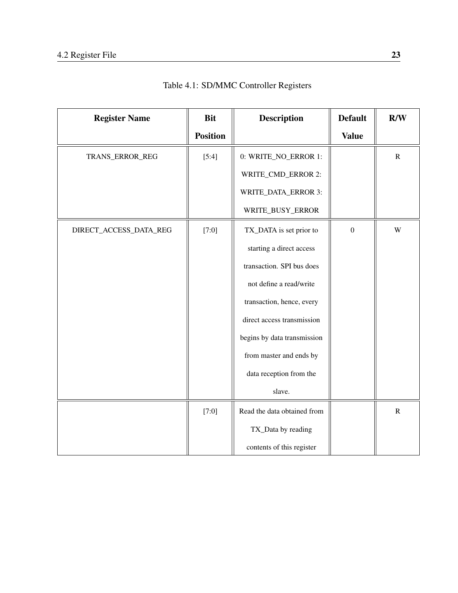| <b>Register Name</b>   | <b>Bit</b>      | <b>Description</b>          | <b>Default</b> | R/W         |
|------------------------|-----------------|-----------------------------|----------------|-------------|
|                        | <b>Position</b> |                             | <b>Value</b>   |             |
| TRANS_ERROR_REG        | [5:4]           | 0: WRITE_NO_ERROR 1:        |                | ${\bf R}$   |
|                        |                 | WRITE_CMD_ERROR 2:          |                |             |
|                        |                 | WRITE_DATA_ERROR 3:         |                |             |
|                        |                 | WRITE_BUSY_ERROR            |                |             |
| DIRECT_ACCESS_DATA_REG | [7:0]           | TX_DATA is set prior to     | $\mathbf{0}$   | $\mathbf W$ |
|                        |                 | starting a direct access    |                |             |
|                        |                 | transaction. SPI bus does   |                |             |
|                        |                 | not define a read/write     |                |             |
|                        |                 | transaction, hence, every   |                |             |
|                        |                 | direct access transmission  |                |             |
|                        |                 | begins by data transmission |                |             |
|                        |                 | from master and ends by     |                |             |
|                        |                 | data reception from the     |                |             |
|                        |                 | slave.                      |                |             |
|                        | [7:0]           | Read the data obtained from |                | $\mathbf R$ |
|                        |                 | TX_Data by reading          |                |             |
|                        |                 | contents of this register   |                |             |

Table 4.1: SD/MMC Controller Registers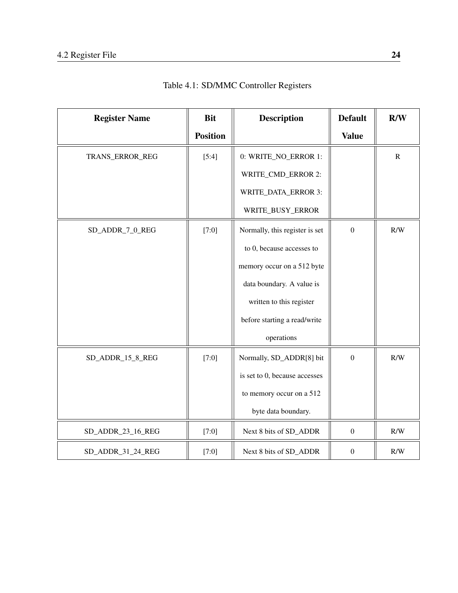| <b>Register Name</b> | <b>Bit</b>      | <b>Description</b>             | <b>Default</b>   | R/W       |
|----------------------|-----------------|--------------------------------|------------------|-----------|
|                      | <b>Position</b> |                                | <b>Value</b>     |           |
| TRANS_ERROR_REG      | [5:4]           | 0: WRITE_NO_ERROR 1:           |                  | ${\bf R}$ |
|                      |                 | WRITE_CMD_ERROR 2:             |                  |           |
|                      |                 | WRITE_DATA_ERROR 3:            |                  |           |
|                      |                 | WRITE_BUSY_ERROR               |                  |           |
| SD_ADDR_7_0_REG      | [7:0]           | Normally, this register is set | $\mathbf{0}$     | R/W       |
|                      |                 | to 0, because accesses to      |                  |           |
|                      |                 | memory occur on a 512 byte     |                  |           |
|                      |                 | data boundary. A value is      |                  |           |
|                      |                 | written to this register       |                  |           |
|                      |                 | before starting a read/write   |                  |           |
|                      |                 | operations                     |                  |           |
| SD_ADDR_15_8_REG     | [7:0]           | Normally, SD_ADDR[8] bit       | $\boldsymbol{0}$ | R/W       |
|                      |                 | is set to 0, because accesses  |                  |           |
|                      |                 | to memory occur on a 512       |                  |           |
|                      |                 | byte data boundary.            |                  |           |
| SD_ADDR_23_16_REG    | [7:0]           | Next 8 bits of SD_ADDR         | $\boldsymbol{0}$ | R/W       |
| SD_ADDR_31_24_REG    | [7:0]           | Next 8 bits of SD_ADDR         | $\boldsymbol{0}$ | R/W       |

Table 4.1: SD/MMC Controller Registers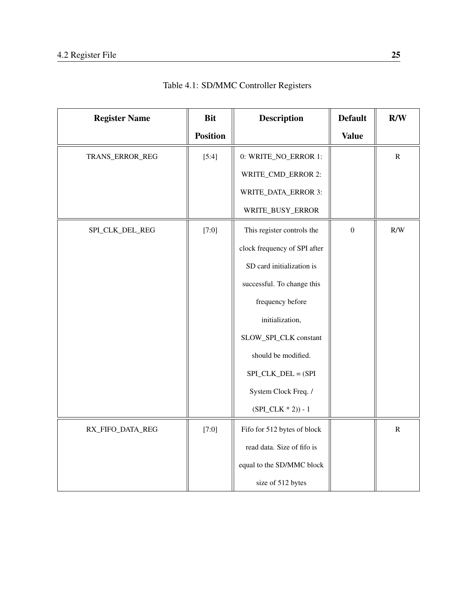| <b>Register Name</b> | <b>Bit</b>      | <b>Description</b>                 | <b>Default</b>   | R/W       |
|----------------------|-----------------|------------------------------------|------------------|-----------|
|                      | <b>Position</b> |                                    | <b>Value</b>     |           |
| TRANS_ERROR_REG      | [5:4]           | 0: WRITE_NO_ERROR 1:               |                  | ${\bf R}$ |
|                      |                 | WRITE_CMD_ERROR 2:                 |                  |           |
|                      |                 | WRITE_DATA_ERROR 3:                |                  |           |
|                      |                 | WRITE_BUSY_ERROR                   |                  |           |
| SPI_CLK_DEL_REG      | [7:0]           | This register controls the         | $\boldsymbol{0}$ | R/W       |
|                      |                 | clock frequency of SPI after       |                  |           |
|                      |                 | SD card initialization is          |                  |           |
|                      |                 | successful. To change this         |                  |           |
|                      |                 | frequency before                   |                  |           |
|                      |                 | initialization,                    |                  |           |
|                      |                 | SLOW_SPI_CLK constant              |                  |           |
|                      |                 | should be modified.                |                  |           |
|                      |                 | $SPI$ <sub>_CLK_DEL</sub> = $(SPI$ |                  |           |
|                      |                 | System Clock Freq. /               |                  |           |
|                      |                 | $(SPI\_CLK * 2) - 1$               |                  |           |
| RX_FIFO_DATA_REG     | [7:0]           | Fifo for 512 bytes of block        |                  | ${\bf R}$ |
|                      |                 | read data. Size of fifo is         |                  |           |
|                      |                 | equal to the SD/MMC block          |                  |           |
|                      |                 | size of 512 bytes                  |                  |           |

Table 4.1: SD/MMC Controller Registers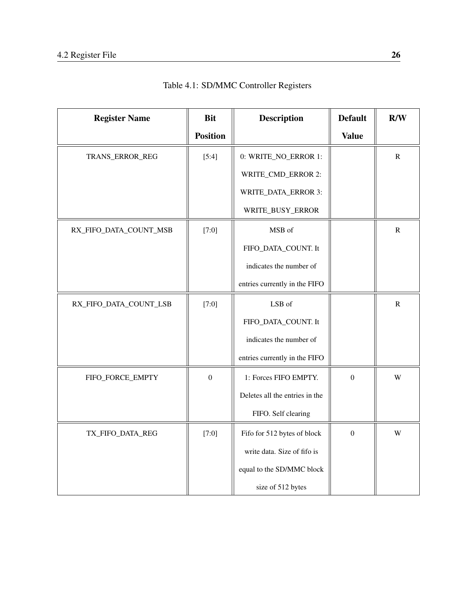| <b>Register Name</b>   | <b>Bit</b>      | <b>Description</b>             | <b>Default</b> | R/W         |
|------------------------|-----------------|--------------------------------|----------------|-------------|
|                        | <b>Position</b> |                                | <b>Value</b>   |             |
| TRANS_ERROR_REG        | [5:4]           | 0: WRITE_NO_ERROR 1:           |                | ${\bf R}$   |
|                        |                 | WRITE_CMD_ERROR 2:             |                |             |
|                        |                 | WRITE_DATA_ERROR 3:            |                |             |
|                        |                 | WRITE_BUSY_ERROR               |                |             |
| RX_FIFO_DATA_COUNT_MSB | [7:0]           | MSB of                         |                | ${\bf R}$   |
|                        |                 | FIFO_DATA_COUNT. It            |                |             |
|                        |                 | indicates the number of        |                |             |
|                        |                 | entries currently in the FIFO  |                |             |
| RX_FIFO_DATA_COUNT_LSB | [7:0]           | LSB of                         |                | $\mathbf R$ |
|                        |                 | FIFO_DATA_COUNT. It            |                |             |
|                        |                 | indicates the number of        |                |             |
|                        |                 | entries currently in the FIFO  |                |             |
| FIFO_FORCE_EMPTY       | $\overline{0}$  | 1: Forces FIFO EMPTY.          | $\mathbf{0}$   | W           |
|                        |                 | Deletes all the entries in the |                |             |
|                        |                 | FIFO. Self clearing            |                |             |
| TX_FIFO_DATA_REG       | [7:0]           | Fifo for 512 bytes of block    | $\mathbf{0}$   | W           |
|                        |                 | write data. Size of fifo is    |                |             |
|                        |                 | equal to the SD/MMC block      |                |             |
|                        |                 | size of 512 bytes              |                |             |

Table 4.1: SD/MMC Controller Registers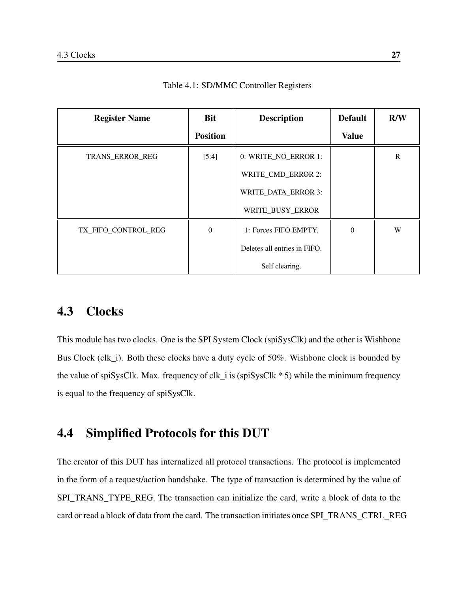| <b>Register Name</b> | <b>Bit</b>      | <b>Description</b>           | <b>Default</b> | R/W          |
|----------------------|-----------------|------------------------------|----------------|--------------|
|                      | <b>Position</b> |                              | <b>Value</b>   |              |
| TRANS_ERROR_REG      | [5:4]           | 0: WRITE_NO_ERROR 1:         |                | $\mathbb{R}$ |
|                      |                 | WRITE_CMD_ERROR 2:           |                |              |
|                      |                 | WRITE_DATA_ERROR 3:          |                |              |
|                      |                 | WRITE_BUSY_ERROR             |                |              |
| TX_FIFO_CONTROL_REG  | $\Omega$        | 1: Forces FIFO EMPTY.        | $\theta$       | W            |
|                      |                 | Deletes all entries in FIFO. |                |              |
|                      |                 | Self clearing.               |                |              |

Table 4.1: SD/MMC Controller Registers

## 4.3 Clocks

This module has two clocks. One is the SPI System Clock (spiSysClk) and the other is Wishbone Bus Clock (clk\_i). Both these clocks have a duty cycle of 50%. Wishbone clock is bounded by the value of spiSysClk. Max. frequency of clk\_i is (spiSysClk \* 5) while the minimum frequency is equal to the frequency of spiSysClk.

## 4.4 Simplified Protocols for this DUT

The creator of this DUT has internalized all protocol transactions. The protocol is implemented in the form of a request/action handshake. The type of transaction is determined by the value of SPI\_TRANS\_TYPE\_REG. The transaction can initialize the card, write a block of data to the card or read a block of data from the card. The transaction initiates once SPI\_TRANS\_CTRL\_REG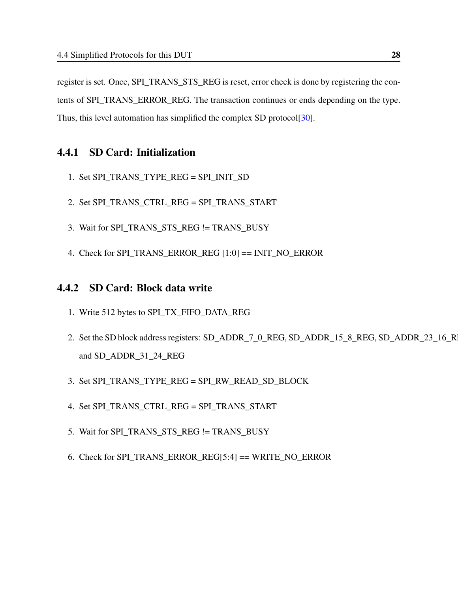register is set. Once, SPI\_TRANS\_STS\_REG is reset, error check is done by registering the contents of SPI\_TRANS\_ERROR\_REG. The transaction continues or ends depending on the type. Thus, this level automation has simplified the complex SD protocol[\[30\]](#page-63-0).

### 4.4.1 SD Card: Initialization

- 1. Set SPI\_TRANS\_TYPE\_REG = SPI\_INIT\_SD
- 2. Set SPI\_TRANS\_CTRL\_REG = SPI\_TRANS\_START
- 3. Wait for SPI\_TRANS\_STS\_REG != TRANS\_BUSY
- 4. Check for SPI\_TRANS\_ERROR\_REG [1:0] == INIT\_NO\_ERROR

### 4.4.2 SD Card: Block data write

- 1. Write 512 bytes to SPI\_TX\_FIFO\_DATA\_REG
- 2. Set the SD block address registers: SD\_ADDR\_7\_0\_REG, SD\_ADDR\_15\_8\_REG, SD\_ADDR\_23\_16\_R and SD\_ADDR\_31\_24\_REG
- 3. Set SPI\_TRANS\_TYPE\_REG = SPI\_RW\_READ\_SD\_BLOCK
- 4. Set SPI\_TRANS\_CTRL\_REG = SPI\_TRANS\_START
- 5. Wait for SPI\_TRANS\_STS\_REG != TRANS\_BUSY
- 6. Check for SPI\_TRANS\_ERROR\_REG[5:4] == WRITE\_NO\_ERROR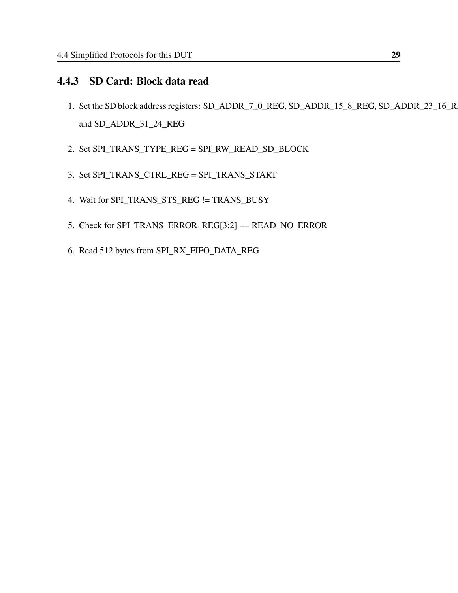### 4.4.3 SD Card: Block data read

- 1. Set the SD block address registers: SD\_ADDR\_7\_0\_REG, SD\_ADDR\_15\_8\_REG, SD\_ADDR\_23\_16\_REG and SD\_ADDR\_31\_24\_REG
- 2. Set SPI\_TRANS\_TYPE\_REG = SPI\_RW\_READ\_SD\_BLOCK
- 3. Set SPI\_TRANS\_CTRL\_REG = SPI\_TRANS\_START
- 4. Wait for SPI\_TRANS\_STS\_REG != TRANS\_BUSY
- 5. Check for SPI\_TRANS\_ERROR\_REG[3:2] == READ\_NO\_ERROR
- 6. Read 512 bytes from SPI\_RX\_FIFO\_DATA\_REG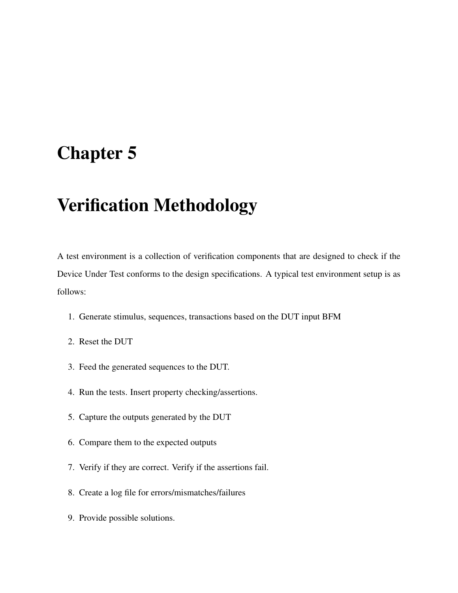# Chapter 5

# Verification Methodology

A test environment is a collection of verification components that are designed to check if the Device Under Test conforms to the design specifications. A typical test environment setup is as follows:

- 1. Generate stimulus, sequences, transactions based on the DUT input BFM
- 2. Reset the DUT
- 3. Feed the generated sequences to the DUT.
- 4. Run the tests. Insert property checking/assertions.
- 5. Capture the outputs generated by the DUT
- 6. Compare them to the expected outputs
- 7. Verify if they are correct. Verify if the assertions fail.
- 8. Create a log file for errors/mismatches/failures
- 9. Provide possible solutions.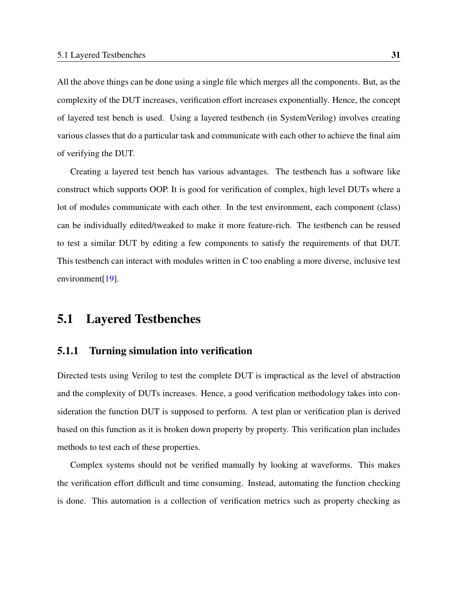All the above things can be done using a single file which merges all the components. But, as the complexity of the DUT increases, verification effort increases exponentially. Hence, the concept of layered test bench is used. Using a layered testbench (in SystemVerilog) involves creating various classes that do a particular task and communicate with each other to achieve the final aim of verifying the DUT.

Creating a layered test bench has various advantages. The testbench has a software like construct which supports OOP. It is good for verification of complex, high level DUTs where a lot of modules communicate with each other. In the test environment, each component (class) can be individually edited/tweaked to make it more feature-rich. The testbench can be reused to test a similar DUT by editing a few components to satisfy the requirements of that DUT. This testbench can interact with modules written in C too enabling a more diverse, inclusive test environment<sup>[\[19\]](#page-62-0)</sup>.

## 5.1 Layered Testbenches

### 5.1.1 Turning simulation into verification

Directed tests using Verilog to test the complete DUT is impractical as the level of abstraction and the complexity of DUTs increases. Hence, a good verification methodology takes into consideration the function DUT is supposed to perform. A test plan or verification plan is derived based on this function as it is broken down property by property. This verification plan includes methods to test each of these properties.

Complex systems should not be verified manually by looking at waveforms. This makes the verification effort difficult and time consuming. Instead, automating the function checking is done. This automation is a collection of verification metrics such as property checking as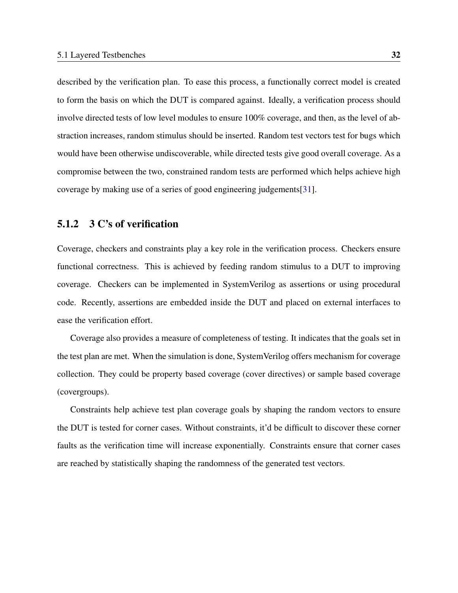described by the verification plan. To ease this process, a functionally correct model is created to form the basis on which the DUT is compared against. Ideally, a verification process should involve directed tests of low level modules to ensure 100% coverage, and then, as the level of abstraction increases, random stimulus should be inserted. Random test vectors test for bugs which would have been otherwise undiscoverable, while directed tests give good overall coverage. As a compromise between the two, constrained random tests are performed which helps achieve high coverage by making use of a series of good engineering judgements[\[31\]](#page-63-1).

### 5.1.2 3 C's of verification

Coverage, checkers and constraints play a key role in the verification process. Checkers ensure functional correctness. This is achieved by feeding random stimulus to a DUT to improving coverage. Checkers can be implemented in SystemVerilog as assertions or using procedural code. Recently, assertions are embedded inside the DUT and placed on external interfaces to ease the verification effort.

Coverage also provides a measure of completeness of testing. It indicates that the goals set in the test plan are met. When the simulation is done, SystemVerilog offers mechanism for coverage collection. They could be property based coverage (cover directives) or sample based coverage (covergroups).

Constraints help achieve test plan coverage goals by shaping the random vectors to ensure the DUT is tested for corner cases. Without constraints, it'd be difficult to discover these corner faults as the verification time will increase exponentially. Constraints ensure that corner cases are reached by statistically shaping the randomness of the generated test vectors.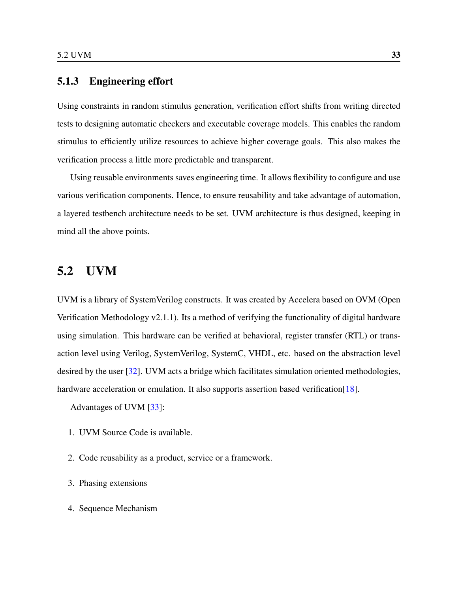### 5.1.3 Engineering effort

Using constraints in random stimulus generation, verification effort shifts from writing directed tests to designing automatic checkers and executable coverage models. This enables the random stimulus to efficiently utilize resources to achieve higher coverage goals. This also makes the verification process a little more predictable and transparent.

Using reusable environments saves engineering time. It allows flexibility to configure and use various verification components. Hence, to ensure reusability and take advantage of automation, a layered testbench architecture needs to be set. UVM architecture is thus designed, keeping in mind all the above points.

## 5.2 UVM

UVM is a library of SystemVerilog constructs. It was created by Accelera based on OVM (Open Verification Methodology v2.1.1). Its a method of verifying the functionality of digital hardware using simulation. This hardware can be verified at behavioral, register transfer (RTL) or transaction level using Verilog, SystemVerilog, SystemC, VHDL, etc. based on the abstraction level desired by the user [\[32\]](#page-63-2). UVM acts a bridge which facilitates simulation oriented methodologies, hardware acceleration or emulation. It also supports assertion based verification [\[18\]](#page-62-1).

Advantages of UVM [\[33\]](#page-64-0):

- 1. UVM Source Code is available.
- 2. Code reusability as a product, service or a framework.
- 3. Phasing extensions
- 4. Sequence Mechanism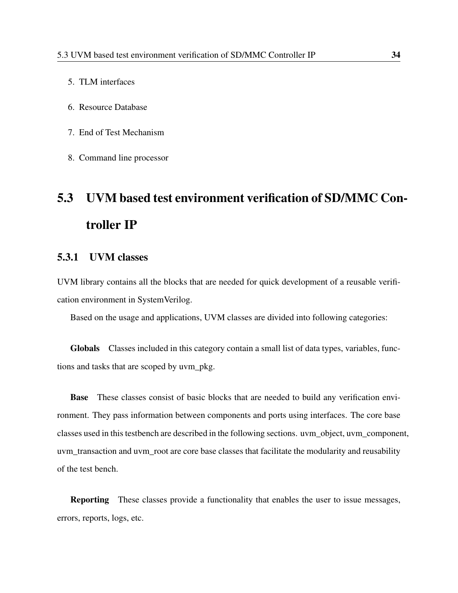- 5. TLM interfaces
- 6. Resource Database
- 7. End of Test Mechanism
- 8. Command line processor

# 5.3 UVM based test environment verification of SD/MMC Controller IP

### 5.3.1 UVM classes

UVM library contains all the blocks that are needed for quick development of a reusable verification environment in SystemVerilog.

Based on the usage and applications, UVM classes are divided into following categories:

Globals Classes included in this category contain a small list of data types, variables, functions and tasks that are scoped by uvm\_pkg.

Base These classes consist of basic blocks that are needed to build any verification environment. They pass information between components and ports using interfaces. The core base classes used in this testbench are described in the following sections. uvm\_object, uvm\_component, uvm\_transaction and uvm\_root are core base classes that facilitate the modularity and reusability of the test bench.

Reporting These classes provide a functionality that enables the user to issue messages, errors, reports, logs, etc.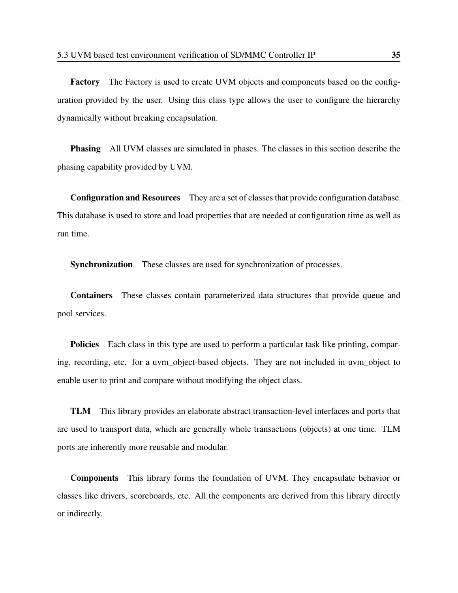Factory The Factory is used to create UVM objects and components based on the configuration provided by the user. Using this class type allows the user to configure the hierarchy dynamically without breaking encapsulation.

Phasing All UVM classes are simulated in phases. The classes in this section describe the phasing capability provided by UVM.

Configuration and Resources They are a set of classes that provide configuration database. This database is used to store and load properties that are needed at configuration time as well as run time.

Synchronization These classes are used for synchronization of processes.

Containers These classes contain parameterized data structures that provide queue and pool services.

Policies Each class in this type are used to perform a particular task like printing, comparing, recording, etc. for a uvm\_object-based objects. They are not included in uvm\_object to enable user to print and compare without modifying the object class.

TLM This library provides an elaborate abstract transaction-level interfaces and ports that are used to transport data, which are generally whole transactions (objects) at one time. TLM ports are inherently more reusable and modular.

Components This library forms the foundation of UVM. They encapsulate behavior or classes like drivers, scoreboards, etc. All the components are derived from this library directly or indirectly.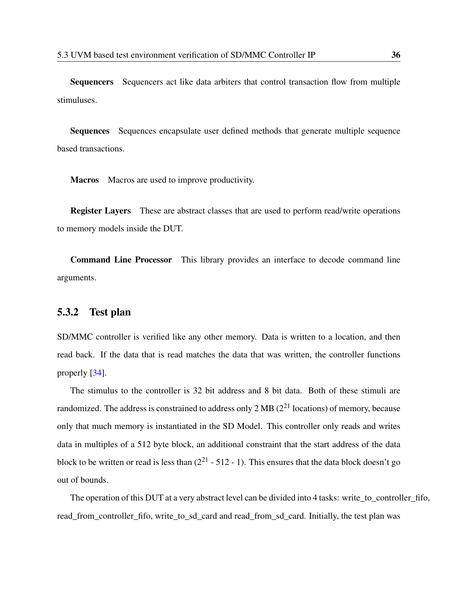Sequencers Sequencers act like data arbiters that control transaction flow from multiple stimuluses.

Sequences Sequences encapsulate user defined methods that generate multiple sequence based transactions.

Macros Macros are used to improve productivity.

Register Layers These are abstract classes that are used to perform read/write operations to memory models inside the DUT.

Command Line Processor This library provides an interface to decode command line arguments.

### 5.3.2 Test plan

SD/MMC controller is verified like any other memory. Data is written to a location, and then read back. If the data that is read matches the data that was written, the controller functions properly [\[34\]](#page-64-1).

The stimulus to the controller is 32 bit address and 8 bit data. Both of these stimuli are randomized. The address is constrained to address only 2 MB  $(2^{21}$  locations) of memory, because only that much memory is instantiated in the SD Model. This controller only reads and writes data in multiples of a 512 byte block, an additional constraint that the start address of the data block to be written or read is less than  $(2^{21} - 512 - 1)$ . This ensures that the data block doesn't go out of bounds.

The operation of this DUT at a very abstract level can be divided into 4 tasks: write\_to\_controller\_fifo, read\_from\_controller\_fifo, write\_to\_sd\_card and read\_from\_sd\_card. Initially, the test plan was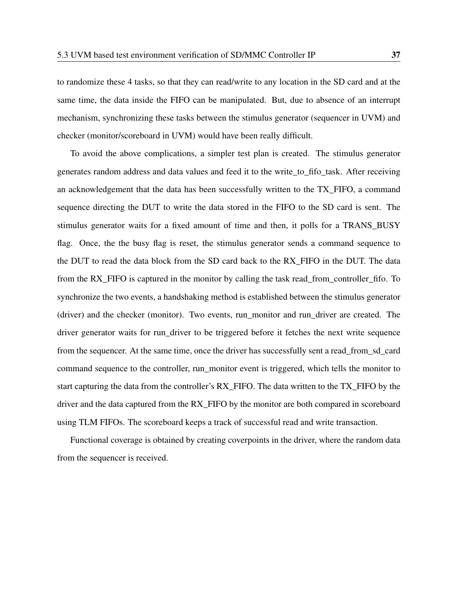to randomize these 4 tasks, so that they can read/write to any location in the SD card and at the same time, the data inside the FIFO can be manipulated. But, due to absence of an interrupt mechanism, synchronizing these tasks between the stimulus generator (sequencer in UVM) and checker (monitor/scoreboard in UVM) would have been really difficult.

To avoid the above complications, a simpler test plan is created. The stimulus generator generates random address and data values and feed it to the write\_to\_fifo\_task. After receiving an acknowledgement that the data has been successfully written to the TX\_FIFO, a command sequence directing the DUT to write the data stored in the FIFO to the SD card is sent. The stimulus generator waits for a fixed amount of time and then, it polls for a TRANS\_BUSY flag. Once, the the busy flag is reset, the stimulus generator sends a command sequence to the DUT to read the data block from the SD card back to the RX\_FIFO in the DUT. The data from the RX\_FIFO is captured in the monitor by calling the task read\_from\_controller\_fifo. To synchronize the two events, a handshaking method is established between the stimulus generator (driver) and the checker (monitor). Two events, run\_monitor and run\_driver are created. The driver generator waits for run\_driver to be triggered before it fetches the next write sequence from the sequencer. At the same time, once the driver has successfully sent a read\_from\_sd\_card command sequence to the controller, run\_monitor event is triggered, which tells the monitor to start capturing the data from the controller's RX\_FIFO. The data written to the TX\_FIFO by the driver and the data captured from the RX\_FIFO by the monitor are both compared in scoreboard using TLM FIFOs. The scoreboard keeps a track of successful read and write transaction.

Functional coverage is obtained by creating coverpoints in the driver, where the random data from the sequencer is received.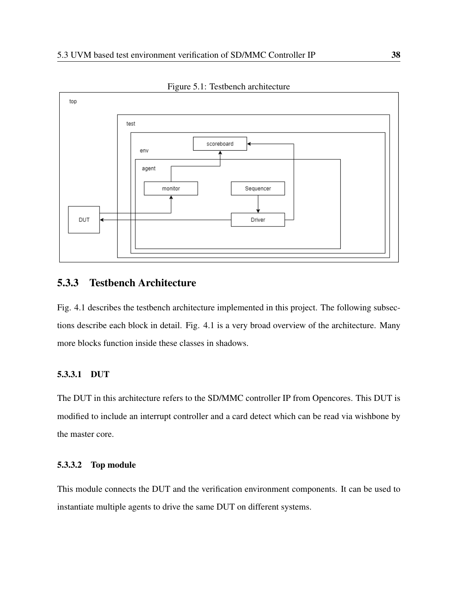

Figure 5.1: Testbench architecture

### 5.3.3 Testbench Architecture

Fig. 4.1 describes the testbench architecture implemented in this project. The following subsections describe each block in detail. Fig. 4.1 is a very broad overview of the architecture. Many more blocks function inside these classes in shadows.

#### 5.3.3.1 DUT

The DUT in this architecture refers to the SD/MMC controller IP from Opencores. This DUT is modified to include an interrupt controller and a card detect which can be read via wishbone by the master core.

#### 5.3.3.2 Top module

This module connects the DUT and the verification environment components. It can be used to instantiate multiple agents to drive the same DUT on different systems.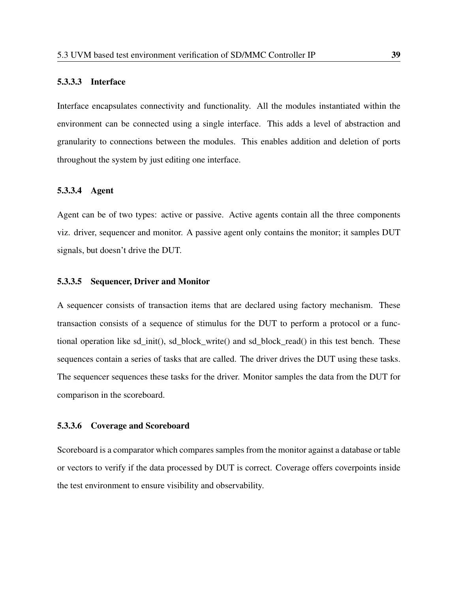#### 5.3.3.3 Interface

Interface encapsulates connectivity and functionality. All the modules instantiated within the environment can be connected using a single interface. This adds a level of abstraction and granularity to connections between the modules. This enables addition and deletion of ports throughout the system by just editing one interface.

#### 5.3.3.4 Agent

Agent can be of two types: active or passive. Active agents contain all the three components viz. driver, sequencer and monitor. A passive agent only contains the monitor; it samples DUT signals, but doesn't drive the DUT.

#### 5.3.3.5 Sequencer, Driver and Monitor

A sequencer consists of transaction items that are declared using factory mechanism. These transaction consists of a sequence of stimulus for the DUT to perform a protocol or a functional operation like sd\_init(), sd\_block\_write() and sd\_block\_read() in this test bench. These sequences contain a series of tasks that are called. The driver drives the DUT using these tasks. The sequencer sequences these tasks for the driver. Monitor samples the data from the DUT for comparison in the scoreboard.

#### 5.3.3.6 Coverage and Scoreboard

Scoreboard is a comparator which compares samples from the monitor against a database or table or vectors to verify if the data processed by DUT is correct. Coverage offers coverpoints inside the test environment to ensure visibility and observability.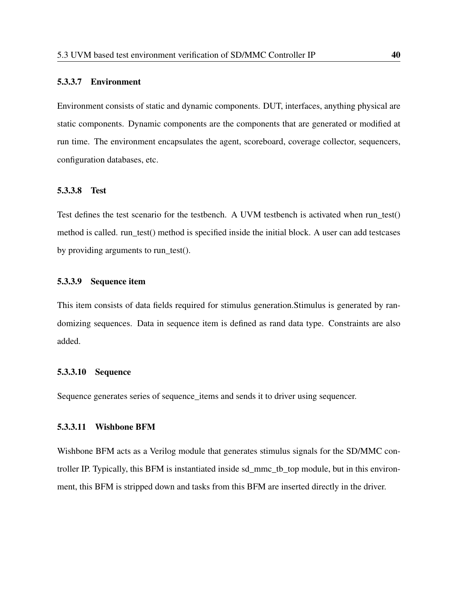#### 5.3.3.7 Environment

Environment consists of static and dynamic components. DUT, interfaces, anything physical are static components. Dynamic components are the components that are generated or modified at run time. The environment encapsulates the agent, scoreboard, coverage collector, sequencers, configuration databases, etc.

#### 5.3.3.8 Test

Test defines the test scenario for the testbench. A UVM testbench is activated when run\_test() method is called. run\_test() method is specified inside the initial block. A user can add testcases by providing arguments to run\_test().

#### 5.3.3.9 Sequence item

This item consists of data fields required for stimulus generation.Stimulus is generated by randomizing sequences. Data in sequence item is defined as rand data type. Constraints are also added.

#### 5.3.3.10 Sequence

Sequence generates series of sequence\_items and sends it to driver using sequencer.

#### 5.3.3.11 Wishbone BFM

Wishbone BFM acts as a Verilog module that generates stimulus signals for the SD/MMC controller IP. Typically, this BFM is instantiated inside sd\_mmc\_tb\_top module, but in this environment, this BFM is stripped down and tasks from this BFM are inserted directly in the driver.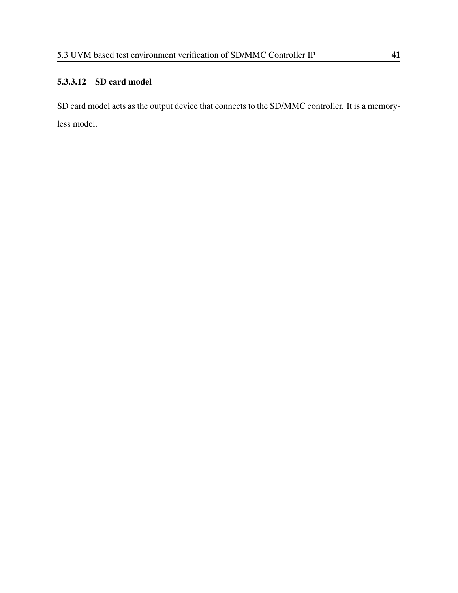### 5.3.3.12 SD card model

SD card model acts as the output device that connects to the SD/MMC controller. It is a memoryless model.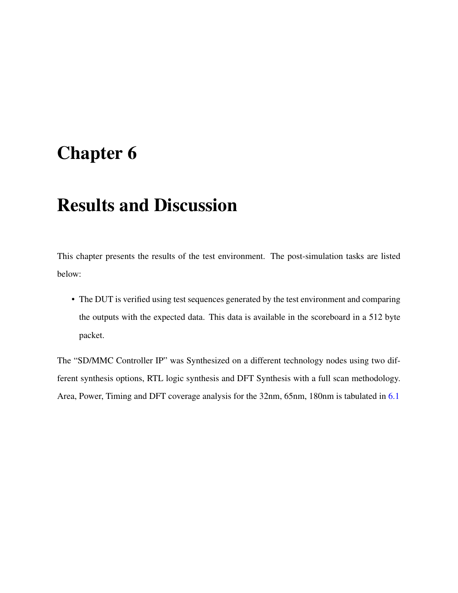# Chapter 6

# Results and Discussion

This chapter presents the results of the test environment. The post-simulation tasks are listed below:

• The DUT is verified using test sequences generated by the test environment and comparing the outputs with the expected data. This data is available in the scoreboard in a 512 byte packet.

The "SD/MMC Controller IP" was Synthesized on a different technology nodes using two different synthesis options, RTL logic synthesis and DFT Synthesis with a full scan methodology. Area, Power, Timing and DFT coverage analysis for the 32nm, 65nm, 180nm is tabulated in [6.1](#page-54-0)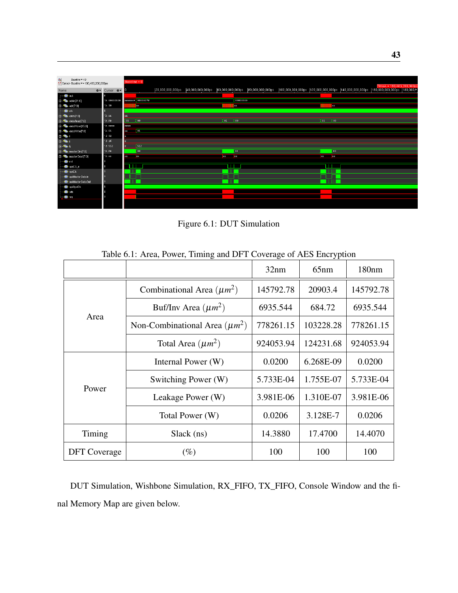| $\mathbb{Q}$<br>Baseline == 0<br>FT Cursor-Baseline ▼ = 190,483,200,000ps |                     | Baseline = 0 |                                                |                  |                  |                             |                  |                        |                                                                                       |                              |  |
|---------------------------------------------------------------------------|---------------------|--------------|------------------------------------------------|------------------|------------------|-----------------------------|------------------|------------------------|---------------------------------------------------------------------------------------|------------------------------|--|
|                                                                           |                     |              |                                                |                  |                  |                             |                  |                        |                                                                                       | TimeA = $190,483,200,000$ ps |  |
| Name                                                                      | <b>Ø▼</b> Cursor Ø▼ | ш            |                                                | 20,000,000,000ps | 40,000,000,000ps | 60,000,000,000ps            | 80,000,000,000ps |                        | 100,000,000,000ps  120,000,000,000ps  140,000,000,000ps  160,000,000,000ps  180,000,▶ |                              |  |
| ⊶ <mark>⊡</mark> ack                                                      |                     |              |                                                |                  |                  |                             |                  |                        |                                                                                       |                              |  |
| 由 The addr [31:0]                                                         | 'h 00000500         |              | <b>ининк≯</b> 00000078                         |                  |                  |                             | 00000500         |                        |                                                                                       |                              |  |
| 由 The adr(7.0)                                                            | $h$ 10              |              | <b>Rx</b>                                      |                  |                  | <b>I</b> Exc                |                  |                        | <b>RX</b>                                                                             |                              |  |
| ⊶ <mark>⊡</mark> ∙ck                                                      |                     |              |                                                |                  |                  |                             |                  |                        |                                                                                       |                              |  |
| 自 · 「 data[7:0]                                                           | 'h xx               | xx           |                                                |                  |                  |                             |                  |                        |                                                                                       |                              |  |
| Fig. dataRead[7:0]                                                        | 'h FB               | $\boxed{01}$ | Yoo                                            |                  |                  | $\sqrt{01}$<br>$\boxed{00}$ |                  | 01                     | К оо                                                                                  |                              |  |
| d Ta dataWord[15:0]                                                       | 'h xxxx             | KXXX         |                                                |                  |                  |                             |                  |                        |                                                                                       |                              |  |
| 由 Ta dataWrite[7:0]                                                       | 'h 01               | <b>R</b> x   | $\left\{ 01 \right\}$                          |                  |                  |                             |                  |                        |                                                                                       |                              |  |
| o Tai                                                                     | $d$ 32              |              |                                                |                  |                  |                             |                  |                        |                                                                                       |                              |  |
| énnement                                                                  | 'd 16               |              |                                                |                  |                  |                             |                  |                        |                                                                                       |                              |  |
| ∣én¶ak                                                                    | d 512               | ь            | 512                                            |                  |                  |                             |                  |                        |                                                                                       |                              |  |
| 由 Fig. master Din[7:0]                                                    | 'h FB               |              | $\begin{bmatrix} 0 & 0 \\ 0 & 0 \end{bmatrix}$ |                  |                  | $\sqrt{100}$                |                  |                        | $\sqrt{100}$                                                                          |                              |  |
| The master Dout [7:0]                                                     | 'h xx               | <b>NX</b>    | <b>R</b> ead                                   |                  |                  | xx<br>xx                    |                  | <b>N</b> <sub>20</sub> | kw                                                                                    |                              |  |
| - <mark>⊡ r</mark> st                                                     |                     |              |                                                |                  |                  |                             |                  |                        |                                                                                       |                              |  |
| <b>E</b> spiCS_n                                                          |                     |              |                                                |                  |                  |                             |                  |                        |                                                                                       |                              |  |
| 画 spiClk                                                                  |                     |              |                                                |                  |                  |                             |                  |                        |                                                                                       |                              |  |
| . SpiMaster DataIn                                                        |                     |              |                                                |                  |                  |                             |                  |                        |                                                                                       |                              |  |
| ·图 spiMasterDataOut                                                       |                     |              |                                                |                  |                  |                             |                  |                        |                                                                                       |                              |  |
| <b>E</b> spiSys Clk                                                       |                     |              |                                                |                  |                  |                             |                  |                        |                                                                                       |                              |  |
| 国 stb                                                                     |                     |              |                                                |                  |                  |                             |                  |                        |                                                                                       |                              |  |
| <b>In we</b>                                                              |                     |              |                                                |                  |                  |                             |                  |                        |                                                                                       |                              |  |
|                                                                           |                     |              |                                                |                  |                  |                             |                  |                        |                                                                                       |                              |  |
|                                                                           |                     |              |                                                |                  |                  |                             |                  |                        |                                                                                       |                              |  |

Figure 6.1: DUT Simulation

<span id="page-54-0"></span>

|                     |                                    |           | ノ⊥        |                   |
|---------------------|------------------------------------|-----------|-----------|-------------------|
|                     |                                    | 32nm      | 65nm      | 180 <sub>nm</sub> |
|                     | Combinational Area $(\mu m^2)$     | 145792.78 | 20903.4   | 145792.78         |
|                     | Buf/Inv Area $(\mu m^2)$           | 6935.544  | 684.72    | 6935.544          |
| Area                | Non-Combinational Area $(\mu m^2)$ | 778261.15 | 103228.28 | 778261.15         |
|                     | Total Area $(\mu m^2)$             | 924053.94 | 124231.68 | 924053.94         |
|                     | Internal Power (W)                 | 0.0200    | 6.268E-09 | 0.0200            |
|                     | Switching Power (W)                | 5.733E-04 | 1.755E-07 | 5.733E-04         |
| Power               | Leakage Power (W)                  | 3.981E-06 | 1.310E-07 | 3.981E-06         |
|                     | Total Power (W)                    | 0.0206    | 3.128E-7  | 0.0206            |
| Timing              | Slack (ns)                         | 14.3880   | 17.4700   | 14.4070           |
| <b>DFT</b> Coverage | $(\%)$                             | 100       | 100       | 100               |

Table 6.1: Area, Power, Timing and DFT Coverage of AES Encryption

DUT Simulation, Wishbone Simulation, RX\_FIFO, TX\_FIFO, Console Window and the final Memory Map are given below.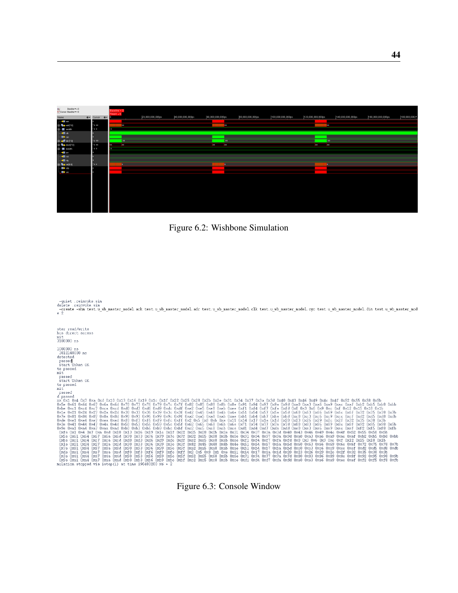





Figure 6.3: Console Window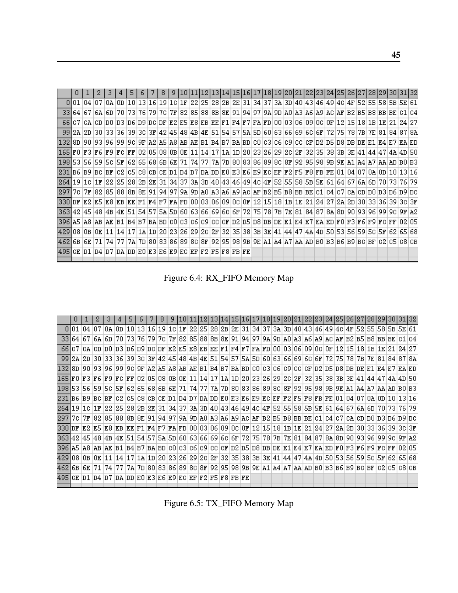|                                                                                                                                                                           | n.   |           |       |         | 4                                                                                            | 5. |  | 81 |  |  |  | 9 10 11 12 13 14 15 16 17 18 19 20 21 22 23 24 25 26 27 28 29 30 31 32                       |  |  |  |  |  |  |  |  |
|---------------------------------------------------------------------------------------------------------------------------------------------------------------------------|------|-----------|-------|---------|----------------------------------------------------------------------------------------------|----|--|----|--|--|--|----------------------------------------------------------------------------------------------|--|--|--|--|--|--|--|--|
|                                                                                                                                                                           | 0101 |           | 04 07 |         | 0a 0D 10 13 16 19 10 17 22 25 28 28 28 27 34 37 3A 3D 40 43 46 49 40 47 52 55 58 58 58 57 61 |    |  |    |  |  |  |                                                                                              |  |  |  |  |  |  |  |  |
|                                                                                                                                                                           |      | 331641671 |       | 6A   6D |                                                                                              |    |  |    |  |  |  | 70 73 76 79 70 77 78 82 85 88 88 89 80 91 94 97 9A 9D AO A3 A6 A9 AC AF B2 B5 B8 BB BE C1 C4 |  |  |  |  |  |  |  |  |
| -661071                                                                                                                                                                   |      |           |       |         |                                                                                              |    |  |    |  |  |  |                                                                                              |  |  |  |  |  |  |  |  |
| 99 2A 2D 30 33 36 39 30 31 42 45 48 48 41 51 54 57 5A 5D 60 63 66 69 60 61 61 72 75 78 78 71 75 81 84 87 8A                                                               |      |           |       |         |                                                                                              |    |  |    |  |  |  |                                                                                              |  |  |  |  |  |  |  |  |
| 1132   8D   90   93   96   99   90   97   A2   A5   A8   AB   AE   B1   B4   B7   BA   BD   C0   C3   C6   C9   C0   C7   D2   D5   D8   DB   DE   E1   E4   E7   EA   ED |      |           |       |         |                                                                                              |    |  |    |  |  |  |                                                                                              |  |  |  |  |  |  |  |  |
| 165 PO F3 F6 F9 FC FF 02 05 08 OB 0E 11 14 17 1A 1D 20 23 26 29 20 2F 32 35 38 38 38 41 44 47 4A 4D 50                                                                    |      |           |       |         |                                                                                              |    |  |    |  |  |  |                                                                                              |  |  |  |  |  |  |  |  |
| 19815315615915015716216516816816817117417717A17D1801831861891801881981981981981981A11A41A71AA1AD1801B3                                                                    |      |           |       |         |                                                                                              |    |  |    |  |  |  |                                                                                              |  |  |  |  |  |  |  |  |
|                                                                                                                                                                           |      |           |       |         |                                                                                              |    |  |    |  |  |  |                                                                                              |  |  |  |  |  |  |  |  |
| 264 19 10 1F 22 25                                                                                                                                                        |      |           |       |         |                                                                                              |    |  |    |  |  |  | 28 28 28 26 31 34 37 3A 3D 40 43 46 49 40 4F 52 55 58 58 58 58 64 67 68 60 70 73 76 79       |  |  |  |  |  |  |  |  |
| 297                                                                                                                                                                       |      | 70 I 7F   |       |         |                                                                                              |    |  |    |  |  |  |                                                                                              |  |  |  |  |  |  |  |  |
| 330 DF E2 E5 E8 EB EE F1 F4 F7 FA FD 00 03 06 09 00 07 12 15 18 18 1E 21 24 27 2A 2D 30 33 36 39 30 37                                                                    |      |           |       |         |                                                                                              |    |  |    |  |  |  |                                                                                              |  |  |  |  |  |  |  |  |
| 363 42 45 48 48 47 51 54 57 58 50 60 63 66 69 60 67 72 75 78 78 78 78 81 84 87 88 80 90 93 96 99 90 97 82                                                                 |      |           |       |         |                                                                                              |    |  |    |  |  |  |                                                                                              |  |  |  |  |  |  |  |  |
| 13961 AS AS AB AE B1 B4 B7 BA BD   CO   C3   C6   C9   CC   CF   D2   D5   D8   DB   DE   E1   E4   E7   EA   ED   F0   F3   F6   F9   FC   FF   02   05                  |      |           |       |         |                                                                                              |    |  |    |  |  |  |                                                                                              |  |  |  |  |  |  |  |  |
| 429 08 0B 0E 11                                                                                                                                                           |      |           |       |         |                                                                                              |    |  |    |  |  |  | 14 17 18 10 20 23 26 29 20 27 32 35 38 38 38 41 44 47 48 40 50 53 56 59 50 57 62 65 68       |  |  |  |  |  |  |  |  |
| 1462   66   67   78   79   78   79   78   79   80   81   82   86   89   80   81   82   93   98   98   98   84   84   87   88   89   80   89   80   87   02   05   08   08 |      |           |       |         |                                                                                              |    |  |    |  |  |  |                                                                                              |  |  |  |  |  |  |  |  |
| 495   ce   d1   d4   d7   da   dd   e0   e3   e6   e9   ec   ef   e2   e5   e8   eb   ee                                                                                  |      |           |       |         |                                                                                              |    |  |    |  |  |  |                                                                                              |  |  |  |  |  |  |  |  |
|                                                                                                                                                                           |      |           |       |         |                                                                                              |    |  |    |  |  |  |                                                                                              |  |  |  |  |  |  |  |  |

Figure 6.4: RX\_FIFO Memory Map

|                                                                                                                                                                               |             |  | 4 | .S. I | -61 | 8 I |  |  |  |  |  |  |  |  |  |  |  | 9 10 11 12 13 14 15 16 17 18 19 20 21 22 23 24 25 26 27 28 29 30 31 32                               |  |
|-------------------------------------------------------------------------------------------------------------------------------------------------------------------------------|-------------|--|---|-------|-----|-----|--|--|--|--|--|--|--|--|--|--|--|------------------------------------------------------------------------------------------------------|--|
|                                                                                                                                                                               | 01011041071 |  |   |       |     |     |  |  |  |  |  |  |  |  |  |  |  | 0a 0D 10 13 16 19 10 17 22 25 28 28 28 28 31 34 37 38 30 40 43 46 49 40 47 52 55 58 58 58 58 61      |  |
|                                                                                                                                                                               |             |  |   |       |     |     |  |  |  |  |  |  |  |  |  |  |  | 33 64 67 68 60 70 73 76 79 70 77 82 85 88 88 87 91 94 97 98 90 80 83 86 89 80 87 88 89 80 81 81 82 8 |  |
|                                                                                                                                                                               | 661c71      |  |   |       |     |     |  |  |  |  |  |  |  |  |  |  |  | CA CD DO D3 D6 D9 DC DF E2 E5 E8 EB EE F1 F4 F7 FA FD 00 03 06 09 00 07 12 15 18 18 1E 21 24 27      |  |
|                                                                                                                                                                               | 9912A       |  |   |       |     |     |  |  |  |  |  |  |  |  |  |  |  | 2D 30 33 36 39 30 37 42 45 48 48 48 47 51 54 57 58 50 60 63 66 69 60 67 72 75 78 78 77 8 18 4 87 88  |  |
| 132   8D   90   93   96   99   90   97   A2   A3   A5   A8   AB   AE   B1   B4   B7   BA   BD   C0   C3   C6   C9   CC   CF   D2   D5   D5   DB   DE   E1   E4   E7   EA   ED |             |  |   |       |     |     |  |  |  |  |  |  |  |  |  |  |  |                                                                                                      |  |
| 165 FO F3 F6 F9 FC FF 02 05 08 08 0E 11 14 17 1A 1D 20 23 26 29 20 2F 32 35 38 38 3E 41 44 47 4A 4D 50                                                                        |             |  |   |       |     |     |  |  |  |  |  |  |  |  |  |  |  |                                                                                                      |  |
| 198 53 56 59 50 56 57 62 65 68 66 67 1 74 77 7A 70 80 83 86 89 80 87 92 95 98 98 98 14 A4 A7 AA AD B0 B3                                                                      |             |  |   |       |     |     |  |  |  |  |  |  |  |  |  |  |  |                                                                                                      |  |
| 231 B6 B9 BC BF C2 C5 C8 CB CE D1 D4 D7 DA DD E0 E3 E6 E9 EC EF F2 F5 F8 FB FE 01 04 07 0A 0D 10 13 16                                                                        |             |  |   |       |     |     |  |  |  |  |  |  |  |  |  |  |  |                                                                                                      |  |
| 264 19                                                                                                                                                                        |             |  |   |       |     |     |  |  |  |  |  |  |  |  |  |  |  | 10 1F 22 25 28 28 28 27 31 34 37 3A 3D 40 43 46 49 40 4F 52 55 58 58 58 56 164 67 6A 6D 70 73 76 79  |  |
| 29717cl                                                                                                                                                                       |             |  |   |       |     |     |  |  |  |  |  |  |  |  |  |  |  | 7F 82 85 88 8B 8E 91 94 97 9A 9D AO A3 A6 A9 AC AF B2 B5 B8 BB BE C1 C4 C7 CA CD DO D3 D6 D9 DC      |  |
| 330 DF E2 E5 E8 EB EE F1 F4 F7 FA FD 00 03 06 09 00 07 12 15 18 18 18 21 24 27 2A 2D 30 33 36 39 30 3F                                                                        |             |  |   |       |     |     |  |  |  |  |  |  |  |  |  |  |  |                                                                                                      |  |
| 363 42 45 48 48 48 48 51 54 57 58 50 60 63 66 69 60 67 72 75 78 78 78 61 84 87 88 80 90 93 96 99 90 97 82                                                                     |             |  |   |       |     |     |  |  |  |  |  |  |  |  |  |  |  |                                                                                                      |  |
| 3961A51A81AB1AE1B11B41B71BA1BD1C01C31C61C91CC1CF1D21D51D81DB1DE1E1E41E71EA1ED1F01F31F61F91FC1FF102105                                                                         |             |  |   |       |     |     |  |  |  |  |  |  |  |  |  |  |  |                                                                                                      |  |
| 429 08 08 08 08 11 14 17 1A 1D 20 23 26 29 20 27 32 35 38 38 38 41 44 47 4A 4D 50 53 56 59 50 57 62 65 68                                                                     |             |  |   |       |     |     |  |  |  |  |  |  |  |  |  |  |  |                                                                                                      |  |
| 462   6B   6E   71   74   77   7A   7D   80   83   86   89   80   87   92   95   98   98   98   91 A1   A4   A7   AA   AD   B0   B3   B6   B9   B0   BF   02   05   08   08   |             |  |   |       |     |     |  |  |  |  |  |  |  |  |  |  |  |                                                                                                      |  |
| 495   CE   D1   D4   D7   DA   DD   E0   E3   E6   E9   EC   EF   F2   F5   F8   FB   FE                                                                                      |             |  |   |       |     |     |  |  |  |  |  |  |  |  |  |  |  |                                                                                                      |  |
|                                                                                                                                                                               |             |  |   |       |     |     |  |  |  |  |  |  |  |  |  |  |  |                                                                                                      |  |

Figure 6.5: TX\_FIFO Memory Map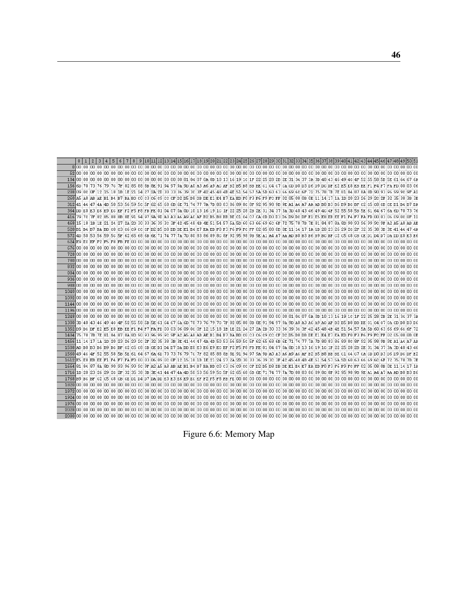|                                          | $\mathbf{0}$ | 1               | $\overline{2}$ | 3                  |    |      |       |                                         |  |       |                   |     |    |       |                                                                                          |    |  |  |                      |             |  |          |      |                                                                                                                                                                                           |          |           |          |                |         |                            |            |             |                            |                |
|------------------------------------------|--------------|-----------------|----------------|--------------------|----|------|-------|-----------------------------------------|--|-------|-------------------|-----|----|-------|------------------------------------------------------------------------------------------|----|--|--|----------------------|-------------|--|----------|------|-------------------------------------------------------------------------------------------------------------------------------------------------------------------------------------------|----------|-----------|----------|----------------|---------|----------------------------|------------|-------------|----------------------------|----------------|
|                                          |              |                 |                |                    |    |      |       |                                         |  |       |                   |     |    |       |                                                                                          |    |  |  |                      |             |  |          |      |                                                                                                                                                                                           |          |           |          |                |         |                            |            |             |                            | 00 00 00       |
|                                          |              |                 |                |                    |    |      |       |                                         |  |       |                   |     |    |       |                                                                                          |    |  |  |                      |             |  |          |      |                                                                                                                                                                                           |          |           |          |                |         |                            |            |             |                            |                |
|                                          |              |                 |                |                    |    |      |       |                                         |  |       |                   |     |    |       |                                                                                          |    |  |  |                      |             |  |          |      |                                                                                                                                                                                           |          |           |          |                | 52 55   |                            |            |             | 58 5B 5E 61 64 67 6A       |                |
|                                          |              | 156 6p 70 73 76 |                |                    | 79 | 70 I | 7F 82 |                                         |  |       |                   |     |    |       |                                                                                          |    |  |  |                      |             |  |          |      | 85 88 88 88 88 91 94 97 9A 9D A0 A3 A6 A9 AC AF B2 B5 B8 BB BE C1 C4 C7 CA CD D0 D3 D6 D9 DC DF E2 E5                                                                                     |          |           |          | E8 EB          |         |                            |            |             |                            | 03 06          |
|                                          |              |                 |                |                    |    |      |       | 208 09 00 0F 12 15 18 18 1E 21 24       |  |       | 27 2A 2D 30 33 36 |     |    |       | 39 30 3F 42 45 48 4B 4E 51 54 57                                                         |    |  |  |                      |             |  |          |      | 5A 5D 60 63 66 69 6C 6F 72 75 78                                                                                                                                                          | 7B 7E 81 |           | 84       | 87             | 8A 8D   | 90                         |            |             |                            |                |
|                                          |              |                 |                |                    |    |      |       |                                         |  |       |                   |     |    |       |                                                                                          |    |  |  |                      |             |  |          |      | 260 A5 A8 AB AE B1 B4 B7 BA BD C0 C3 C6 C9 CC CF D2 D5 D8 DB DE E1 E4 E7 EA ED F0 F3 F6 F9 FC FF 02 05 08 0B 0E 11 14 17 1A 1D 20                                                         |          |           |          | 23 26 29       |         | 2c.                        | 2F         | 32 35       |                            | 38 3B 3E       |
|                                          |              |                 |                |                    |    |      |       |                                         |  |       |                   |     |    |       |                                                                                          |    |  |  |                      |             |  |          |      | 312 41 44 47 48 40 50 53 56 59 50 57 62 65 68 68 67 1 74 77 7A 7p 80 83 86 89 80 87 92 95 98 98 41 A4 A7 AA ap 50 98 98 68 9 80 68 7 8 4 7 AA ap 60 8 7 62 65 68 68 68 68 68 7 1 24 77 28 |          |           |          |                |         |                            |            |             |                            |                |
|                                          |              |                 |                |                    |    |      |       |                                         |  |       |                   |     |    |       |                                                                                          |    |  |  |                      |             |  |          |      | 364 DD E0 E3 E6 E9 E0 EF E2 E5 E9 EB EE 01 04 07 0A 0D 10 13 16 19 10 12 12 25 28 28 28 28 13 34 37 3A 3D 40 43 46 49 46 49 62 55 58                                                      |          |           |          | ISB.           |         |                            |            |             | SE 61 64 67 6A 6D 70 73 76 |                |
|                                          |              |                 |                |                    |    |      |       | 416 79 70 7F 82 85 88 8B 8E 91 94       |  |       |                   |     |    |       |                                                                                          |    |  |  |                      |             |  |          |      | 97 9A 9D AO A3 A6 A9 AC AF B2 B5 B8 BB BE C1 C4 C7 CA CD DO D3 D6 D9 DC DF E2 E5 E8 EB EE F1                                                                                              |          |           |          |                |         | F4 F7 FA FD 00 03 06 09    |            |             |                            | $0c$ $0r$ $12$ |
|                                          |              |                 |                | 468 15 18 18 1E 21 |    |      |       | 24 27 2A 2D 30                          |  | 33 36 | 39                | 3cl |    |       | 3F 42 45 48 4B 4E 51                                                                     |    |  |  | 54 57 5A 5D 60 63    | 66 69 60 6F |  | 72 75 78 | 7B I | 7E 81 84 87 8A 8D                                                                                                                                                                         |          |           | 90       | 93             | 96 99   | 19 C                       | 9F         |             | A2 A5 A8 AB AE             |                |
|                                          |              |                 |                |                    |    |      |       | 520 B1 B4 B7 BA BD C0 C3 C6 C9 CC CF D2 |  |       |                   |     |    |       | D5 D8 DB DE E1 E4 E7 EA ED F0 F3 F6 F9 FC FF                                             |    |  |  |                      |             |  |          |      | 02 05 08 08 0E 11 14 17 1A 1D 20 23 26                                                                                                                                                    |          |           | 29 20 2F |                |         | 32 35 38                   | 3в         | 3E 41       |                            | 44 47 4A       |
|                                          |              |                 |                |                    |    |      |       |                                         |  |       |                   |     |    |       |                                                                                          |    |  |  |                      |             |  |          |      | 572 4D 50 53 56 59 50 57 62 65 68 68 68 67 71 74 77 7A 7D 80 83 86 89 80 80 81 98 98 98 98 81 A4 A7 AA AD B0 B3 B6 B9 B0 B7 02 05 08 08 08 08 09 104 D7 DA DD E0 E3 3                     |          |           |          |                |         |                            |            |             |                            |                |
|                                          |              |                 |                |                    |    |      |       | 624 E9 EC EF F2 F5 F8 FB FE 00 00 00 00 |  |       |                   |     |    |       |                                                                                          |    |  |  |                      |             |  |          |      |                                                                                                                                                                                           |          |           |          |                | lon on. |                            |            |             |                            | na ina ina     |
|                                          |              |                 |                |                    |    |      |       |                                         |  |       |                   |     |    |       |                                                                                          |    |  |  |                      |             |  |          |      |                                                                                                                                                                                           |          |           |          |                |         |                            |            | 00 00 00 00 |                            | 00 00 00       |
|                                          |              |                 |                |                    |    |      |       |                                         |  |       |                   |     |    |       |                                                                                          |    |  |  |                      |             |  |          |      |                                                                                                                                                                                           |          |           |          |                |         |                            |            |             |                            | 00 00 00       |
|                                          |              |                 |                |                    |    |      |       |                                         |  |       |                   |     |    |       |                                                                                          |    |  |  |                      |             |  |          |      |                                                                                                                                                                                           |          |           |          |                |         |                            |            |             |                            |                |
|                                          |              |                 |                |                    |    |      |       |                                         |  |       |                   |     |    |       |                                                                                          |    |  |  |                      |             |  |          |      |                                                                                                                                                                                           |          |           |          |                |         |                            |            |             |                            |                |
|                                          |              |                 |                |                    |    |      |       |                                         |  |       |                   |     |    |       |                                                                                          |    |  |  |                      |             |  |          |      |                                                                                                                                                                                           |          |           |          |                |         |                            |            |             |                            |                |
|                                          |              |                 |                |                    |    |      |       |                                         |  |       |                   |     |    |       |                                                                                          |    |  |  |                      |             |  |          |      |                                                                                                                                                                                           |          |           |          |                |         |                            |            |             |                            | 00 00 00       |
|                                          |              |                 |                |                    |    |      |       |                                         |  |       |                   |     |    |       |                                                                                          |    |  |  |                      |             |  |          |      |                                                                                                                                                                                           |          |           |          |                |         |                            |            |             |                            |                |
|                                          |              |                 |                |                    |    |      |       |                                         |  |       |                   |     |    |       |                                                                                          |    |  |  |                      |             |  |          |      |                                                                                                                                                                                           |          |           |          |                |         |                            |            |             |                            |                |
|                                          |              |                 |                |                    |    |      |       |                                         |  |       |                   |     |    |       |                                                                                          |    |  |  |                      |             |  |          |      |                                                                                                                                                                                           |          |           |          |                |         |                            |            |             |                            | 00 00 00       |
|                                          |              |                 |                |                    |    |      |       |                                         |  |       |                   |     |    |       |                                                                                          |    |  |  |                      |             |  |          |      |                                                                                                                                                                                           |          |           |          |                |         |                            |            |             |                            | 00 00 00       |
|                                          |              |                 |                |                    |    |      |       |                                         |  |       |                   |     |    |       |                                                                                          |    |  |  |                      |             |  |          |      |                                                                                                                                                                                           |          |           |          |                |         |                            |            |             |                            | 00 00 00       |
|                                          |              |                 |                |                    |    |      |       |                                         |  |       |                   |     |    |       |                                                                                          |    |  |  |                      |             |  |          |      |                                                                                                                                                                                           |          |           |          |                |         |                            |            |             |                            |                |
|                                          |              |                 |                |                    |    |      |       |                                         |  |       |                   |     |    |       |                                                                                          |    |  |  |                      |             |  |          |      |                                                                                                                                                                                           |          |           |          |                |         |                            |            |             |                            |                |
| $1352$ D9 DC DF E2 E5 E8 EB EE F1 F4     |              |                 |                |                    |    |      |       |                                         |  |       |                   |     |    |       | F7 FA FD 00 03 06 09 00 0F 12 15 18 1B 1E 21 24 27 2A 2D 30 33 36                        |    |  |  |                      |             |  |          |      | 39 30 3F 42 45 48 4B 4E 51                                                                                                                                                                |          |           | 54       | 57             | 5A 5D   |                            |            |             |                            | 60 6F 72       |
| 1404 75 78 78 7E 81 84 87 8A 8D 90       |              |                 |                |                    |    |      |       |                                         |  | 93 96 |                   |     |    |       |                                                                                          |    |  |  |                      |             |  |          |      | 99 90 97 B2 B5 B8 BB BE B1 B4 B7 BB BD 00 03 06 09 00 07 D2 D5 D8 DB DE E1 E4 E7 EA ED F0 F3 F6 F9                                                                                        |          |           |          |                |         |                            | FC FF      |             |                            | 08 OB OE       |
| 1456 11 14 17 1A 1D 20 23 26 29 20 2F 32 |              |                 |                |                    |    |      |       |                                         |  |       |                   |     |    |       | 35 38 38 3E 41 44 47 4A 4D 50 53                                                         |    |  |  | 56 59 50 5F          |             |  |          |      | 62 65 68 68 6E 71 74 77 7A 7D 80 83 86 89 80 8F                                                                                                                                           |          |           |          |                | 92 95   |                            | 98 9B      | 9E A1       |                            | A4 A7 AA       |
|                                          |              |                 |                |                    |    |      |       |                                         |  |       |                   |     |    |       |                                                                                          |    |  |  |                      |             |  |          |      | 1508 AD B0 B3 B6 B9 BC BF c2 c5 c8 c8 c8 cE D1 D4 D7 DA DD E0 E3 E6 E9 Ec EF F2 F5 F8 FB FE 01 04 07 0A 0D 10 13 16 19 1c 1F 22 25 28 28 28 28 28 134 37 3A 3D 40 43 46                   |          |           |          |                |         |                            |            |             |                            |                |
| 1560 49 40 4F 52 55                      |              |                 |                |                    |    |      |       | 58 5B 5E 61 64                          |  |       | 67 6A 6D 70 73 76 |     | 79 | 70 7F |                                                                                          | 82 |  |  | 85 88 8B 8E 91 94 97 |             |  |          |      | 9A 9D AO A3 A6 A9 AC AF B2 B5 B8 BB                                                                                                                                                       |          | <b>BE</b> |          | C1 C4 C7 CA CD |         |                            | 00 D.3 D.6 |             |                            | DF E2          |
|                                          |              |                 |                |                    |    |      |       |                                         |  |       |                   |     |    |       | 1612 E5 E8 EB EE F1 F4 F7 FA FD 00 03 06 09 00 0F 12 15 18 18 18 12 24 27 2A 2D 30 33 36 |    |  |  |                      |             |  |          |      | 39 30 3F 42 45 48 4B 4E 51 54                                                                                                                                                             |          |           |          |                |         | 57 5A 5D 60 63 66 69 60 6F |            |             |                            | 7B 7E          |
|                                          |              |                 |                |                    |    |      |       |                                         |  |       |                   |     |    |       |                                                                                          |    |  |  |                      |             |  |          |      |                                                                                                                                                                                           |          |           |          |                |         |                            |            |             |                            | 14 17 1A       |
|                                          |              |                 |                |                    |    |      |       |                                         |  |       |                   |     |    |       |                                                                                          |    |  |  |                      |             |  |          |      |                                                                                                                                                                                           |          |           |          |                |         |                            |            |             |                            |                |
|                                          |              |                 |                |                    |    |      |       |                                         |  |       |                   |     |    |       |                                                                                          |    |  |  |                      |             |  |          |      |                                                                                                                                                                                           |          |           |          |                |         |                            |            |             |                            |                |
|                                          |              |                 |                |                    |    |      |       |                                         |  |       |                   |     |    |       |                                                                                          |    |  |  |                      |             |  |          |      |                                                                                                                                                                                           |          |           |          |                |         |                            |            |             |                            |                |
|                                          |              |                 |                |                    |    |      |       |                                         |  |       |                   |     |    |       |                                                                                          |    |  |  |                      |             |  |          |      |                                                                                                                                                                                           |          |           |          |                |         |                            |            |             |                            | 100 00 00      |
|                                          |              |                 |                |                    |    |      |       |                                         |  |       |                   |     |    |       |                                                                                          |    |  |  |                      |             |  |          |      |                                                                                                                                                                                           |          |           |          |                |         |                            |            |             |                            |                |
|                                          |              |                 |                |                    |    |      |       |                                         |  |       |                   |     |    |       |                                                                                          |    |  |  |                      |             |  |          |      |                                                                                                                                                                                           |          |           |          |                |         |                            |            |             |                            | 00 00 00       |
|                                          |              |                 |                |                    |    |      |       |                                         |  |       |                   |     |    |       |                                                                                          |    |  |  |                      |             |  |          |      |                                                                                                                                                                                           |          |           |          |                |         |                            |            |             |                            | 00 00 00       |
|                                          |              |                 |                |                    |    |      |       |                                         |  |       |                   |     |    |       |                                                                                          |    |  |  |                      |             |  |          |      |                                                                                                                                                                                           |          |           |          |                |         |                            |            |             |                            |                |
|                                          |              |                 |                |                    |    |      |       |                                         |  |       |                   |     |    |       |                                                                                          |    |  |  |                      |             |  |          |      |                                                                                                                                                                                           |          |           |          |                |         |                            |            |             |                            |                |

Figure 6.6: Memory Map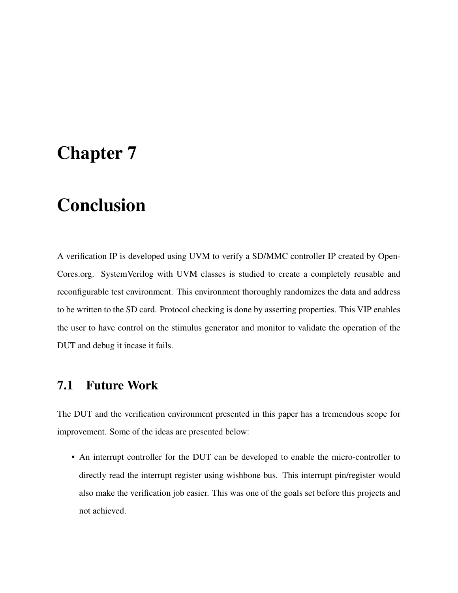## Chapter 7

# Conclusion

A verification IP is developed using UVM to verify a SD/MMC controller IP created by Open-Cores.org. SystemVerilog with UVM classes is studied to create a completely reusable and reconfigurable test environment. This environment thoroughly randomizes the data and address to be written to the SD card. Protocol checking is done by asserting properties. This VIP enables the user to have control on the stimulus generator and monitor to validate the operation of the DUT and debug it incase it fails.

## 7.1 Future Work

The DUT and the verification environment presented in this paper has a tremendous scope for improvement. Some of the ideas are presented below:

• An interrupt controller for the DUT can be developed to enable the micro-controller to directly read the interrupt register using wishbone bus. This interrupt pin/register would also make the verification job easier. This was one of the goals set before this projects and not achieved.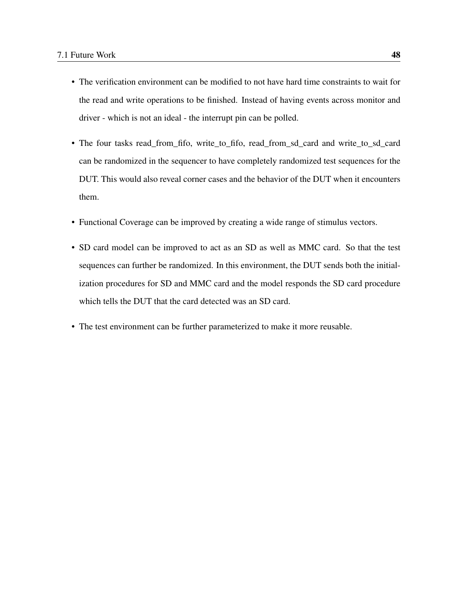- The verification environment can be modified to not have hard time constraints to wait for the read and write operations to be finished. Instead of having events across monitor and driver - which is not an ideal - the interrupt pin can be polled.
- The four tasks read\_from\_fifo, write\_to\_fifo, read\_from\_sd\_card and write\_to\_sd\_card can be randomized in the sequencer to have completely randomized test sequences for the DUT. This would also reveal corner cases and the behavior of the DUT when it encounters them.
- Functional Coverage can be improved by creating a wide range of stimulus vectors.
- SD card model can be improved to act as an SD as well as MMC card. So that the test sequences can further be randomized. In this environment, the DUT sends both the initialization procedures for SD and MMC card and the model responds the SD card procedure which tells the DUT that the card detected was an SD card.
- The test environment can be further parameterized to make it more reusable.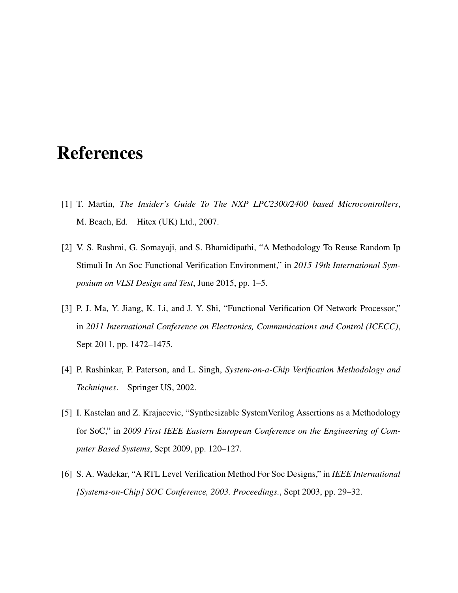## References

- [1] T. Martin, *The Insider's Guide To The NXP LPC2300/2400 based Microcontrollers*, M. Beach, Ed. Hitex (UK) Ltd., 2007.
- [2] V. S. Rashmi, G. Somayaji, and S. Bhamidipathi, "A Methodology To Reuse Random Ip Stimuli In An Soc Functional Verification Environment," in *2015 19th International Symposium on VLSI Design and Test*, June 2015, pp. 1–5.
- [3] P. J. Ma, Y. Jiang, K. Li, and J. Y. Shi, "Functional Verification Of Network Processor," in *2011 International Conference on Electronics, Communications and Control (ICECC)*, Sept 2011, pp. 1472–1475.
- [4] P. Rashinkar, P. Paterson, and L. Singh, *System-on-a-Chip Verification Methodology and Techniques*. Springer US, 2002.
- [5] I. Kastelan and Z. Krajacevic, "Synthesizable SystemVerilog Assertions as a Methodology for SoC," in *2009 First IEEE Eastern European Conference on the Engineering of Computer Based Systems*, Sept 2009, pp. 120–127.
- [6] S. A. Wadekar, "A RTL Level Verification Method For Soc Designs," in *IEEE International [Systems-on-Chip] SOC Conference, 2003. Proceedings.*, Sept 2003, pp. 29–32.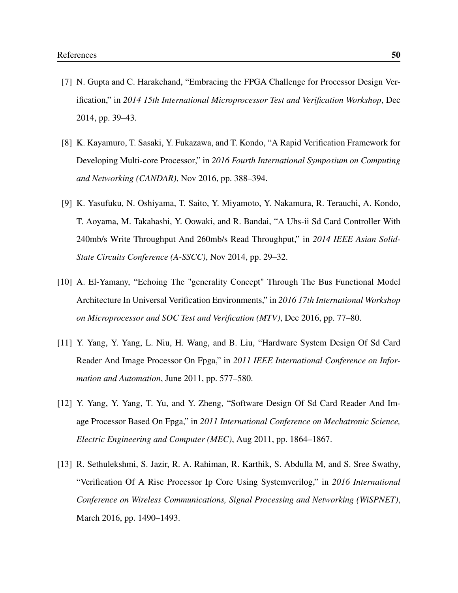- [7] N. Gupta and C. Harakchand, "Embracing the FPGA Challenge for Processor Design Verification," in *2014 15th International Microprocessor Test and Verification Workshop*, Dec 2014, pp. 39–43.
- [8] K. Kayamuro, T. Sasaki, Y. Fukazawa, and T. Kondo, "A Rapid Verification Framework for Developing Multi-core Processor," in *2016 Fourth International Symposium on Computing and Networking (CANDAR)*, Nov 2016, pp. 388–394.
- [9] K. Yasufuku, N. Oshiyama, T. Saito, Y. Miyamoto, Y. Nakamura, R. Terauchi, A. Kondo, T. Aoyama, M. Takahashi, Y. Oowaki, and R. Bandai, "A Uhs-ii Sd Card Controller With 240mb/s Write Throughput And 260mb/s Read Throughput," in *2014 IEEE Asian Solid-State Circuits Conference (A-SSCC)*, Nov 2014, pp. 29–32.
- [10] A. El-Yamany, "Echoing The "generality Concept" Through The Bus Functional Model Architecture In Universal Verification Environments," in *2016 17th International Workshop on Microprocessor and SOC Test and Verification (MTV)*, Dec 2016, pp. 77–80.
- [11] Y. Yang, Y. Yang, L. Niu, H. Wang, and B. Liu, "Hardware System Design Of Sd Card Reader And Image Processor On Fpga," in *2011 IEEE International Conference on Information and Automation*, June 2011, pp. 577–580.
- [12] Y. Yang, Y. Yang, T. Yu, and Y. Zheng, "Software Design Of Sd Card Reader And Image Processor Based On Fpga," in *2011 International Conference on Mechatronic Science, Electric Engineering and Computer (MEC)*, Aug 2011, pp. 1864–1867.
- [13] R. Sethulekshmi, S. Jazir, R. A. Rahiman, R. Karthik, S. Abdulla M, and S. Sree Swathy, "Verification Of A Risc Processor Ip Core Using Systemverilog," in *2016 International Conference on Wireless Communications, Signal Processing and Networking (WiSPNET)*, March 2016, pp. 1490–1493.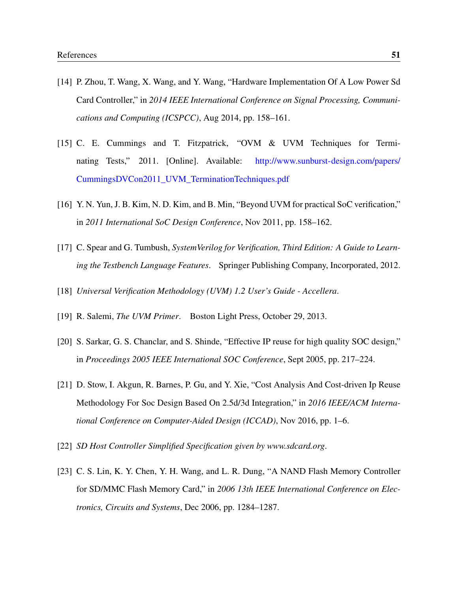- [14] P. Zhou, T. Wang, X. Wang, and Y. Wang, "Hardware Implementation Of A Low Power Sd Card Controller," in *2014 IEEE International Conference on Signal Processing, Communications and Computing (ICSPCC)*, Aug 2014, pp. 158–161.
- [15] C. E. Cummings and T. Fitzpatrick, "OVM & UVM Techniques for Terminating Tests," 2011. [Online]. Available: [http://www.sunburst-design.com/papers/](http://www.sunburst-design.com/papers/CummingsDVCon2011_UVM_TerminationTechniques.pdf) [CummingsDVCon2011\\_UVM\\_TerminationTechniques.pdf](http://www.sunburst-design.com/papers/CummingsDVCon2011_UVM_TerminationTechniques.pdf)
- [16] Y. N. Yun, J. B. Kim, N. D. Kim, and B. Min, "Beyond UVM for practical SoC verification," in *2011 International SoC Design Conference*, Nov 2011, pp. 158–162.
- [17] C. Spear and G. Tumbush, *SystemVerilog for Verification, Third Edition: A Guide to Learning the Testbench Language Features*. Springer Publishing Company, Incorporated, 2012.
- <span id="page-62-1"></span>[18] *Universal Verification Methodology (UVM) 1.2 User's Guide - Accellera*.
- <span id="page-62-0"></span>[19] R. Salemi, *The UVM Primer*. Boston Light Press, October 29, 2013.
- [20] S. Sarkar, G. S. Chanclar, and S. Shinde, "Effective IP reuse for high quality SOC design," in *Proceedings 2005 IEEE International SOC Conference*, Sept 2005, pp. 217–224.
- [21] D. Stow, I. Akgun, R. Barnes, P. Gu, and Y. Xie, "Cost Analysis And Cost-driven Ip Reuse Methodology For Soc Design Based On 2.5d/3d Integration," in *2016 IEEE/ACM International Conference on Computer-Aided Design (ICCAD)*, Nov 2016, pp. 1–6.
- [22] *SD Host Controller Simplified Specification given by www.sdcard.org*.
- [23] C. S. Lin, K. Y. Chen, Y. H. Wang, and L. R. Dung, "A NAND Flash Memory Controller for SD/MMC Flash Memory Card," in *2006 13th IEEE International Conference on Electronics, Circuits and Systems*, Dec 2006, pp. 1284–1287.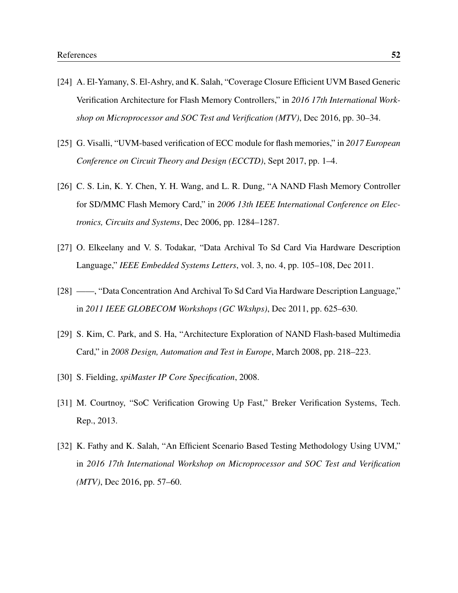- [24] A. El-Yamany, S. El-Ashry, and K. Salah, "Coverage Closure Efficient UVM Based Generic Verification Architecture for Flash Memory Controllers," in *2016 17th International Workshop on Microprocessor and SOC Test and Verification (MTV)*, Dec 2016, pp. 30–34.
- [25] G. Visalli, "UVM-based verification of ECC module for flash memories," in *2017 European Conference on Circuit Theory and Design (ECCTD)*, Sept 2017, pp. 1–4.
- [26] C. S. Lin, K. Y. Chen, Y. H. Wang, and L. R. Dung, "A NAND Flash Memory Controller for SD/MMC Flash Memory Card," in *2006 13th IEEE International Conference on Electronics, Circuits and Systems*, Dec 2006, pp. 1284–1287.
- [27] O. Elkeelany and V. S. Todakar, "Data Archival To Sd Card Via Hardware Description Language," *IEEE Embedded Systems Letters*, vol. 3, no. 4, pp. 105–108, Dec 2011.
- [28] ——, "Data Concentration And Archival To Sd Card Via Hardware Description Language," in *2011 IEEE GLOBECOM Workshops (GC Wkshps)*, Dec 2011, pp. 625–630.
- [29] S. Kim, C. Park, and S. Ha, "Architecture Exploration of NAND Flash-based Multimedia Card," in *2008 Design, Automation and Test in Europe*, March 2008, pp. 218–223.
- <span id="page-63-0"></span>[30] S. Fielding, *spiMaster IP Core Specification*, 2008.
- <span id="page-63-1"></span>[31] M. Courtnoy, "SoC Verification Growing Up Fast," Breker Verification Systems, Tech. Rep., 2013.
- <span id="page-63-2"></span>[32] K. Fathy and K. Salah, "An Efficient Scenario Based Testing Methodology Using UVM," in *2016 17th International Workshop on Microprocessor and SOC Test and Verification (MTV)*, Dec 2016, pp. 57–60.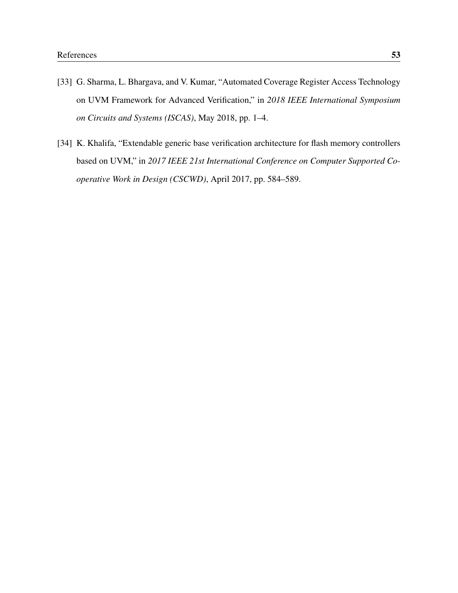- <span id="page-64-0"></span>[33] G. Sharma, L. Bhargava, and V. Kumar, "Automated Coverage Register Access Technology on UVM Framework for Advanced Verification," in *2018 IEEE International Symposium on Circuits and Systems (ISCAS)*, May 2018, pp. 1–4.
- <span id="page-64-1"></span>[34] K. Khalifa, "Extendable generic base verification architecture for flash memory controllers based on UVM," in *2017 IEEE 21st International Conference on Computer Supported Cooperative Work in Design (CSCWD)*, April 2017, pp. 584–589.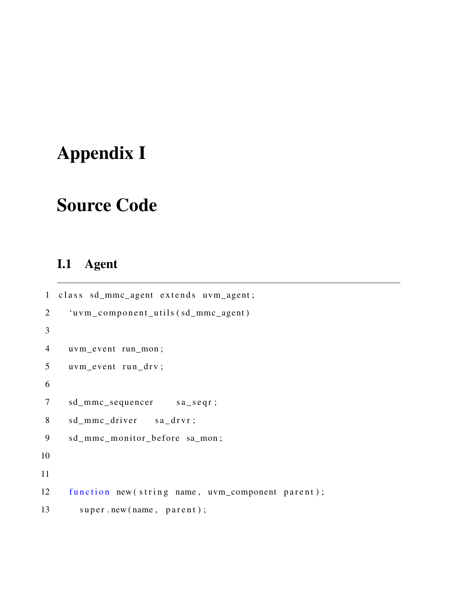# Appendix I

# Source Code

## I.1 Agent

```
1 class sd_mmc_agent extends uvm_agent;
2 'uvm_component_utils (sd_mmc_agent)
3
4 uvm_event run_mon ;
5 uvm_event run_drv;
6
7 sd_mmc_sequencer sa_seqr;
8 sd_mmc_driver sa_drvr;
9 sd_mmc_monitor_before sa_mon ;
10
11
12 function new (string name, uvm_component parent);
13 super.new (name, parent);
```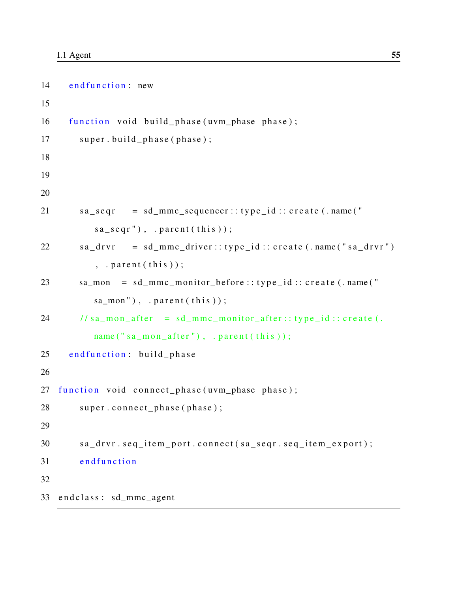```
14 end function: new
15
16 function void build phase (uvm phase phase);
17 super.build_phase(phase);
18
19
20
21 sa seq r = sd mmc sequencer :: type id :: c r e a t e ( . name ("
          sa\_seqr"), . parent (this));
22 sa_drvr = sd_mmc_driver:: type_id:: create (.name("sa_drvr")
          , . parent (\text{this}) ;
23 sa_mon = sd\_mmc\_monitor\_before::type_id::create( .name( " )sa\_mon'), . parent (this));
24 // sa_mon_after = sd_mmc_monitor_after :: type_id :: create (.
          name("sa\_mon\_after"),. parent (this));
25 end function: build_phase
26
27 function void connect_phase (uvm_phase phase);
28 super.connect_phase(phase);
29
30 sa_drvr.seq_item_port.connect(sa_seqr.seq_item_export);
31 end function
32
33 end class: sd_mmc_agent
```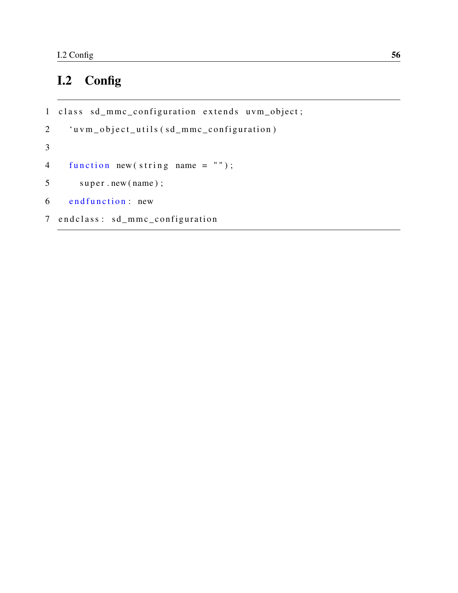## I.2 Config

```
1 class sd_mmc_configuration extends uvm_object;
2 'uvm_object_utils (sd_mmc_configuration)
3
4 function new (string name = ");
5 super.new (name);
6 end function: new
```

```
7 end class: sd_mmc_configuration
```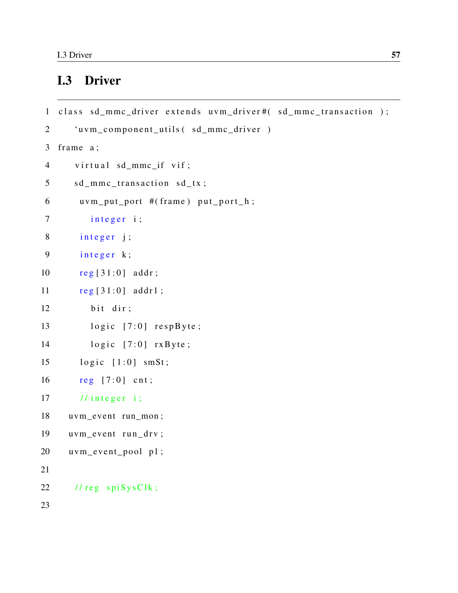## I.3 Driver

```
1 class sd_mmc_driver extends uvm_driver#( sd_mmc_transaction );
2 'uvm_component_utils (sd_mmc_driver)
3 frame a ;
4 virtual sd_mmc_if vif;
5 \qquad \text{sd\_mmc\_transaction} \quad \text{sd\_tx ;}6 uvm_put_port #(frame) put_port_h;
7 integer i;
8 integer j;
9 integer k;
10 reg [31:0] add r ;11 \text{ reg } [31:0] \text{ addr1};12 bit dir;
13 logic [7:0] respByte;14 logic [7:0] rxByte;15 logic [1:0] smSt;16 \text{ reg } [7:0] \text{ cnt};17 // integer i;
18 uvm_event run_mon ;
19 uvm_event run_drv;
20 uvm_event_pool p1 ;
21
22 // reg spiSysClk;
23
```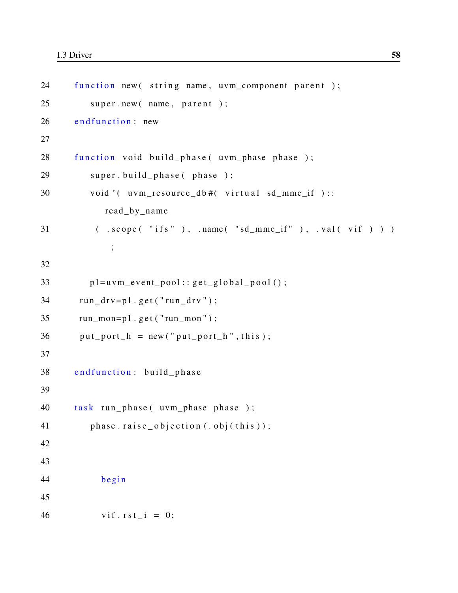```
24 function new (string name, uvm_component parent );
25 super . new (name, parent);
26 end function: new
27
28 function void build_phase ( uvm_phase phase );
29 super.build_phase(phase);
30 void '( uvm_resource_db#( virtual sd_mmc_if )::
            read_by_name
31 ( \text{scope} ( \text{if } s "), \text{name} \text{name} \text{end} \text{minc}_if "), \text{val} ( \text{vif} ) )
             ;
32
33 p1= uvm_event_pool :: get\_global\_pool ();
34 run_drv=p1.get ("run_drv");
35 run_mon=p1.get ("run_mon");
36 put _port _h = new ("put _port _h", this);
37
38 end function: build_phase
39
40 task run phase ( uvm phase phase );
41 phase . \text{raise\_objection}(. \text{obj}(\text{this}));42
43
44 begin
45
46 vif. rst_i = 0;
```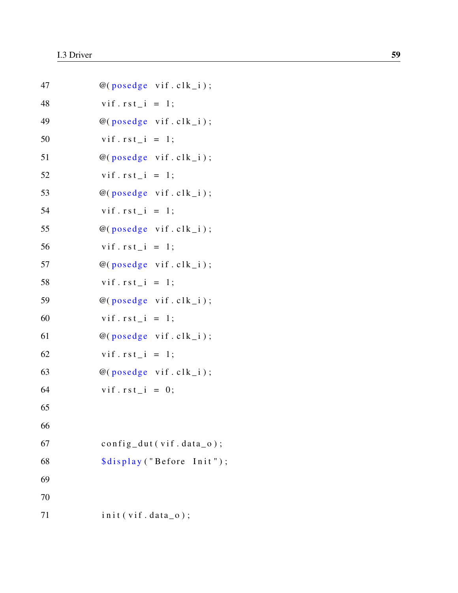| 47 | $@(posedge vif. clk_i);$     |
|----|------------------------------|
| 48 | $v$ if. $r$ st_i = 1;        |
| 49 | $@(posedge \ vif. \,clk_i);$ |
| 50 | vif. $rst_i = 1$ ;           |
| 51 | $@(posedge \ vif. \,clk_i);$ |
| 52 | $v$ if. $rst_i = 1;$         |
| 53 | $@(posedge vif. clk_i);$     |
| 54 | $v$ if. $rst_i = 1;$         |
| 55 | $@(posedge \ vif. \,clk_i);$ |
| 56 | $v$ if.rst_i = 1;            |
| 57 | $@(posedge \ vif. \,clk_i);$ |
| 58 | $v$ if.rst_i = 1;            |
| 59 | $@(posedge vif. clk_i);$     |
| 60 | $v$ if.rst_i = 1;            |
| 61 | $@(posedge \ vif. \,clk_i);$ |
| 62 | $v$ if.rst_i = 1;            |
| 63 | $@(posedge vif. clk_i);$     |
| 64 | vif. $rst_i = 0;$            |
| 65 |                              |
| 66 |                              |
| 67 | config_dut(vif.data_o);      |
| 68 | \$display ("Before Init");   |
| 69 |                              |
| 70 |                              |
| 71 | init (vif.data_o);           |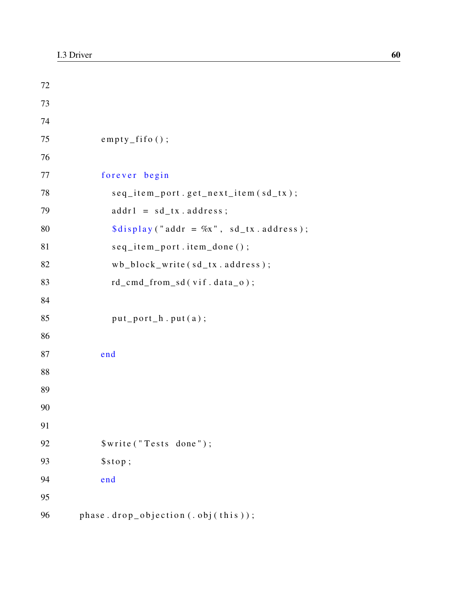| 72 |                                                |
|----|------------------------------------------------|
| 73 |                                                |
| 74 |                                                |
| 75 | $empty_{fit}($ );                              |
| 76 |                                                |
| 77 | forever begin                                  |
| 78 | seq_item_port.get_next_item(sd_tx);            |
| 79 | $addr1 = sd_tx.address;$                       |
| 80 | $\delta$ display ("addr = %x", sd_tx.address); |
| 81 | seq_item_port.item_done();                     |
| 82 | wb_block_write(sd_tx.address);                 |
| 83 | rd_cmd_from_sd(vif.data_o);                    |
| 84 |                                                |
| 85 | $put\_port\_h . put(a);$                       |
| 86 |                                                |
| 87 | end                                            |
| 88 |                                                |
| 89 |                                                |
| 90 |                                                |
| 91 |                                                |
| 92 | \$write ("Tests done");                        |
| 93 | \$stop;                                        |
| 94 | end                                            |
| 95 |                                                |
| 96 | phase.drop_objection(.obj(this));              |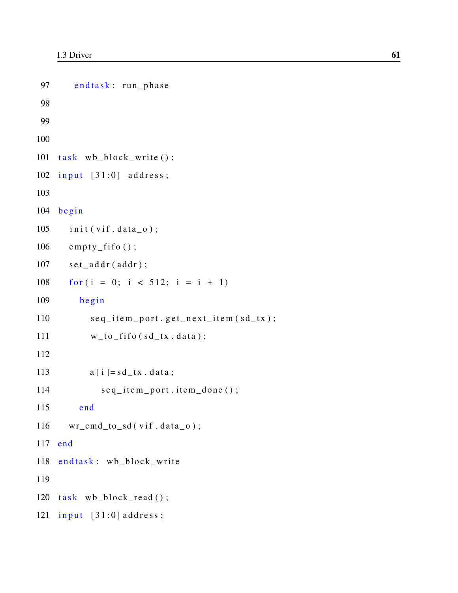```
97
        endtask: run_phase
98
99
100
101 task wb_block_write();
102 input [31:0] address;
103
104 begin
105
       init (vif.data_o);
      empty_fifo();
106
107
       set\_addr (addr);
      for (i = 0; i < 512; i = i + 1)108
         begin{bmatrix}b \\ c \\ d\end{bmatrix}109
110
           seq\_item\_port.get\_next\_item(sd_t x);w_to_fifo(sd_t x.data);111
112
113
           a[i]=sd_{tx}.data;seq_item_port.item_done();
114
115
         end
116
       wr\_cmd\_to\_sd(vif.data_o);117 end
118 endtask: wb_block_write
119
120 task wb_block_read();
121 input [31:0] address;
```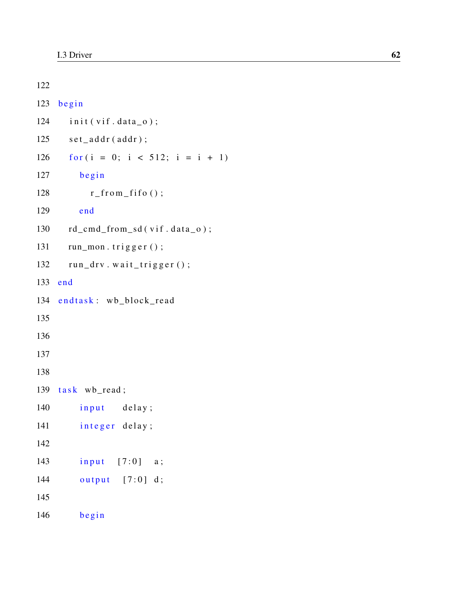| 122 |                                   |
|-----|-----------------------------------|
|     | 123 begin                         |
| 124 | $init(vif.data_o);$               |
| 125 | $set\_addr$ ( $addr$ );           |
| 126 | for $(i = 0; i < 512; i = i + 1)$ |
| 127 | begin                             |
| 128 | $r_from_fif\omega$ ();            |
| 129 | end                               |
| 130 | rd_cmd_from_sd(vif.data_o);       |
| 131 | $run\_mon. trigger();$            |
| 132 | $run_drv$ . wait_trigger();       |
|     | 133 end                           |
|     | 134 endtask: wb_block_read        |
| 135 |                                   |
| 136 |                                   |
| 137 |                                   |
| 138 |                                   |
|     | 139 task wb_read;                 |
| 140 | input delay;                      |
| 141 | integer delay;                    |
| 142 |                                   |
| 143 | $input$ $[7:0]$<br>a;             |
| 144 | output $[7:0]$ d;                 |
| 145 |                                   |
| 146 | begin                             |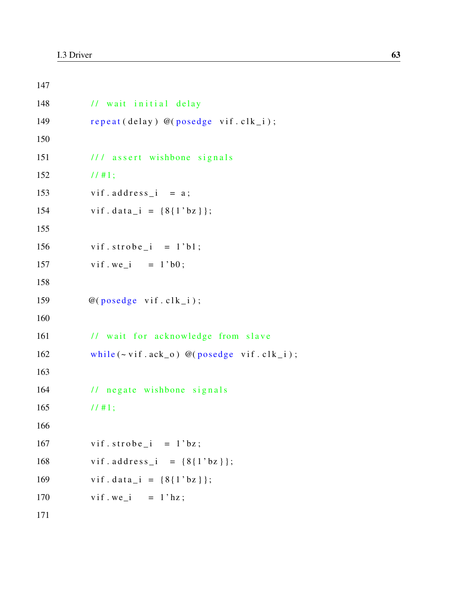```
147
148 // wait initial delay
149 repeat (delay) \mathcal{Q}(\text{posedge vif.clk}_i);150
151 /// assert wishbone signals
152 //#1;
153 vif. address i = a;
154 vif . data_i = {8{1'bc}};155
156 vif.strobe_i = 1'b1;
157 vif. we i = 1' b0;
158
159 @(posedge vif. clk_i);160
161 // wait for acknowledge from slave
162 while (\sim \text{vir} \cdot \text{ack}_0) \ @(\text{posedge} \text{vir} \cdot \text{clk}_i);163
164 // negate wishbone signals
165 //#1;
166
167 vif.strobe_i = 1'bz;
168 vif. address_i = \{8\{1'bz\}\};169 vif.data_i = {8{1'bc}};170 v if we i = 1 ' hz;
171
```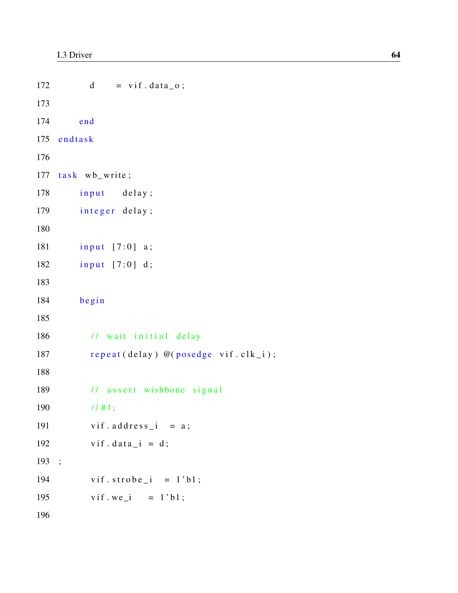| 172 | $d = vif.data_o;$                    |
|-----|--------------------------------------|
| 173 |                                      |
| 174 | end                                  |
|     | 175 endtask                          |
| 176 |                                      |
|     | 177 task wb_write;                   |
| 178 | input delay;                         |
| 179 | integer delay;                       |
| 180 |                                      |
| 181 | input [7:0] a;                       |
| 182 | input [7:0] d;                       |
| 183 |                                      |
| 184 | begin                                |
| 185 |                                      |
| 186 | // wait initial delay                |
| 187 | repeat (delay) @(posedge vif.clk_i); |
| 188 |                                      |
| 189 | // assert wishbone signal            |
| 190 | 11#1;                                |
| 191 | vif. $address_i = a;$                |
| 192 | $v$ if.data_i = d;                   |
| 193 | $\ddot{\phantom{1}}$                 |
| 194 | vif.strobe_i = $1$ 'bl;              |
| 195 | vif.we_i = $1'$ b1;                  |
| 196 |                                      |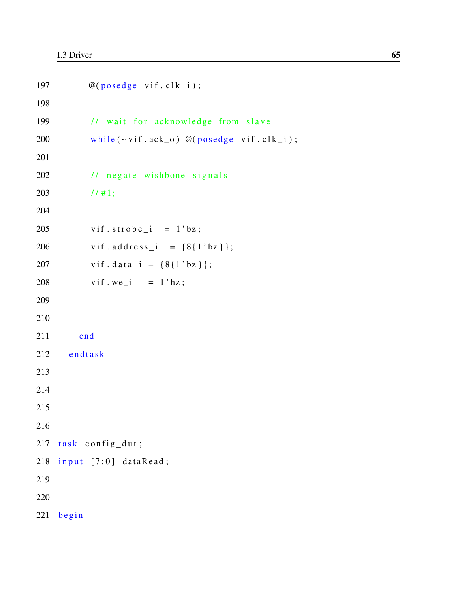```
@(posedge vif.clk_i);197
198
           // wait for acknowledge from slave
199
           while (\sim \text{vif .ack}_0) @(posedge vif.clk_i);
200
201
202
           // negate wishbone signals
203
           11#1;204
           vif .strobe_i = 1'bz;205
           vif. address_i = \{8\{1'bz\}\};206
           vif.data_i = {8{1'bc}};207
           vif.we_i = 1' hz;
208
209
210
211
         end
212
      endtask213
214
215
216
    task config_dut;
217
218 input [7:0] dataRead;
219
220
221 begin
```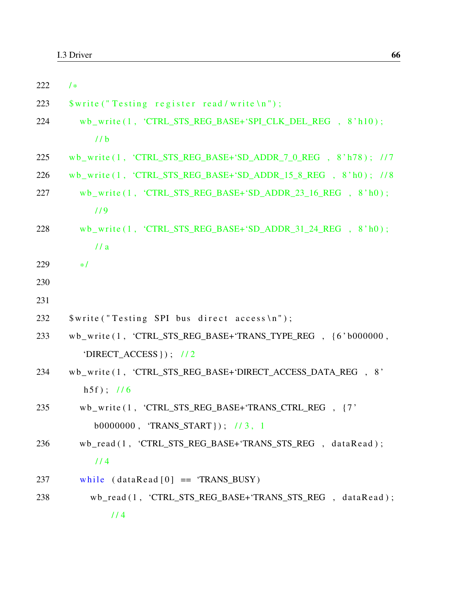| 222 | $/$ *                                                              |
|-----|--------------------------------------------------------------------|
| 223 | \$write ("Testing register read/write\n");                         |
| 224 | wb_write(1, 'CTRL_STS_REG_BASE+'SPI_CLK_DEL_REG, 8'h10);           |
|     | 1/b                                                                |
| 225 | wb_write(1, 'CTRL_STS_REG_BASE+'SD_ADDR_7_0_REG, 8'h78); //7       |
| 226 | $wb\_write(1, 'CTRL_STS\_REG_BASE+'SD_ADDR_15_8\_REG , 8'h0);$ //8 |
| 227 | $wb\_write(1, 'CTRL_STS\_REG_BASE+'SD_ADDR_23_16\_REG , 8'h0);$    |
|     | 1/9                                                                |
| 228 | wb_write $(1, 'CTRL_STS\_REG_BASE+'SD_ADDR_31_24\_REG, 8'h0);$     |
|     | 1/a                                                                |
| 229 | $*$                                                                |
| 230 |                                                                    |
| 231 |                                                                    |
| 232 | \$write("Testing SPI bus direct access\n");                        |
| 233 | wb_write(1, 'CTRL_STS_REG_BASE+'TRANS_TYPE_REG, {6'b000000,        |
|     | 'DIRECT_ACCESS }); $1/2$                                           |
| 234 | wb_write(1, 'CTRL_STS_REG_BASE+'DIRECT_ACCESS_DATA_REG, 8'         |
|     | $h5f$ ; //6                                                        |
| 235 | wb_write(1, 'CTRL_STS_REG_BASE+'TRANS_CTRL_REG, {7'                |
|     | b0000000, 'TRANS_START }); //3, 1                                  |
| 236 | wb_read(1, 'CTRL_STS_REG_BASE+'TRANS_STS_REG, dataRead);           |
|     | 1/4                                                                |
| 237 | while $(dataRead[0] == 'TRANS_BUSY)$                               |
| 238 | wb_read(1, 'CTRL_STS_REG_BASE+'TRANS_STS_REG, dataRead);           |
|     | 1/4                                                                |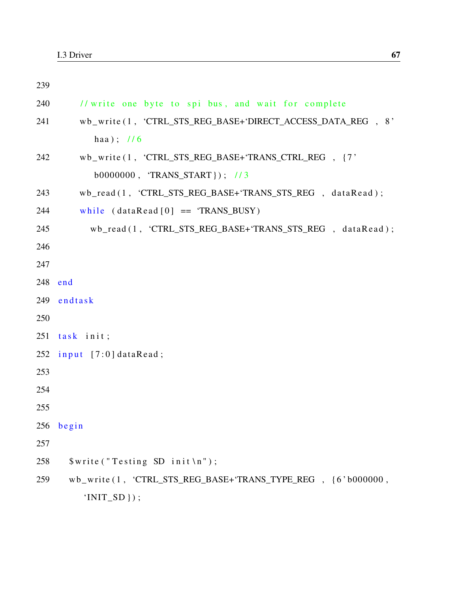| 239 |                                                                    |
|-----|--------------------------------------------------------------------|
| 240 | // write one byte to spi bus, and wait for complete                |
| 241 | wb_write(1, 'CTRL_STS_REG_BASE+'DIRECT_ACCESS_DATA_REG, 8'         |
|     | haa); $/6$                                                         |
| 242 | wb_write(1, 'CTRL_STS_REG_BASE+'TRANS_CTRL_REG, {7'                |
|     | $b00000000$ , 'TRANS_START }); //3                                 |
| 243 | wb_read(1, 'CTRL_STS_REG_BASE+'TRANS_STS_REG, dataRead);           |
| 244 | while $(dataRead[0] == 'TRANS_BUSY)$                               |
| 245 | wb_read(1, 'CTRL_STS_REG_BASE+'TRANS_STS_REG, dataRead);           |
| 246 |                                                                    |
| 247 |                                                                    |
|     | 248 end                                                            |
|     | 249 endtask                                                        |
| 250 |                                                                    |
|     | 251 task init;                                                     |
| 252 | $input$ [7:0] dataRead;                                            |
| 253 |                                                                    |
| 254 |                                                                    |
| 255 |                                                                    |
| 256 | begin                                                              |
| 257 |                                                                    |
| 258 | $\text{Write}("Testing SD init\{n"\};$                             |
| 259 | $wb\_write(1, 'CTRL_STS\_REG_BASE+'TRANS_TYPE\_REG , \{6\}b00000,$ |
|     | ' $INT\_SD$ });                                                    |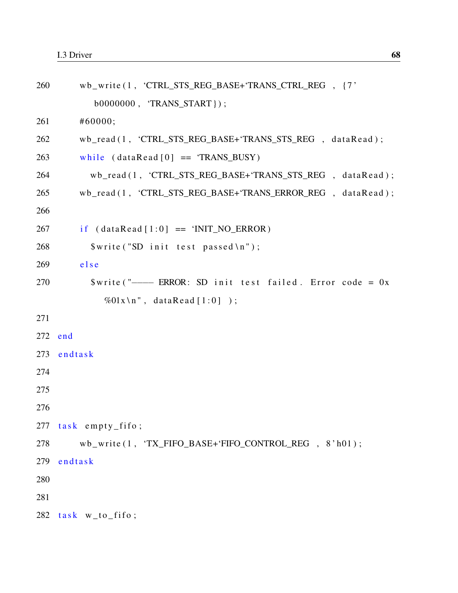```
260 wb_write (1, 'CTRL_STS_REG_BASE+'TRANS_CTRL_REG, {7'
          b0000000 , 'TRANS_START} ) ;
261 #60000;
262 wb_read (1, 'CTRL_STS_REG_BASE+'TRANS_STS_REG, dataRead);
263 while (dataRead[0] == 'TRANS BUSY)264 wb_read (1, 'CTRL_STS_REG_BASE+'TRANS_STS_REG, dataRead);
265 wb_read (1, 'CTRL_STS_REG_BASE+'TRANS_ERROR_REG, dataRead);
266
267 if (dataRead [1:0] == 'INIT_NO_ERROR)268 $write('SD init test passed\n'n');269 e l s e
270 $write ("\rightarrow ERROR: SD init test failed. Error code = 0x
            %01x \n\cdot n", dataRead [1:0] );
271
272 end
273 endtask
274
275
276
277 task empty fifo;
278 wb_write (1, 'TX_FIFO_BASE+'FIFO_CONTROL_REG, 8'h01);
279 endtask
280
281
282 task w_to_fifo;
```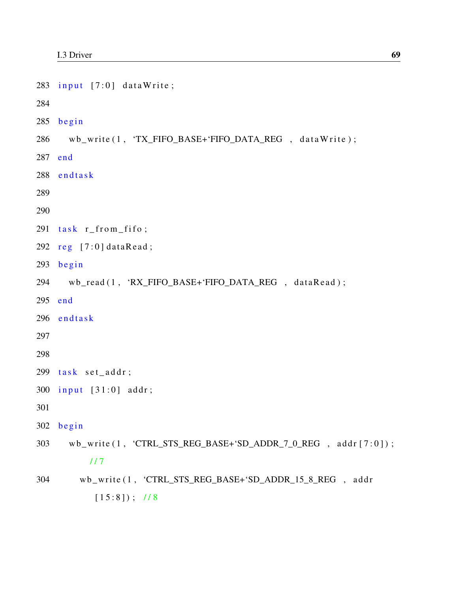```
283 input [7:0] data Write;
284
285 begin
286 wb_write (1, 'TX_FIFO_BASE+'FIFO_DATA_REG, dataWrite);
287 end
288 endtask
289
290
291 task r_f from _f if o;
292 reg [7:0] dataRead;
293 begin
294 wb_read (1, 'RX_FIFO_BASE+'FIFO_DATA_REG, dataRead);
295 end
296 endtask
297
298
299 task set_addr;
300 input [31:0] addr;
301
302 begin
303 wb_write (1, 'CTRL_STS_REG_BASE+'SD_ADDR_7_0_REG, addr [7:0]);
          / / 7
304 wb_write (1, 'CTRL_STS_REG_BASE+'SD_ADDR_15_8_REG, addr
           [15:8]); //8
```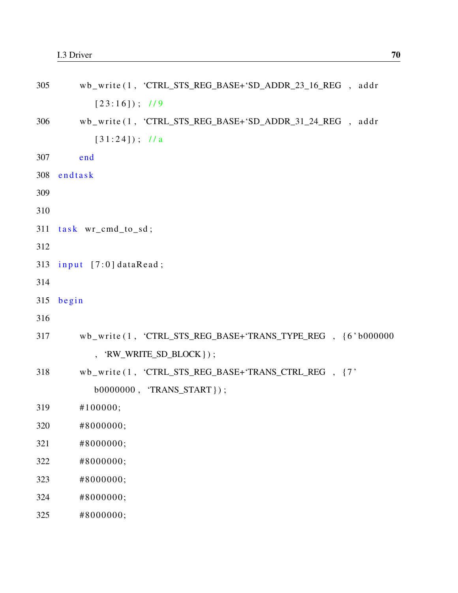| 305 | wb_write(1, 'CTRL_STS_REG_BASE+'SD_ADDR_23_16_REG, addr    |
|-----|------------------------------------------------------------|
|     | $[23:16]$ ; //9                                            |
| 306 | wb_write(1, 'CTRL_STS_REG_BASE+'SD_ADDR_31_24_REG, addr    |
|     | $[31:24])$ ; //a                                           |
| 307 | end                                                        |
| 308 | endtask                                                    |
| 309 |                                                            |
| 310 |                                                            |
| 311 | task wr_cmd_to_sd;                                         |
| 312 |                                                            |
| 313 | input [7:0] dataRead;                                      |
| 314 |                                                            |
| 315 | begin                                                      |
| 316 |                                                            |
| 317 | wb_write(1, 'CTRL_STS_REG_BASE+'TRANS_TYPE_REG, {6'b000000 |
|     | , 'RW_WRITE_SD_BLOCK $\}$ ) ;                              |
| 318 | wb_write(1, 'CTRL_STS_REG_BASE+'TRANS_CTRL_REG, {7'        |
|     | b0000000, 'TRANS_START });                                 |
| 319 | #100000;                                                   |
| 320 | #8000000;                                                  |
| 321 | #8000000;                                                  |
| 322 | #8000000;                                                  |
| 323 | #8000000;                                                  |
| 324 | #8000000;                                                  |
| 325 | #8000000;                                                  |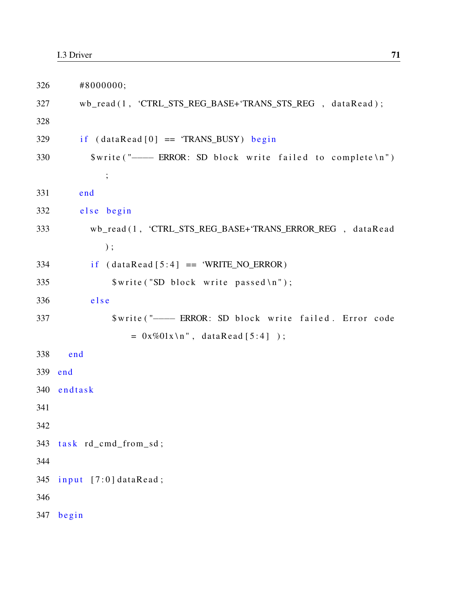| 326 | #8000000;                                                   |
|-----|-------------------------------------------------------------|
| 327 | wb_read(1, 'CTRL_STS_REG_BASE+'TRANS_STS_REG, dataRead);    |
| 328 |                                                             |
| 329 | if $(dataRead[0] == 'TRANS_BUSY) begin$                     |
| 330 | \$write ("--- ERROR: SD block write failed to complete \n") |
|     | $\vdots$                                                    |
| 331 | end                                                         |
| 332 | else begin                                                  |
| 333 | wb_read(1, 'CTRL_STS_REG_BASE+'TRANS_ERROR_REG, dataRead    |
|     | );                                                          |
| 334 | $if (dataRead[5:4] == 'WRITE_NO_ERROR)$                     |
| 335 | \$write ("SD block write passed\n");                        |
| 336 | else                                                        |
| 337 | \$write ("---- ERROR: SD block write failed. Error code     |
|     | $= 0x\%01x \ln^{\prime\prime}$ , dataRead [5:4] );          |
| 338 | end                                                         |
| 339 | end                                                         |
| 340 | endtask                                                     |
| 341 |                                                             |
| 342 |                                                             |
| 343 | task rd_cmd_from_sd;                                        |
| 344 |                                                             |
| 345 | $input$ [7:0] dataRead;                                     |
| 346 |                                                             |
| 347 | begin                                                       |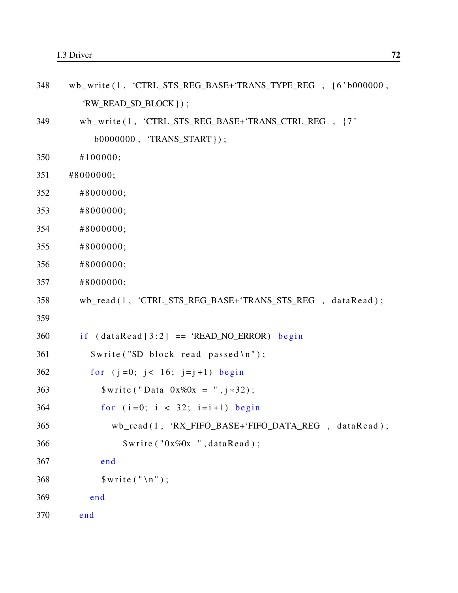```
348 wb_write (1, 'CTRL_STS_REG_BASE+'TRANS_TYPE_REG, {6'b000000,
       'RW_READ_SD_BLOCK} ) ;
349 wb_write (1, 'CTRL_STS_REG_BASE+'TRANS_CTRL_REG , {7'
         b0000000 , 'TRANS_START} ) ;
350 #100000;
351 #8000000;
352 #8000000;
353 #8000000;
354 #8000000;
355 #8000000;
356 #8000000;
357 #8000000;
358 wb_read (1, 'CTRL_STS_REG_BASE+'TRANS_STS_REG, dataRead);
359
360 if (dataRead [3:2] == 'READ_NO_ERROR) begin361 $write ("SD block read passed \n");
362 for (j=0; j < 16; j=j+1) begin
363 $write ("Data 0x\%0x = ", j*32);
364 for (i=0; i < 32; i=i+1) begin
365 wb_read (1, 'RX_FIFO_BASE+'FIFO_DATA_REG, dataRead);
366 $write ("0x\%0x", dataRead);
367 end
368 $write ("\n");
369 end
370 end
```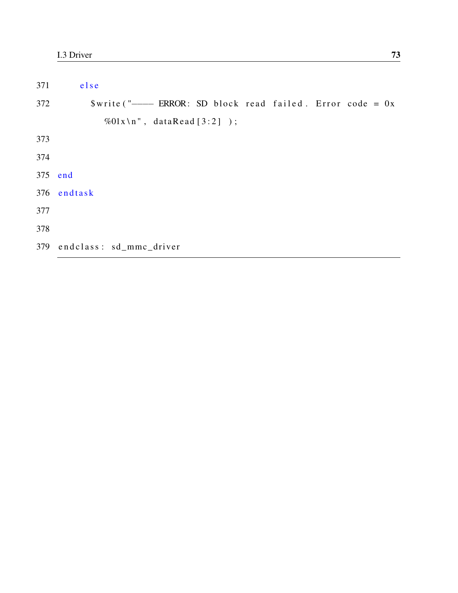371 else  $\text{Write}$  ("--- ERROR: SD block read failed. Error code = 0x 372  $%01x\ln$ ", dataRead [3:2]); 373 374 375 end 376 endtask 377 378 379 endclass: sd\_mmc\_driver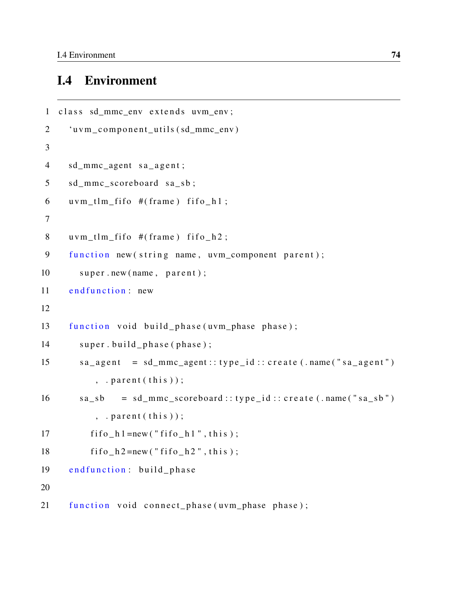#### I.4 Environment

```
1 class sd mmc env extends uvm env;
2 'uvm_component_utils (sd_mmc_env)
3
4 sd_mmc_agent sa_agent;
5 sd_mmc_scoreboard sa_sb;
6 uvm_tlm_fifo \#(frame) fifo_h1;
7
8 uvm_tlm_fifo \#(\text{frame}) fifo_h2;
9 function new (string name, uvm_component parent);
10 super . new (name, parent);
11 end function: new
12
13 function void build phase (uvm phase phase);
14 super.build_phase(phase);
15 sa_agent = sd_mmc_agent :: type_id :: create (.name ("sa_agent")
          , . parent (\text{this}) ;
16 sa_sb = sd_mmc_scoreboard :: type_id :: create (.name("sa_sb")
          , . parent (\text{this}) ;
17 fif o _ h 1 = new ("fif o _ h 1", this);
18 \text{fifo\_h2 = new('ffo\_h2'', this)};19 end function: build phase
20
21 function void connect_phase (uvm_phase phase);
```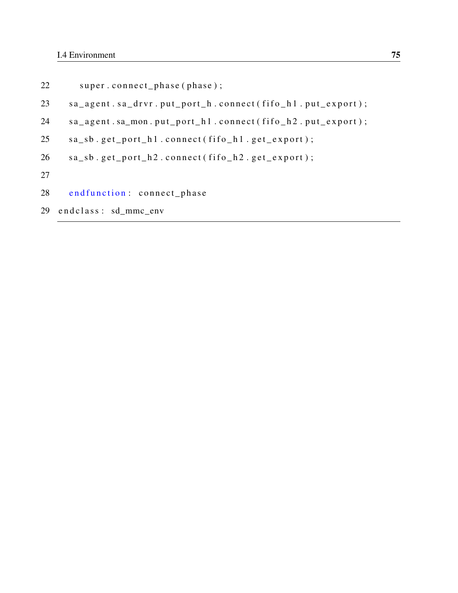| 22 | super.connect_phase(phase);                              |
|----|----------------------------------------------------------|
| 23 | sa_agent.sa_drvr.put_port_h.connect(fifo_h1.put_export); |
| 24 | sa_agent.sa_mon.put_port_h1.connect(fifo_h2.put_export); |
| 25 | $sa_s b. get\_port_h1.connect(fifo_h1.get_export);$      |
| 26 | $sa_s b. get_port_h2. connect(fifo_h2.get_export);$      |
| 27 |                                                          |
| 28 | endfunction: connect_phase                               |
| 29 | endclass: sd_mmc_env                                     |
|    |                                                          |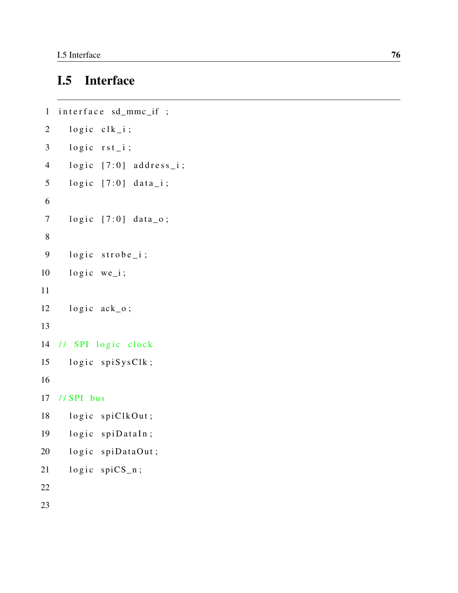#### **Interface**  $I.5$

```
1 interface sd_mmc_if ;
      logic clk_i;\overline{2}\overline{3}logic rst_i;logic [7:0] address_i;
 \overline{4}logic [7:0] data<sub>-</sub>i;
 5\overline{)}6
      logic [7:0] data_o;
 \overline{7}8
9
      logic strobe_i;
      logic we_i;
10
11
12
      logic ack_0;
13
14 // SPI logic clock
      logic spiSysClk;
15
16
17 // SPI bus
      logic spiClkOut;
18
19
      logic spiDataIn;
      logic spiDataOut;
20
      logic spiCS_n;
21
22
23
```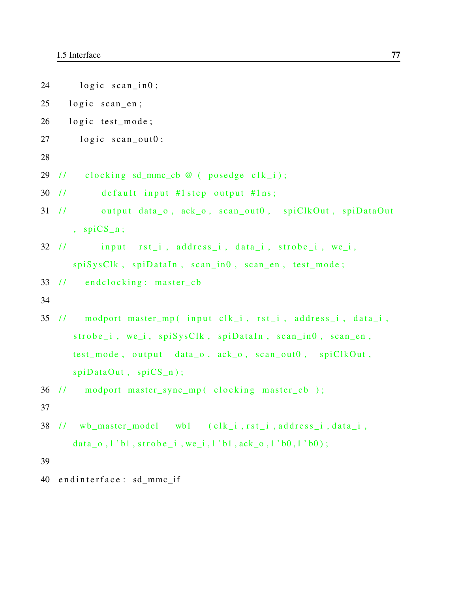```
24 \qquad \qquad \text{logic} \quad \text{scan}\_\text{in}0;
25 logic scan_en;
26 logic test_mode;
27 \qquad \qquad logic scan_out0;
28
29 // clocking sd_mmc_cb @ (posedge clk_i);
30 // default input #1step output #1ns;
31 // output data o, ack o, scan out0, spiClkOut, spiDataOut
      , spinCS_n;32 // input rst_i, address i, data i, strobe i, we i,
      spiSysClk, spiDataIn, scan_in0, scan_en, test_model;
33 // end clocking: master cb
34
35 // modport master_mp( input clk_i, rst_i, address_i, data_i,
      strobe_i, we_i, spiSysClk, spiDataIn, scan_in0, scan_en,
      test mode, output data o, ack o, scan out0, spiClkOut,
      spiDataOut, spiCS_n);
36 // modport master_sync_mp ( clocking master_cb );
37
38 // wb_master_model wb1 (clk_i,rst_i,address_i,data_i,
      data_o,1'b1, strobe_i, we_i,1'b1, ack_o,1'b0,1'b0);
39
40 endinterface: sd mmc if
```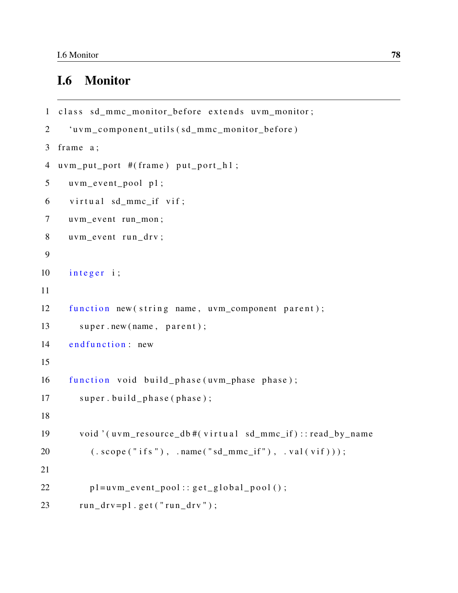### I.6 Monitor

```
1 class sd mmc monitor before extends uvm monitor;
2 'uvm component utils (sd mmc monitor before)
3 frame a ;
4 uvm_put_port \#(\text{frame}) put_port_h1;
5 uvm_event_pool p1 ;
6 virtual sd_mmc_if vif;
7 uvm event run mon;
8 uvm event run drv;
9
10 integer i;
11
12 function new (string name, uvm_component parent);
13 super . new (name, parent);
14 end function : new
15
16 function void build_phase(uvm_phase phase);
17 super.build_phase(phase);
18
19 void '(uvm_resource_db#(virtual sd_mmc_if)::read_by_name
20 (.~scope('ifs''), .name('sd\_mmc_if''), .val(vif)));21
22 p1= uvm_event_pool :: get\_global\_pool ();
23 run_drv=p1.get ("run_drv");
```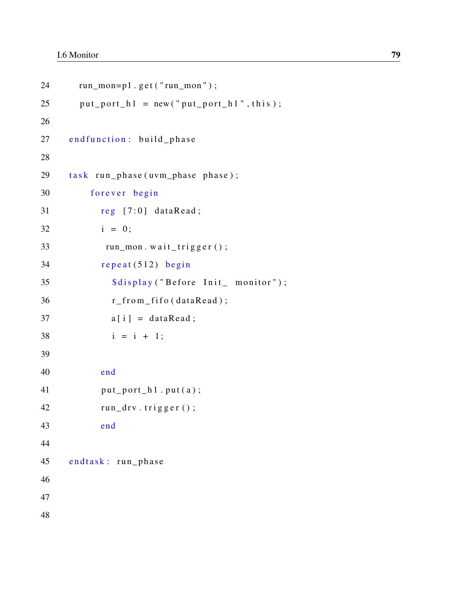```
24 run_mon=p1 . get ("run_mon");
25 put _port _h 1 = new ("put _port _h 1", this );
26
27 end function: build_phase
28
29 task run_phase (uvm_phase phase);
30 forever begin
31 reg [7:0] dataRead;
32 i = 0;
33 run_mon. wait_trigger();
34 repeat (512) begin
35 $display ("Before Init_ monitor");
36 r_f from_f fif o (dataRead);
37 \qquad \qquad \text{a} \lceil i \rceil = \text{dataRead};
38 \t i = i + 1;39
40 end
41 put_port_h1.put(a);
42 run_drv.trigger();
43 end
44
45 endtask: run_phase
46
47
48
```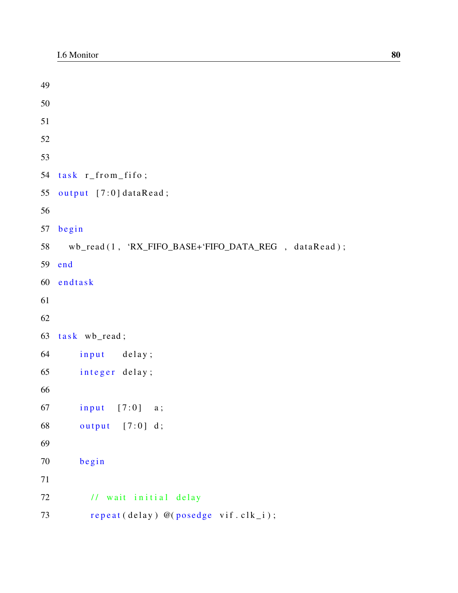```
49
50
51
52
53
54 task r_f from f if o;
55 output [7:0] dataRead;
56
57 begin
58 wb_read (1, 'RX_FIFO_BASE+'FIFO_DATA_REG, dataRead);
59 end
60 endtask
61
62
63 task wb_read;
64 input delay;
65 integer delay;
66
67 input [7:0] a;
68 output [7:0] d;
69
70 begin
71
72 // wait initial delay
73 repeat (delay) \mathcal{Q}(posedge \; vit. \;clk_i);
```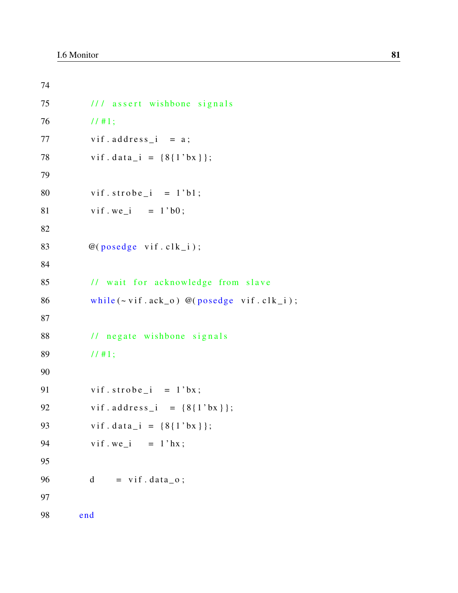```
74
75
          /// assert wishbone signals
76
          11#1;
          vif.address_i = a;77
          vif.data_i = {8{1 'bx }};78
79
80
          vif.strobe_i = 1'b1;
          vif.we_i = 1'b0;
81
82
         @(posedge vif.clk_i);83
84
          // wait for acknowledge from slave
85
          while (\sim \text{vif.ack}_0) @(posedge vif.clk_i);
86
87
          // negate wishbone signals
88
          11#1;89
90
91
          vif.strobe_i = 1'bx;
          vif.address_i = {8{1'bx}};92
          vif.data_i = {8{1'bx}} ;
93
94
          vif.we_i = 1' hx;
95
96
         \mathbf d= vif. data_o;
97
98
       end
```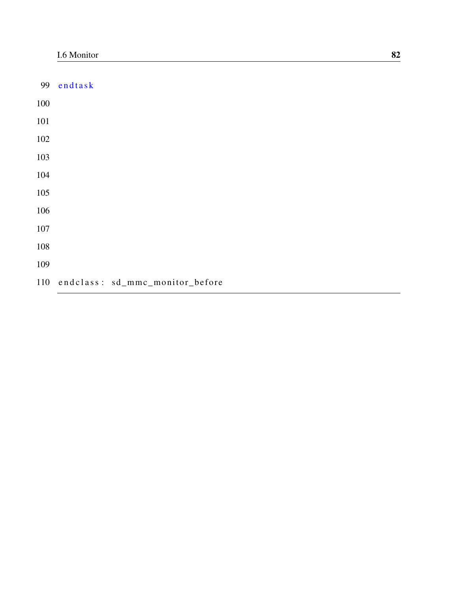| 99  | endtask                             |
|-----|-------------------------------------|
| 100 |                                     |
| 101 |                                     |
| 102 |                                     |
| 103 |                                     |
| 104 |                                     |
| 105 |                                     |
| 106 |                                     |
| 107 |                                     |
| 108 |                                     |
| 109 |                                     |
|     | 110 endclass: sd_mmc_monitor_before |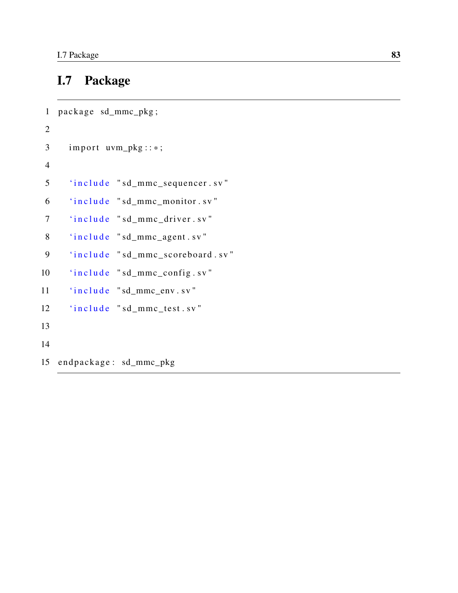## I.7 Package

```
1 package sd_mmc_pkg ;
2
3 import uvm_pkg::*;
4
5 'include "sd_mmc_sequencer.sv"
6 'include "sd\_mmc\_monitor.sv"
7 'include "sd_mmc_driver.sv"
8 'include "sd_mmc_agent.sv"
9 'include "sd_mmc_scoreboard.sv"
10 'include "sd_mmc_config.sv"
11 'include "sd_mmc_env.sv"
12 'include "sd_mmc_test.sv"
13
14
15 endpackage : sd_mmc_pkg
```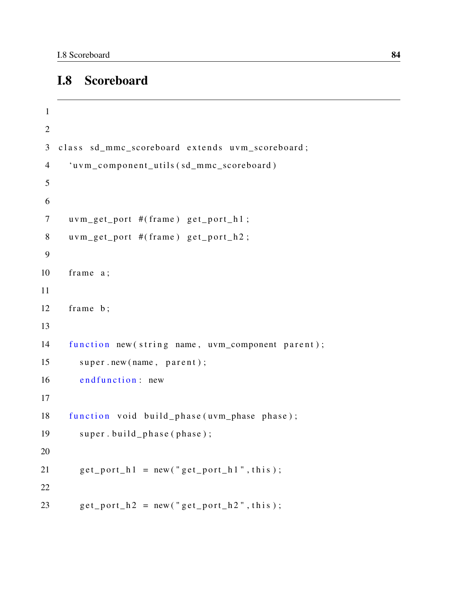#### I.8 Scoreboard

```
1
2
3 class sd_mmc_scoreboard extends uvm_scoreboard;
4 ' u v m _ c omponent _utils (sd_mmc_scoreboard)
5
6
7 uvm_get_port #(frame) get_port_h1;
8 uvm\_get\_port #(frame) get\_port\_h2;
9
10 frame a;
11
12 frame b;
13
14 function new (string name, uvm_component parent);
15 super.new (name, parent);
16 end function: new
17
18 function void build_phase(uvm_phase phase);
19 super.build_phase(phase);
20
21 get port h1 = new("get port_h1", this);22
23 get_port_h2 = new("get\_port_h2", this);
```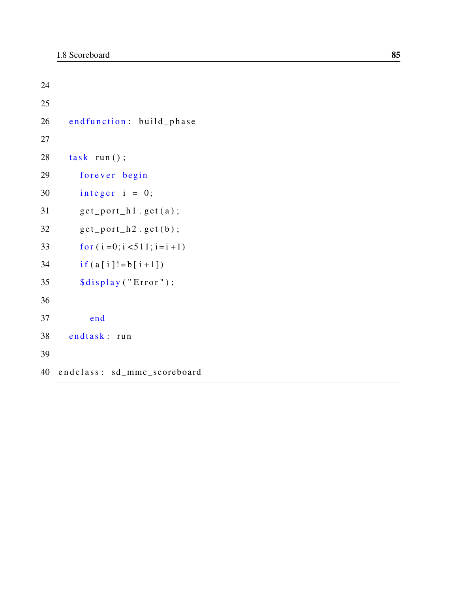```
24
25
26 end function: build_phase
27
28 task run();
29 forever begin
30 integer i = 0;
31 get_port_h1.get(a);
32 get_port_h2.get(b);
33 for (i=0; i < 511; i = i + 1)34 if (a[i] != b[i+1])35 $ display; $display" ( "Error" ) ;36
37 end
38 endtask: run
39
40 end class: sd_mmc_scoreboard
```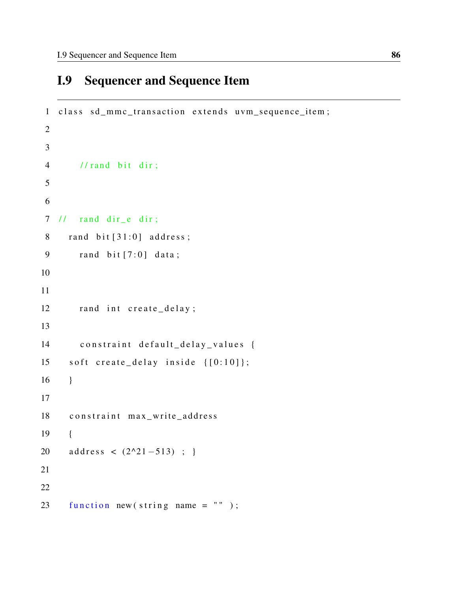## I.9 Sequencer and Sequence Item

```
1 class sd_mmc_transaction extends uvm_sequence_item;
2
3
4 // rand bit dir;
5
6
7 / / rand dir e dir;
8 rand bit [31:0] address;
9 rand bit [7:0] data;
10
11
12 rand int create_delay;
13
14 constraint default_delay_values {
15 soft create_delay inside \{ [0:10] \};16 }
17
18 constraint max_write_address
19 {
20 address < (2^2-1-513); }
21
22
23 function new (string name = ");
```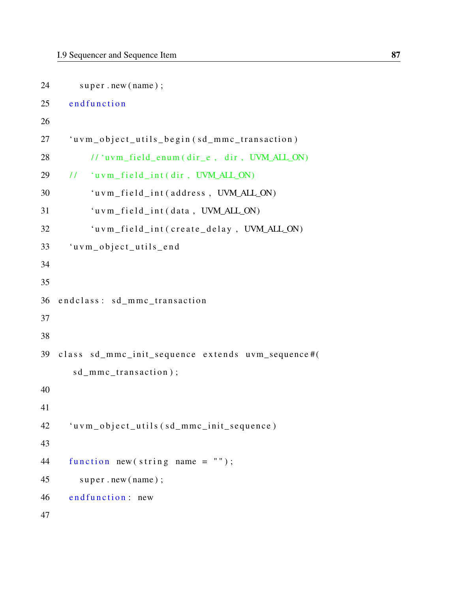```
24 super.new (name);
25 end function
26
27 "uvm\_object\_utils\_begin(sd\_mmc\_transaction")28 // 'uvm_field_enum ( dir_e, dir, UVM_ALL_ON)
29 // 'uvm_field_int(dir, UVM_ALL_ON)
30 'uvw_field\_int (address, UVM_ALL_ON)31 'uvm field int (data, UVM ALL ON)
32 'uvm_field_int(create_delay, UVM_ALL_ON)
33 'uvm_object_utils_end
34
35
36 end class: sd_mmc_transaction
37
38
39 class sd_mmc_init_sequence extends uvm_sequence#(
     sd\_mmc\_transaction );
40
41
42 'uvm_object_utils (sd_mmc_init_sequence)
43
44 function new (string name = ");
45 super.new(name);
46 end function: new
47
```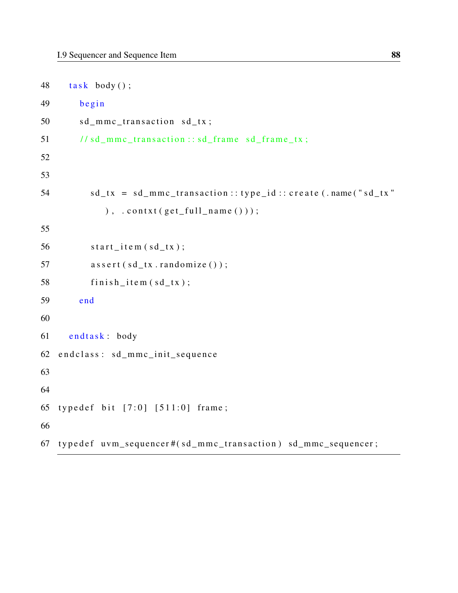```
48 task body();
49 begin
50 sd_mmc_transaction sd_tx;
51 // sd_mmc_transaction :: sd_frame sd_frame_tx;
52
53
54 sd_tx = sd_mmc_transaction::type_id::create(.name("sd_tx")
             ) , . c o n t x t ( g e t _ f u l l _ n a m e ( ) ) ) ;
55
56 start\_item (sd\_tx);57 \qquad \qquad \text{assert} \left( \text{sd\_tx.randomize} \left( \right) \right);58 f inish\_item (sd_t x);59 end
60
61 endtask: body
62 end class: sd_mm c_init_sequence
63
64
65 typedef bit [7:0] [511:0] frame;
66
67 typed ef uvm_sequencer#(s d_mmc_{transaction}) sd_mmc_sequencer;
```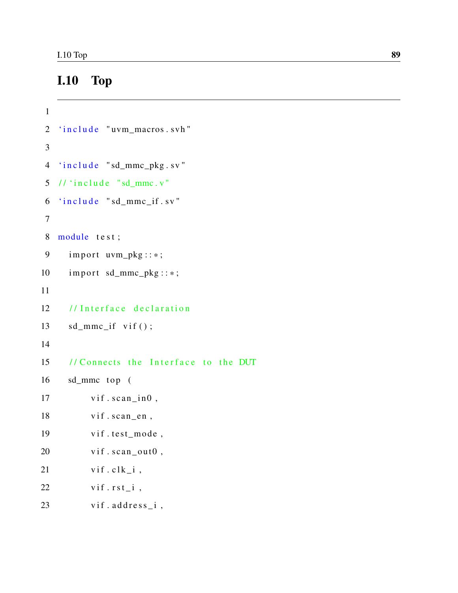# I.10 Top

```
1
2 'include "uvm_macros.svh"
3
4 'include "sd_mmc_pkg.sv"
5 // 'include "sd_mmc. v"
6 'include "sd\_mmc\_if . sv"
7
8 module test;
9 import uvm_pkg::*;
10 import sd_mmc_pkg::*;
11
12 // Interface declaration
13 \qquad \text{sd\_mmc\_if} \quad \text{vif}();14
15 // Connects the Interface to the DUT
16 sd_mmc top (
17 vif.scan_in0,
18 vif.scan_en,
19 vif.test_mode,
20 vif.scan_out0,
21 vif.clk_i,
22 vif. rst_i,
23 vif. address_i,
```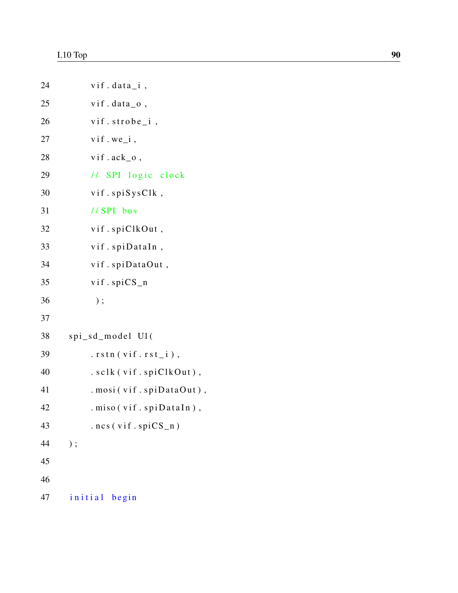| 24 | $v$ if.data_i,            |
|----|---------------------------|
| 25 | vif.data_o,               |
| 26 | $v$ if.strobe_i,          |
| 27 | $v$ if.we_i,              |
| 28 | $v$ if.ack_o,             |
| 29 | // SPI logic clock        |
| 30 | $v$ if.spi $S$ ys $C$ lk, |
| 31 | // SPI bus                |
| 32 | vif.spiClkOut,            |
| 33 | vif.spiDataIn,            |
| 34 | vif.spiDataOut,           |
| 35 | vif.spiCS_n               |
| 36 | $)$ ;                     |
| 37 |                           |
| 38 | spi_sd_model U1(          |
| 39 | $. rstn(vif.rst_i),$      |
| 40 | . sclk(vif.spiClkOut),    |
| 41 | . mosi (vif. spiDataOut), |
| 42 | . miso (vif. spiDataIn),  |
| 43 | $ncs(vif .spiCS_n)$       |
| 44 | $)$ ;                     |
| 45 |                           |
| 46 |                           |
| 47 | initial begin             |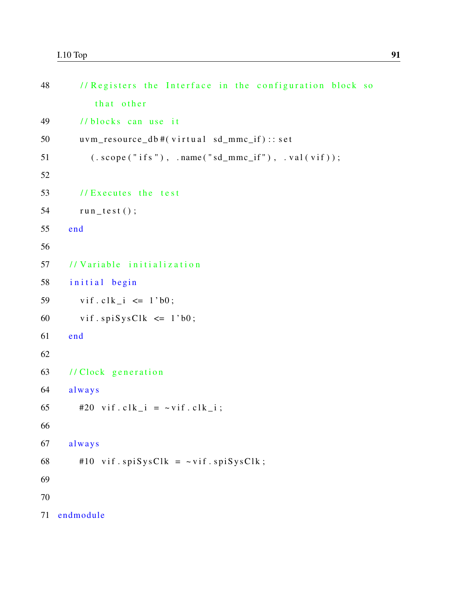| 48 | // Registers the Interface in the configuration block |
|----|-------------------------------------------------------|
|    | that other                                            |
| 49 | //blocks can use it                                   |
| 50 | uvm_resource_db#(virtual sd_mmc_if):: set             |
| 51 | $(.~scope("ifs"), .name("sd_mmc_if"), .val(vif));$    |
| 52 |                                                       |
| 53 | // Executes the test                                  |
| 54 | $run\_test()$ ;                                       |
| 55 | end                                                   |
| 56 |                                                       |
| 57 | //Variable initialization                             |
| 58 | initial begin                                         |
| 59 | vif.clk_i $\leq$ 1'b0;                                |
| 60 | vif.spiSysClk $\leq$ 1'b0;                            |
| 61 | end                                                   |
| 62 |                                                       |
| 63 | // Clock generation                                   |
| 64 | always                                                |
| 65 | #20 vif.clk_i = $\sim$ vif.clk_i;                     |
| 66 |                                                       |
| 67 | always                                                |
| 68 | #10 vif.spiSysClk = $\sim$ vif.spiSysClk;             |
| 69 |                                                       |
| 70 |                                                       |
| 71 | endmodule                                             |

 $\mathbf S$  O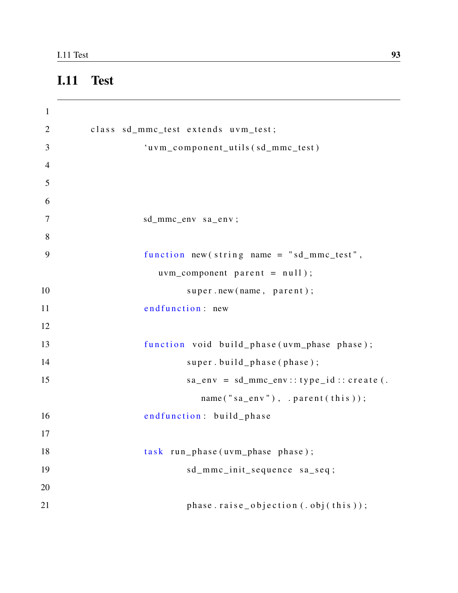# I.11 Test

| $\mathbf{1}$   |                                                   |
|----------------|---------------------------------------------------|
| $\overline{2}$ | class sd_mmc_test extends uvm_test;               |
| 3              | 'uvm_component_utils(sd_mmc_test)                 |
| $\overline{4}$ |                                                   |
| 5              |                                                   |
| 6              |                                                   |
| 7              | sd_mmc_env sa_env;                                |
| 8              |                                                   |
| 9              | function new (string name = $"sd_mmc_test"$ ,     |
|                | $uvm\_component$ parent = $null$ ;                |
| 10             | super.new(name, parent);                          |
| 11             | endfunction: new                                  |
| 12             |                                                   |
| 13             | function void build_phase(uvm_phase phase);       |
| 14             | super.build_phase(phase);                         |
| 15             | $sa_{env} = sd_{mmc_{env}}::type_{id}::create($ . |
|                | $name("sa_env")$ , .parent(this));                |
| 16             | endfunction: build_phase                          |
| 17             |                                                   |
| 18             | task run_phase(uvm_phase phase);                  |
| 19             | sd_mmc_init_sequence sa_seq;                      |
| 20             |                                                   |
| 21             | phase.raise_objection(.obj(this));                |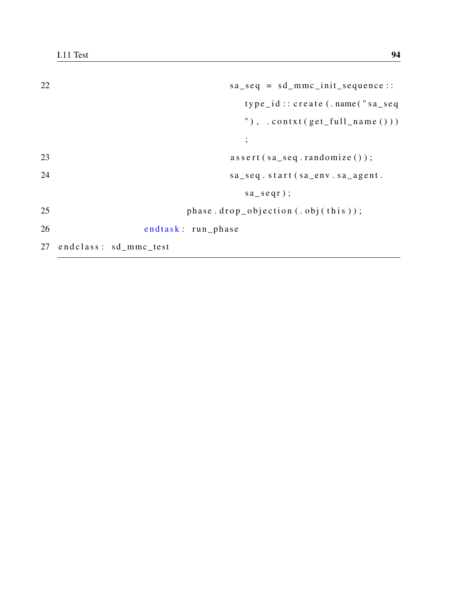| 22 | $sa\_seq = sd\_mmc\_init\_sequence$ :      |
|----|--------------------------------------------|
|    | type_id:: create (.name("sa_seq            |
|    | "), $\cdot$ contxt (get_full_name()))      |
|    |                                            |
| 23 | $assert(sa\_seq.randomize())$ ;            |
| 24 | sa_seq.start(sa_env.sa_agent.              |
|    | $sa$ <sub>_</sub> $seqr$ );                |
| 25 | phase. $drop\_objection$ (. $obj$ (this)); |
| 26 | endtask: run_phase                         |
|    | 27 endclass: sd_mmc_test                   |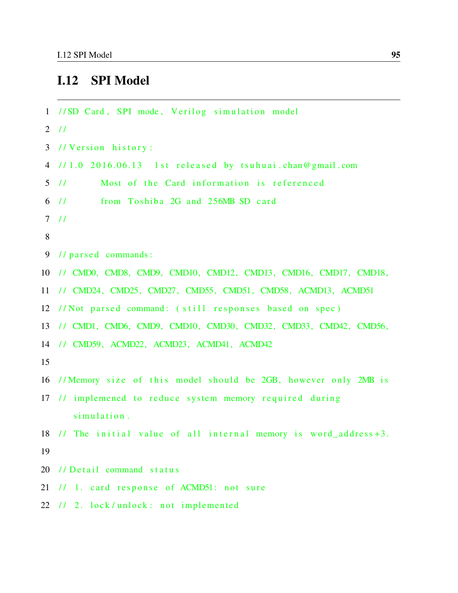#### I.12 SPI Model

```
1 / / SD Card, SPI mode, Verilog simulation model
2 / l3 // Version history:
4 / /1.0 2016.06.13 1st released by tsuhuai.chan@gmail.com
5 // Most of the Card information is referenced
6 // from Toshiba 2G and 256MB SD card
7 / l8
9 // parsed commands:
10 / / CMD0, CMD8, CMD9, CMD10, CMD12, CMD13, CMD16, CMD17, CMD18,
11 / / CMD24, CMD25, CMD27, CMD55, CMD51, CMD58, ACMD13, ACMD51
12 // Not parsed command: (still responses based on spec)
13 / / CMD1, CMD6, CMD9, CMD10, CMD30, CMD32, CMD33, CMD42, CMD56,
14 // CMD59, ACMD22, ACMD23, ACMD41, ACMD42
15
16 // Memory size of this model should be 2GB, however only 2MB is
17 // implemened to reduce system memory required during
      simulation.
18 // The initial value of all internal memory is word_address+3.
19
20 // Detail command status
21 // 1. card response of ACMD51: not sure
22 // 2. lock/unlock: not implemented
```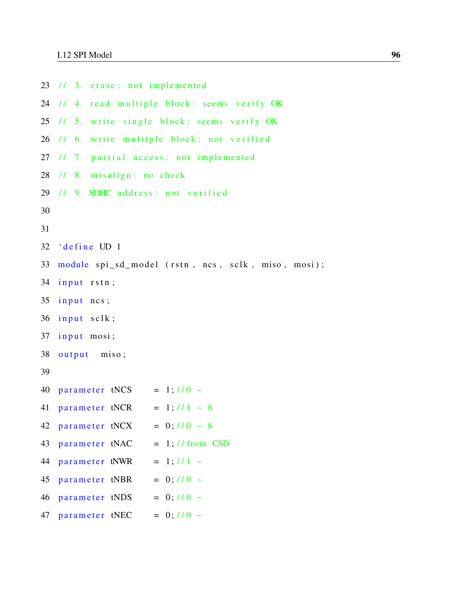```
23 // 3. erase: not implemented
24 // 4. read multiple block: seems verify OK
25 // 5. write single block: seems verify OK
26 // 6. write multiple block: not verified
27 // 7. partial access: not implemented
28 // 8. misalign: no check
29 // 9. SDHC address: not verified
30
31
32 'define UD 1
33 module spi_sd_model (rstn, ncs, sclk, miso, mosi);
34 input rstn;
35 input ncs;
36 input sclk;
37 input mosi;
38 output miso;
39
40 parameter tNCS = 1; //0 ~
41 parameter tNCR = 1; //1 ~ 8
42 parameter tNCX = 0; //0 \sim 843 parameter tNAC = 1; // from CSD
44 parameter tNWR = 1; //1 ~
45 parameter tNBR = 0; //0 \sim46 parameter tNDS = 0; //0 ~
47 parameter tNEC = 0; //0 ~
```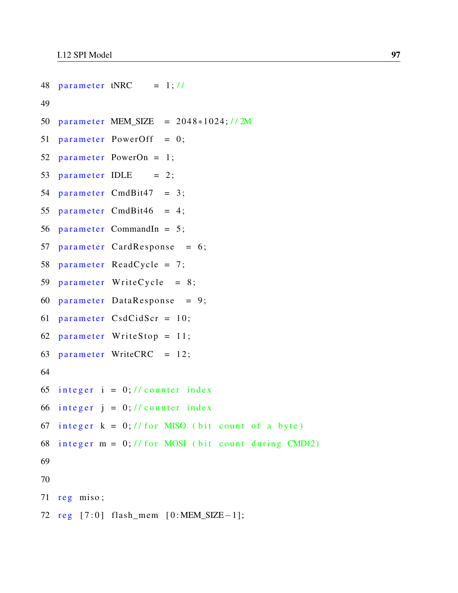| 48 |           | parameter tNRC $= 1; \frac{1}{1}$                      |
|----|-----------|--------------------------------------------------------|
| 49 |           |                                                        |
| 50 |           | parameter MEM_SIZE = $2048*1024$ ; //2M                |
| 51 |           | parameter PowerOff $= 0$ ;                             |
| 52 |           | $parameter$ PowerOn = 1;                               |
| 53 |           | $parameter$ IDLE = 2;                                  |
| 54 |           | parameter CmdBit47 = $3$ ;                             |
| 55 |           | parameter CmdBit46 = $4$ ;                             |
| 56 |           | parameter CommandIn = $5$ ;                            |
| 57 |           | parameter CardResponse = 6;                            |
| 58 |           | parameter ReadCycle = $7$ ;                            |
| 59 |           | parameter WriteCycle = $8$ ;                           |
| 60 |           | parameter DataResponse = 9;                            |
| 61 |           | parameter CsdCidScr = 10;                              |
| 62 |           | parameter WriteStop = $11$ ;                           |
| 63 |           | parameter WriteCRC = 12;                               |
| 64 |           |                                                        |
| 65 |           | integer $i = 0$ ; // counter index                     |
| 66 |           | integer $j = 0$ ; // counter index                     |
|    |           | 67 integer $k = 0$ ; // for MISO (bit count of a byte) |
| 68 |           | integer $m = 0$ ; // for MOSI (bit count during CMD12) |
| 69 |           |                                                        |
| 70 |           |                                                        |
| 71 | reg miso; |                                                        |
| 72 |           | reg $[7:0]$ flash_mem $[0:MEM_SIZE-1]$ ;               |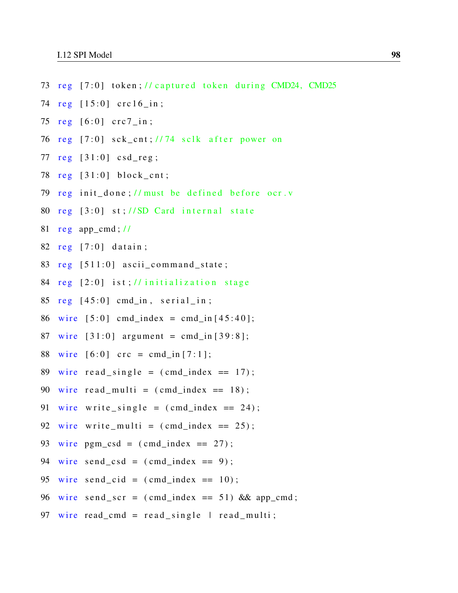- 73 reg [7:0] token; // captured token during CMD24, CMD25
- 74  $reg$   $[15:0]$   $crc16_in;$
- 75  $reg [6:0] crc7_in;$
- 76 reg  $[7:0]$  sck\_cnt;  $\frac{1}{74}$  sclk after power on
- 77  $reg [31:0] csd_reg;$
- 78  $reg [31:0] block_cnt;$
- 79 reg init\_done; // must be defined before ocr. v
- 80  $reg$   $[3:0]$  st;  $//SD$  Card internal state
- 81  $reg$  app\_cmd; //
- 82  $reg [7:0] data in;$
- 83  $reg$   $[511:0]$  ascii\_command\_state;
- 84  $reg$   $[2:0]$  ist; // initialization stage
- 85  $reg$  [45:0] cmd\_in, serial\_in;
- 86 wire  $[5:0]$  cmd\_index = cmd\_in  $[45:40]$ ;
- 87 wire  $[31:0]$  argument = cmd\_in  $[39:8]$ ;
- 88 wire  $[6:0]$  crc = cmd in  $[7:1]$ ;
- 89 wire  $read\_single = (cmd\_index == 17);$
- 90 wire read multi =  $(cmd_index == 18)$ ;
- 91 wire write\_single =  $(\text{cmd}_\text{index} == 24)$ ;
- 92 wire write multi =  $(cmd_index == 25)$ ;
- 93 wire  $pgm_csd = (cmd_index == 27);$
- 94 wire send  $csd = (cmd index == 9)$ ;
- 95 wire send cid =  $(\text{cmd index} == 10)$ ;
- 96 wire send\_scr =  $(cmd_index == 51)$  & app\_cmd;
- 97 wire read\_cmd = read\_single  $\vert$  read\_multi;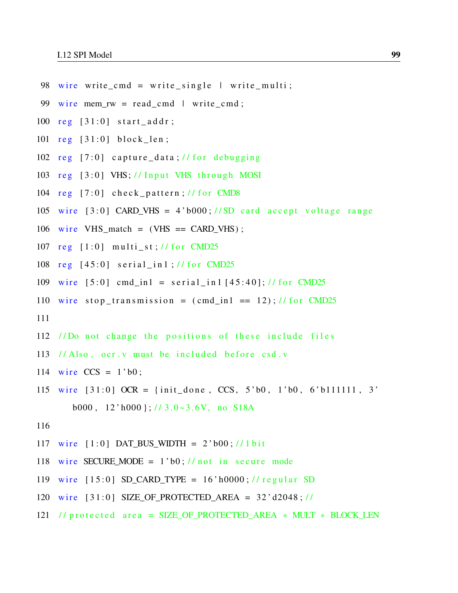- 98 wire write\_cmd = write\_single | write\_multi;
- 99 wire mem\_rw = read\_cmd | write\_cmd;
- $100 \text{ reg}$   $[31:0]$  start\_addr;
- $101 \text{ reg} [31:0] \text{block}$  [en ;
- 102  $reg$  [7:0] capture\_data; // for debugging
- $103$  reg  $[3:0]$  VHS;  $//$  Input VHS through MOSI
- $104 \text{ reg}$   $[7:0]$  check pattern; // for CMD8
- 105 wire  $\lceil 3:0 \rceil$  CARD VHS = 4 ' b000; // SD card accept voltage range
- 106 wire VHS\_match =  $(VHS == CAPD_VHS)$ ;
- 107  $reg$   $[1:0]$  multi\_st; // for CMD25
- 108 reg [45:0] serial\_in1;//for CMD25
- 109 wire  $[5:0]$  cmd\_in1 = serial\_in1  $[45:40]$ ; // for CMD25
- 110 wire stop\_transmission =  $(cmd_in1 == 12)$ ; // for CMD25

111

- 112 //Do not change the positions of these include files
- 113 // Also, ocr. v must be included before csd. v
- 114 wire  $CCS = 1$  'b0;
- 115 wire  $[31:0]$  OCR = {init\_done, CCS, 5'b0, 1'b0, 6'b111111, 3'  $b000$ ,  $12'h000$ ;  $1/3.0~3.6$ V, no S18A

```
116
```
- 117 wire  $[1:0]$  DAT\_BUS\_WIDTH =  $2'b00$ ; //1 bit
- 118 wire SECURE MODE =  $1'$  b0; // not in secure mode
- 119 wire  $[15:0]$  SD\_CARD\_TYPE = 16'h0000; // regular SD
- 120 wire [31:0] SIZE\_OF\_PROTECTED\_AREA = 32'd2048;//
- 121 // protected area = SIZE\_OF\_PROTECTED\_AREA  $*$  MULT  $*$  BLOCK\_LEN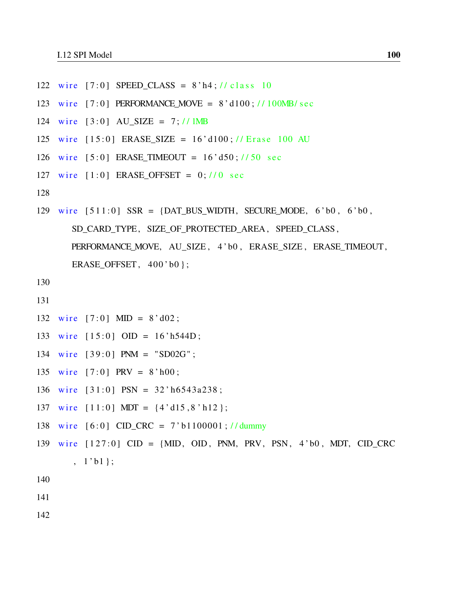- 122 wire  $[7:0]$  SPEED\_CLASS = 8'h4; // class 10
- 123 wire  $[7:0]$  PERFORMANCE MOVE = 8'd100; //100MB/ sec
- 124 wire  $[3:0]$  AU\_SIZE = 7; // 1MB
- 125 wire  $[15:0]$  ERASE\_SIZE = 16'd100; // Erase 100 AU
- 126 wire [5:0] ERASE TIMEOUT =  $16' d50$ ; //50 sec
- 127 wire  $[1:0]$  ERASE OFFSET = 0; //0 sec

128

129 wire  $[511:0]$  SSR = {DAT BUS WIDTH, SECURE MODE, 6'b0, 6'b0, SD\_CARD\_TYPE , SIZE\_OF\_PROTECTED\_AREA , SPEED\_CLASS , PERFORMANCE\_MOVE, AU\_SIZE, 4'b0, ERASE\_SIZE, ERASE\_TIMEOUT, ERASE\_OFFSET,  $400'$  b0 };

```
130
```
- 131
- 132 wire  $[7:0]$  MID =  $8' d02$ ;
- 133 wire  $[15:0]$  OID = 16'h544D;
- 134 wire  $[39:0]$  PNM = "SD02G";
- 135 wire  $[7:0]$  PRV = 8'h00;
- 136 wire  $[31:0]$  PSN = 32'h6543a238;
- 137 wire  $[11:0]$  MDT =  $\{4' d15, 8' h12\};$
- 138 wire  $[6:0]$  CID\_CRC = 7'b1100001;//dummy
- 139 wire  $[127:0]$  CID = {MID, OID, PNM, PRV, PSN, 4'b0, MDT, CID\_CRC  $, 1' b1$  ; 140

141

142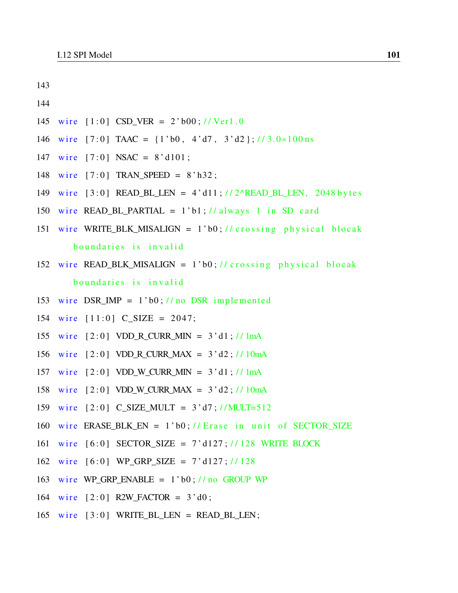143 144 145 wire  $[1:0]$  CSD\_VER = 2'b00; //Ver1.0 146 wire  $[7:0]$  TAAC =  $\{1'$ b0,  $4'$ d7,  $3'$ d2 $\}; // 3.0*100$  ns 147 wire  $[7:0]$  NSAC = 8'd101; 148 wire  $[7:0]$  TRAN SPEED = 8'h32; 149 wire  $[3:0]$  READ\_BL\_LEN = 4'd11;//2^READ\_BL\_LEN, 2048bytes 150 wire READ BL PARTIAL  $= 1' b1$ ; // always 1 in SD card 151 wire WRITE\_BLK\_MISALIGN =  $1'b0$ ; // crossing physical blocak boundaries is invalid 152 wire READ\_BLK\_MISALIGN =  $1'$ b0; // crossing physical blocak boundaries is invalid 153 wire DSR\_IMP =  $1'$ b0;  $//$  no DSR implemented 154 wire  $[11:0]$  C SIZE = 2047; 155 wire  $[2:0]$  VDD R CURR MIN =  $3' d1$ ; // 1mA 156 wire  $[2:0]$  VDD\_R\_CURR\_MAX =  $3'd2$ ; //10mA 157 wire  $[2:0]$  VDD\_W\_CURR\_MIN =  $3'd1$ ; // 1mA 158 wire  $[2:0]$  VDD\_W\_CURR\_MAX =  $3'd2$ ; //10mA 159 wire  $[2:0]$  C\_SIZE\_MULT =  $3'd7$ ; //MULT=512 160 wire ERASE\_BLK\_EN =  $1'$ b0; // Erase in unit of SECTOR\_SIZE 161 wire  $[6:0]$  SECTOR\_SIZE = 7'd127; //128 WRITE BLOCK 162 wire [6:0] WP GRP SIZE =  $7'$  d127; // 128 163 wire WP GRP ENABLE =  $1'$  b0;  $//$  no GROUP WP 164 wire  $[2:0]$  R2W\_FACTOR =  $3'd0$ ;  $165$  wire  $[3:0]$  WRITE\_BL\_LEN = READ\_BL\_LEN;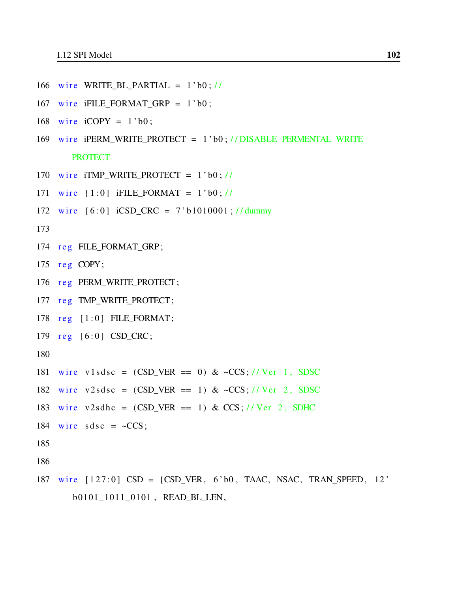```
166 wire WRITE_BL_PARTIAL = 1' b0; //
```
- 167 wire iFILE\_FORMAT\_GRP =  $1$ ' b0;
- 168 wire  $iCOPY = 1$ ' b0;
- 169 w ir e iPERM\_WRITE\_PROTECT = 1 ' b0 ; / / DISABLE PERMENTAL WRITE **PROTECT**

```
170 wire iTMP_WRITE_PROTECT = 1'b0; //
```

```
171 wire [1:0] ifILE_FORMAT = 1'b0; //
```
172 wire  $[6:0]$  iCSD\_CRC = 7'b1010001;//dummy

173

```
174 reg FILE_FORMAT_GRP;
```
175  $reg$  COPY;

176 reg PERM\_WRITE\_PROTECT;

```
177 reg TMP_WRITE_PROTECT;
```

```
178 reg [1:0] FILE_FORMAT;
```
179 reg [6:0] CSD\_CRC;

```
180
```

```
181 wire v1sdsc = (CSD_{VER} == 0) & -CCS; // Ver 1, SDSC
182 wire v2sdsc = (CSD_{VER} == 1) & -CCS; // Ver 2, SDSC
183 wire v2sdhc = (CSDVER == 1) & CCS; //Ver 2, SDHC
184 wire sdsc = \simCCS;
185
186
```
187 wire  $[127:0]$  CSD =  $\{CSD_VER, 6'b0, TAAC, NSAC, TRAN_SPEED, 12'$ b0101\_1011\_0101 , READ\_BL\_LEN,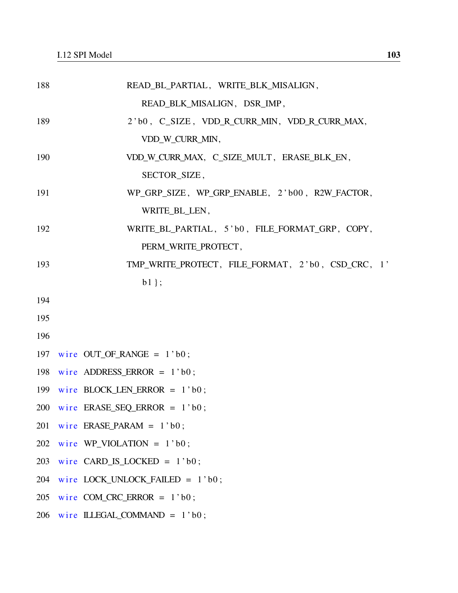| 188 | READ_BL_PARTIAL, WRITE_BLK_MISALIGN,              |
|-----|---------------------------------------------------|
|     | READ_BLK_MISALIGN, DSR_IMP,                       |
| 189 | 2'b0, C_SIZE, VDD_R_CURR_MIN, VDD_R_CURR_MAX,     |
|     | VDD_W_CURR_MIN,                                   |
| 190 | VDD_W_CURR_MAX, C_SIZE_MULT, ERASE_BLK_EN,        |
|     | SECTOR SIZE,                                      |
| 191 | WP_GRP_SIZE, WP_GRP_ENABLE, 2'b00, R2W_FACTOR,    |
|     | WRITE BL LEN,                                     |
| 192 | WRITE_BL_PARTIAL, 5'b0, FILE_FORMAT_GRP, COPY,    |
|     | PERM_WRITE_PROTECT,                               |
| 193 | TMP_WRITE_PROTECT, FILE_FORMAT, 2'b0, CSD_CRC, 1' |
|     | $b1$ };                                           |
| 194 |                                                   |
| 195 |                                                   |
| 196 |                                                   |
|     | 197 wire OUT_OF_RANGE = $1$ 'b0;                  |
|     | 198 wire ADDRESS_ERROR = $1$ 'b0;                 |
| 199 | wire BLOCK LEN ERROR = $1$ 'b0;                   |
|     | 200 wire ERASE SEQ ERROR = $1$ 'b0;               |
| 201 | wire ERASE PARAM = $1$ 'b0;                       |
| 202 | wire WP_VIOLATION = $1$ 'b0;                      |
| 203 | wire $CARD$ IS LOCKED = $1$ 'b0;                  |
| 204 | wire LOCK_UNLOCK_FAILED = $1$ 'b0;                |
| 205 | wire COM_CRC_ERROR = $1$ 'b0;                     |
| 206 | wire ILLEGAL_COMMAND = $1'b0$ ;                   |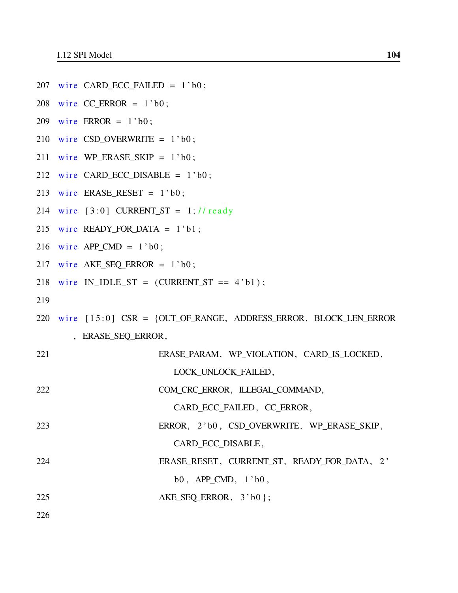207 wire  $CARD\_ECC\_FAILED = 1' b0;$ 

208 wire  $CC\_ERROR = 1' b0$ ;

209 wire ERROR =  $1$ 'b0;

- 210 wire  $CSD_OVERWRITE = 1' b0;$
- 211 wire WP\_ERASE\_SKIP =  $1$ 'b0;
- 212 wire CARD\_ECC\_DISABLE =  $1'$ b0;
- 213 wire ERASE\_RESET =  $1'$ b0;
- 214 wire  $[3:0]$  CURRENT\_ST = 1; // ready
- 215 wire READY\_FOR\_DATA =  $1$ 'b1;
- 216 wire APP\_CMD =  $1$ 'b0;
- 217 wire AKE\_SEQ\_ERROR =  $1'$  b0;
- 218 wire  $IN$ <sub>-IDLE</sub>\_ST = (CURRENT\_ST == 4'b1);

219

220 wire [15:0] CSR = {OUT\_OF\_RANGE, ADDRESS\_ERROR, BLOCK\_LEN\_ERROR , ERASE\_SEQ\_ERROR ,

| 221 | ERASE PARAM, WP VIOLATION, CARD IS LOCKED,  |
|-----|---------------------------------------------|
|     | LOCK_UNLOCK_FAILED,                         |
| 222 | COM CRC ERROR, ILLEGAL COMMAND,             |
|     | CARD ECC FAILED, CC ERROR,                  |
| 223 | ERROR, 2'b0, CSD OVERWRITE, WP ERASE SKIP,  |
|     | CARD ECC DISABLE,                           |
| 224 | ERASE RESET, CURRENT ST, READY FOR DATA, 2' |
|     | $b0$ , APP CMD, $1$ ' $b0$ ,                |
| 225 | $AKE\_SEQ\_ERROR, 3' b0$ ;                  |
| 226 |                                             |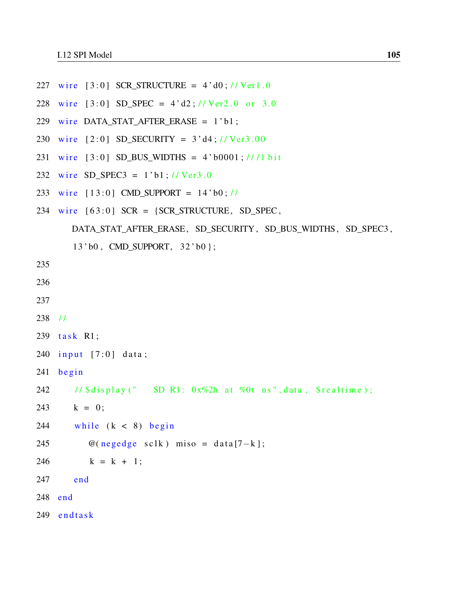- 227 wire  $[3:0]$  SCR\_STRUCTURE =  $4'd0; // Ver1.0$
- 228 wire  $[3:0]$  SD\_SPEC = 4'd2; //Ver2.0 or 3.0
- 229 wire DATA\_STAT\_AFTER\_ERASE = 1'b1;
- 230 wire  $[2:0]$  SD\_SECURITY =  $3' d4$ ; // Ver3.00
- 231 wire  $[3:0]$  SD\_BUS\_WIDTHS = 4'b0001;///1 bit
- 232 wire SD\_SPEC3 =  $1' b1$ ; // Ver3.0
- 233 wire  $[13:0]$  CMD\_SUPPORT =  $14' b0$ ; //
- $234$  wire  $[63:0]$  SCR = {SCR\_STRUCTURE, SD\_SPEC,

DATA\_STAT\_AFTER\_ERASE, SD\_SECURITY, SD\_BUS\_WIDTHS, SD\_SPEC3,

13 ' b0 , CMD\_SUPPORT, 32 ' b0 } ;

```
235
236
237
238 //
239 task R1;
240 input [7:0] data;
241 begin
242 // \deltadisplay ("SDR1: 0x\%2h at \%0t ns", data, \delta realtime);
243 k = 0;
244 while (k < 8) begin
245 @(\text{negedge} \text{ sclk}) \text{ miso} = \text{data}[7-k];246 k = k + 1;
247 end
248 end
249 endtask
```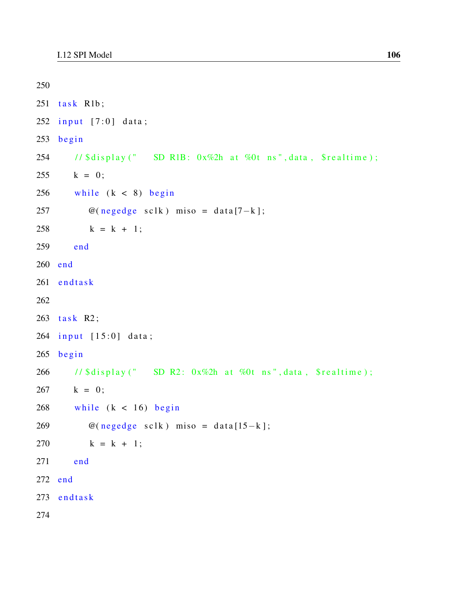```
250
251 task R1b;
252 input [7:0] data;
253 begin
254 // \deltadisplay ("SD R1B: 0x\%2h at \%0t ns", data, \delta realtime);
255 \t k = 0;256 while (k < 8) begin
257 @(negedge sclk) miso = data[7-k];
258 k = k + 1;259 end
260 end
261 endtask
262
263 task R2;
264 input [15:0] data;
265 begin
266 // \frac{1}{3} display ("SD R2: 0x\%2h at \frac{1}{6} ms", data, \frac{1}{3} realtime);
267 \quad k = 0;268 while (k < 16) begin
269 @(\text{negedge} \text{ sclk}) \text{ miso} = \text{data}[15-k];270 k = k + 1;
271 end
272 end
273 endtask
274
```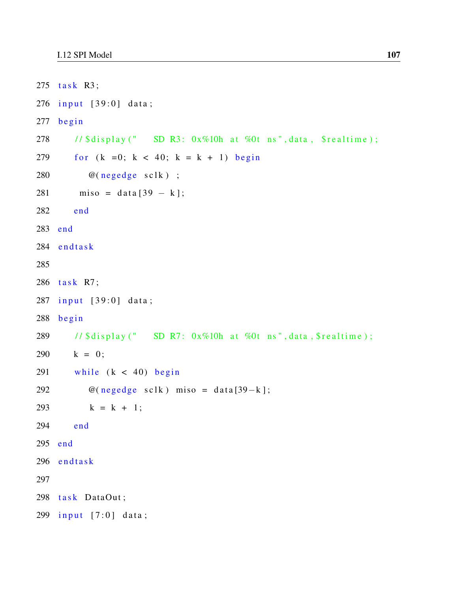```
275 task R3;
276 input [39:0] data;
277 begin
278 // \deltadisplay ("SDR3: 0x\%10h at \%0t ns", data, \delta realtime);
279 for (k = 0; k < 40; k = k + 1) begin
280 @(negedge sclk);
281 miso = data [39 - k];
282 end
283 end
284 endtask
285
286 task R7;
287 input [39:0] data;
288 begin
289 // \frac{1}{\sqrt{2}} // \frac{1}{\sqrt{2}} a y (" SD R7: 0x\%10h at \frac{1}{\sqrt{2}} ns", data, \frac{1}{\sqrt{2}} realtime);
290 k = 0;291 while (k < 40) begin
292 @(\text{negedge} \text{ sclk}) \text{ miso} = \text{data}[39-k];293 k = k + 1;294 end
295 end
296 endtask
297
298 task DataOut;
299 input [7:0] data;
```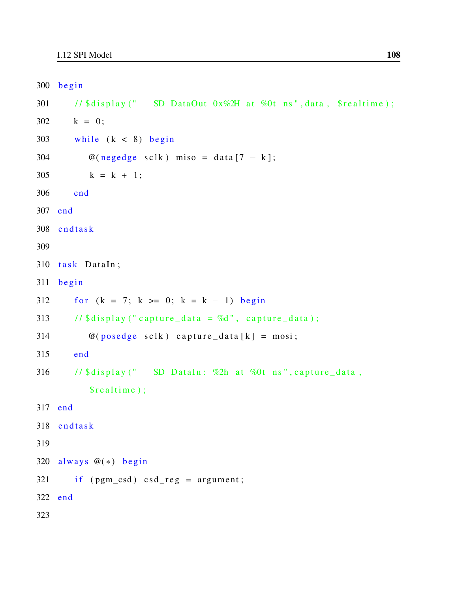```
300 begin
301 // \deltadisplay ("SD DataOut 0x%2H at %0t ns", data, \delta realtime);
302 \quad k = 0;
303 while (k < 8) begin
304 \qquad \qquad @(\text{negedge} \text{ s} \text{ c} \text{ l} \text{ k}) \text{ miso} = \text{data} \text{ [7 - k]};305 k = k + 1;
306 end
307 end
308 endtask
309
310 task DataIn;
311 begin
312 for (k = 7; k > = 0; k = k - 1) begin
313 // \deltadisplay ("capture_data = %d", capture_data);
314 @(posedge sclk) capture_data [k] = mosi;
315 end
316 // \frac{2}{3} display ("SD DataIn: %2h at %0t ns", capture_data,
           $ realtime);
317 end
318 endtask
319
320 always \mathcal{Q}(*) begin
321 if (pgm\_csd) csd\_reg = argument;
322 end
323
```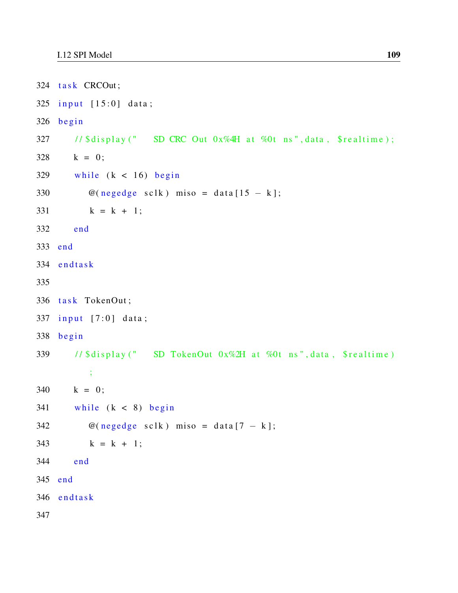```
324 task CRCOut;
325 input [15:0] data;
326 begin
327 // \frac{1}{3} display (" SD CRC Out 0x%4H at %0t ns", data, \frac{1}{3} realtime);
328 \t k = 0;
329 while (k < 16) begin
330 \qquad \qquad \omega(\text{negedge} \text{ s} \text{ c} \text{ l} \text{ k}) \text{ miso} = \text{data} [15 - \text{ k}];331 k = k + 1;
332 end
333 end
334 endtask
335
336 task TokenOut;
337 input [7:0] data;
338 begin
339 // \frac{1}{3} display (" SD TokenOut 0x%2H at %0t ns", data, \frac{1}{3} realtime)
          \mathbf{z}340 k = 0;341 while (k < 8) begin
342 @(negedge sclk) miso = data [7 - k];
343 k = k + 1;
344 end
345 end
346 endtask
347
```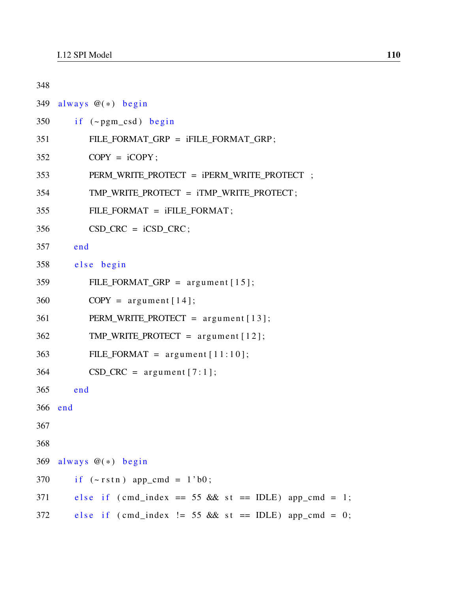| 348 |                                                          |
|-----|----------------------------------------------------------|
| 349 | always $@(*)$ begin                                      |
| 350 | if $(-pgm_csd)$ begin                                    |
| 351 | FILE_FORMAT_GRP = iFILE_FORMAT_GRP;                      |
| 352 | $COPY = iCOPY$ ;                                         |
| 353 | PERM_WRITE_PROTECT = iPERM_WRITE_PROTECT ;               |
| 354 | TMP_WRITE_PROTECT = iTMP_WRITE_PROTECT;                  |
| 355 | FILE_FORMAT = iFILE_FORMAT;                              |
| 356 | $CSD_CRC = iCSD_CRC;$                                    |
| 357 | end                                                      |
| 358 | else begin                                               |
| 359 | FILE_FORMAT_GRP = $argument[15];$                        |
| 360 | $COPY = argument[14];$                                   |
| 361 | PERM_WRITE_PROTECT = $argument[13];$                     |
| 362 | TMP_WRITE_PROTECT = $argument[12];$                      |
| 363 | FILE_FORMAT = $argument[11:10];$                         |
| 364 | $CSD_CRC = argument [7:1];$                              |
| 365 | end                                                      |
|     | 366 end                                                  |
| 367 |                                                          |
| 368 |                                                          |
| 369 | always $\mathcal{Q}(*)$ begin                            |
| 370 | if $(-rstn)$ app_cmd = $1^{\prime}b0$ ;                  |
| 371 | else if $(cmd\_index == 55 \&c$ st == IDLE) app_cmd = 1; |
| 372 | else if $(cmd\_index$ != 55 & st == IDLE) app_cmd = 0;   |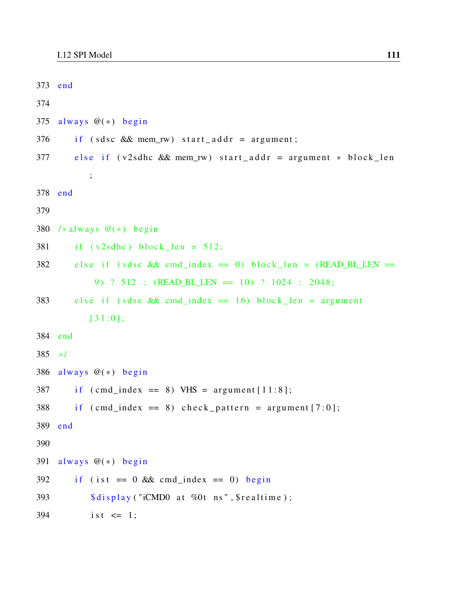```
373 end
374
375 always \mathcal{Q}(*) begin
376 if (sdsc && mem_rw) start_addr = argument;
377 else if (v2sdhc && mem_rw) start_addr = argument * block_len
          ;
378 end
379
380 /* always \mathcal{Q}(*) begin
381 if (v2sdhc) block len = 512;
382 else if (sdsc && cmd index == 0) b lock l en = (READ BL LEN ==
           9) ? 512 : (READ_BL_LEN == 10) ? 1024 : 2048;
383 else if (sdsc && cmd_index == 16) block_len = argument
          [31:0];
384 end
385 * /386 always \mathcal{Q}(*) begin
387 if (cmd_index == 8) VHS = argument [11:8];
388 if (cmd_index == 8) check_pattern = argument [7:0];
389 end
390
391 always \mathcal{Q}(*) begin
392 if ( ist == 0 && cmd_index == 0) begin
393 $display ("iCMD0 at %0t ns", $ real time);
394 ist \leq 1;
```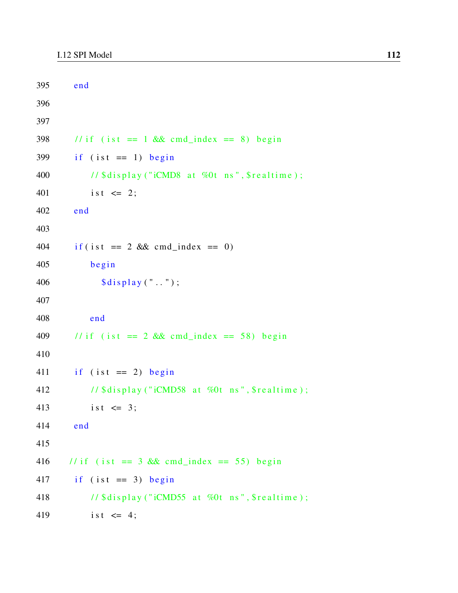```
395 end
396
397
398 // if ( ist == 1 && cmd_index == 8) begin
399 if ( ist == 1) begin
400 \frac{1}{\sqrt{3}} // \frac{2}{\sqrt{3}} at \frac{6}{\sqrt{3}} at \frac{6}{\sqrt{3}} ns", \frac{2}{\sqrt{3}} real time);
401 i s t \leq 2;
402 end
403
404 if ( i s t = 2 \&c{ cmd_index = 0)
405 begin
406 $display ("..");
407
408 end
409 // if ( ist == 2 && cmd_index == 58) begin
410
411 if (ist == 2) begin
412 // $display ("iCMD58 at %0t ns", $realtime);
413 ist \leq 3;
414 end
415
416 // if ( ist == 3 && cmd_index == 55) begin
417 if (ist == 3) begin
418 \frac{1}{\sqrt{8} \text{display}} ("iCMD55 at %0t ns", $realtime);
419 i s t \leq 4;
```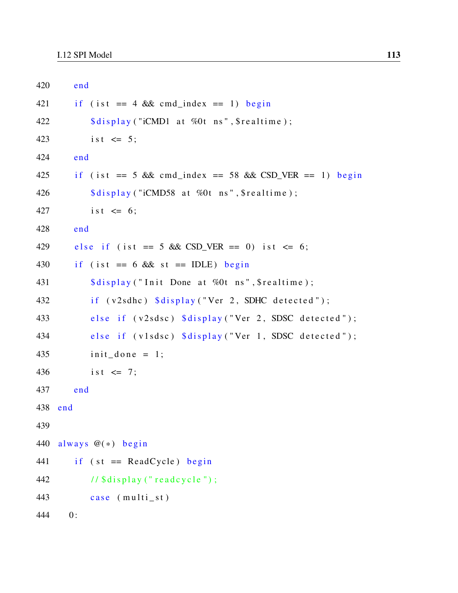```
420 end
421 if ( ist = 4 && cmd_index = 1) begin
422 $ display ("iCMD1 at %0t ns", $ real time);
423 ist \leq 5;
424 end
425 if (ist = 5 && cmd_index = 58 && CSD_VER = 1) begin
426 $ display; $display('iCMD58 at %0t ns", $realtime);427 ist \leq 6;
428 end
429 else if ( ist == 5 && CSD_VER == 0) ist <= 6;
430 if ( ist == 6 && st == IDLE) begin
431 $ display ("Init Done at %0t ns", $ real time);
432 if (v2sdhc) \deltadisplay ("Ver 2, SDHC detected");
433 else if (v2sdsc) \deltadisplay ("Ver 2, SDSC detected");
434 else if (v1sdsc) \deltadisplay ("Ver 1, SDSC detected");
435 init_done = 1;
436 ist \leq 7;
437 end
438 end
439
440 always \mathcal{Q}(*) begin
441 if (st = ReadCycle) begin
442 // \deltad is play ("read cycle");
443 case (multi_st)
444 0:
```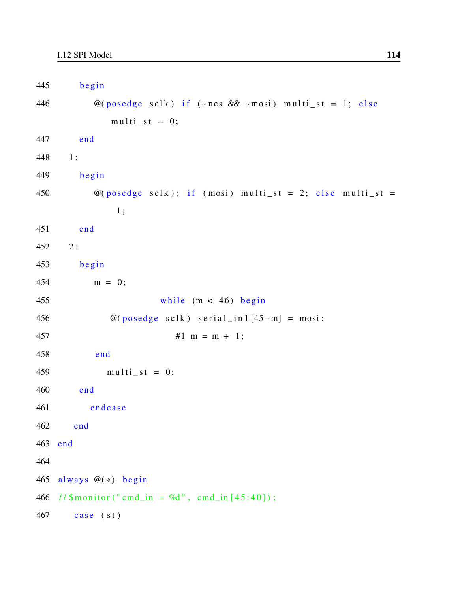```
445 begin
446 \textcircled{e}(\text{posedge} \text{sch}) if (~ncs && ~mosi) multi_st = 1; else
              multi_st = 0;447 end
448 1 :
449 begin
450 \textcircled{e}(\text{posedge} \text{ sclk}); \text{ if } (\text{mosi}) \text{ multi_st = 2}; \text{ else multi_st = 1}1 ;
451 end
452 2:
453 begin
454 m = 0;
455 while (m < 46) begin
456 @(posedge \; sclk) \; serial_in1 [45-m] = mosi;457 \#1 \text{ m} = \text{m} + 1;458 end
459 multi_st = 0;
460 end
461 endcase
462 end
463 end
464
465 always \mathcal{Q}(*) begin
466 // \text{\$monitor("cmd_in = \%d", cmd_in [45:40])};467 case (st)
```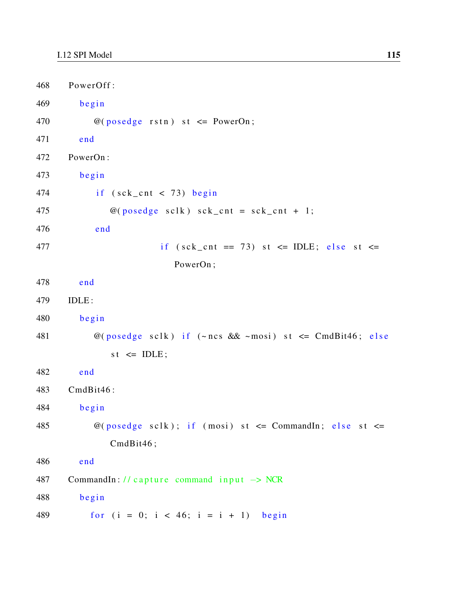```
468 PowerOff :
469 begin
470 @(posedge rstn) st \le PowerOn;471 end
472 PowerOn :
473 begin
474 if (sck_cent < 73) begin
475 @(posedge \; sclk) \; sck_cent = sck_cent + 1;476 end
477 if (sck\_cnt == 73) st \leq IDLE; else st \leqPowerOn ;
478 end
479 IDLE :
480 begin
481 \omega(\text{posedge} \text{ sclk}) if (~ncs && ~mosi) st <= CmdBit46; else
             st \leq IDLE;482 end
483 CmdBit46 :
484 begin
485 \omega(\text{posedge} \text{ sclk}); if (mosi) st <= CommandIn; else st <=
            CmdBit46;
486 end
487 CommandIn : // capture command input -> NCR
488 begin
489 for (i = 0; i < 46; i = i + 1) begin
```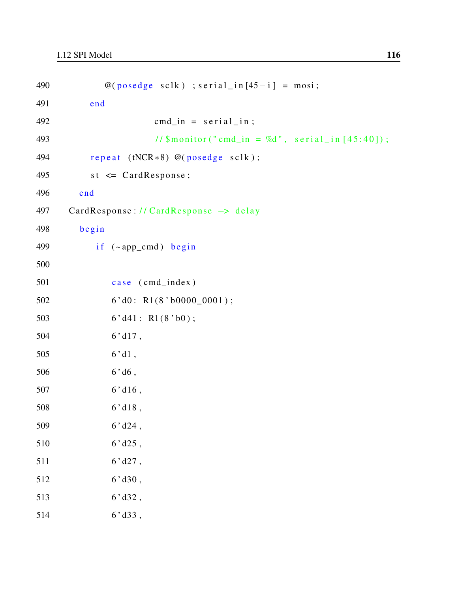| 490 | $@(posedge \; sclk)$ ; $serial_in[45-i] = mosi;$  |
|-----|---------------------------------------------------|
| 491 | end                                               |
| 492 | $cmd_in = serial_in;$                             |
| 493 | // $$monitor ("cmd_in = %d", serial_in [45:40]);$ |
| 494 | repeat (tNCR*8) @(posedge sclk);                  |
| 495 | $st \leq$ CardResponse;                           |
| 496 | end                                               |
| 497 | CardResponse: // CardResponse -> delay            |
| 498 | begin                                             |
| 499 | if $(\sim$ app_cmd) begin                         |
| 500 |                                                   |
| 501 | case (cmd_index)                                  |
| 502 | $6'd0: R1(8' b0000_0001);$                        |
| 503 | $6' d41$ : R1(8'b0);                              |
| 504 | $6'$ d17,                                         |
| 505 | 6'd1,                                             |
| 506 | $6'd6$ ,                                          |
| 507 | $6'$ d16,                                         |
| 508 | $6'$ d18,                                         |
| 509 | $6'$ d24,                                         |
| 510 | $6'$ d25,                                         |
| 511 | $6'$ d27,                                         |
| 512 | $6'$ d30,                                         |
| 513 | $6'$ d32,                                         |
| 514 | $6'$ d33,                                         |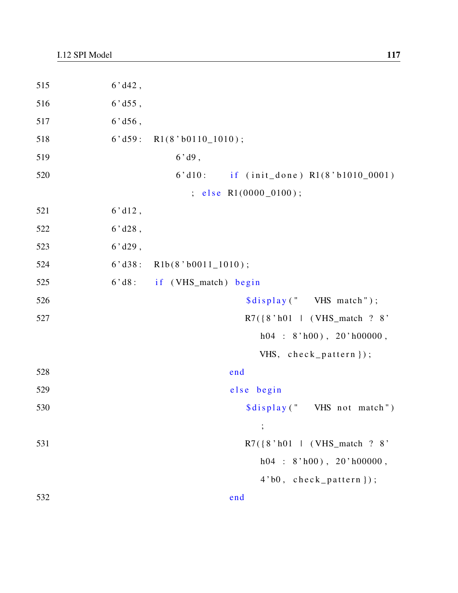| 515 | $6' d42$ ,                                        |
|-----|---------------------------------------------------|
| 516 | $6'$ d55,                                         |
| 517 | $6'$ d56,                                         |
| 518 | $6' d59$ : R1(8'b0110_1010);                      |
| 519 | $6'$ d9,                                          |
| 520 | $6' d10$ :<br>if $(int_done)$ $R1(8' b1010_0001)$ |
|     | $;$ else R1(0000_0100);                           |
| 521 | $6'$ d12,                                         |
| 522 | $6' d28$ ,                                        |
| 523 | $6'$ d29,                                         |
| 524 | $6'$ d38 :<br>$R1b(8' b0011_1010);$               |
| 525 | $6' d8$ :<br>if (VHS_match) begin                 |
| 526 | \$display(" VHS match");                          |
| 527 | $R7({8 \n h01} \mid (VHS_matrix 2 8)$             |
|     | h04 : 8'h00), 20'h00000,                          |
|     | VHS, check_pattern });                            |
| 528 | end                                               |
| 529 | else begin                                        |
| 530 | \$display(" VHS not match")                       |
|     | $\vdots$                                          |
| 531 | $R7({8 \n h01} + (VHS_matrix 2 8)$                |
|     | h04 : 8'h00), 20'h00000,                          |
|     | $4'$ b0, check_pattern });                        |
| 532 | end                                               |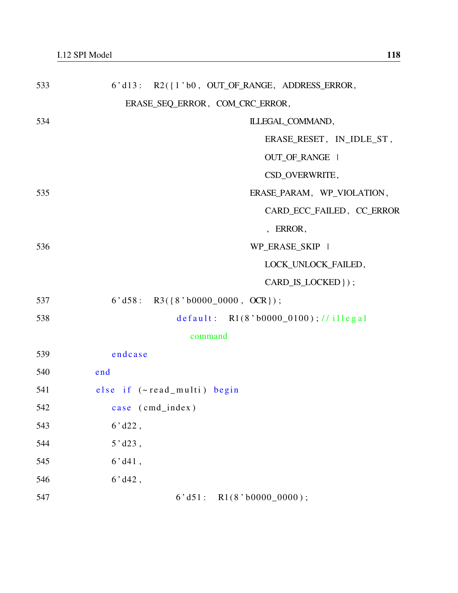| 533 | $6' d13$ : $R2({1' b0, OUT\_OF\_RANGE, ADDRESS\_ERROR, }$ |
|-----|-----------------------------------------------------------|
|     | ERASE_SEQ_ERROR, COM_CRC_ERROR,                           |
| 534 | ILLEGAL_COMMAND,                                          |
|     | ERASE_RESET, IN_IDLE_ST,                                  |
|     | OUT_OF_RANGE                                              |
|     | CSD_OVERWRITE,                                            |
| 535 | ERASE_PARAM, WP_VIOLATION,                                |
|     | CARD_ECC_FAILED, CC_ERROR                                 |
|     | , ERROR,                                                  |
| 536 | WP_ERASE_SKIP                                             |
|     | LOCK_UNLOCK_FAILED,                                       |
|     | CARD_IS_LOCKED });                                        |
| 537 | $6' d58$ : R3({8'b0000_0000, OCR});                       |
| 538 | default: R1(8'b0000_0100);//illegal                       |
|     | command                                                   |
| 539 | endcase                                                   |
| 540 | end                                                       |
| 541 | else if (~read_multi) begin                               |
| 542 | case (cmd_index)                                          |
| 543 | $6'$ d22,                                                 |
| 544 | $5' d23$ ,                                                |
| 545 | $6'$ d41,                                                 |
| 546 | $6' d42$ ,                                                |
| 547 | $R1(8' b0000_0000)$ ;<br>6' d51:                          |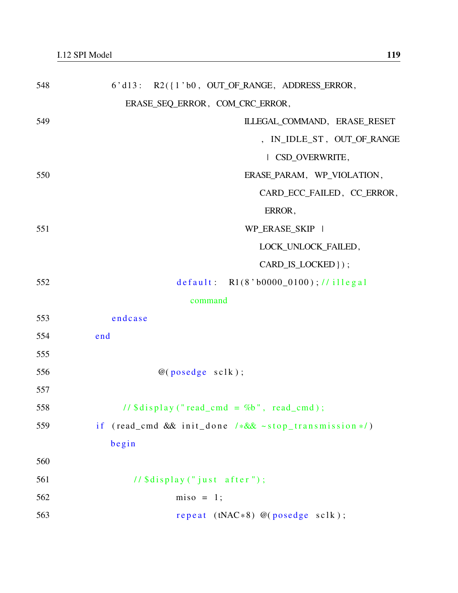| 548 | $6' d13$ : $R2({1' b0, OUT\_OF\_RANGE, ADDRESS\_ERROR, }$     |
|-----|---------------------------------------------------------------|
|     | ERASE_SEQ_ERROR, COM_CRC_ERROR,                               |
| 549 | ILLEGAL_COMMAND, ERASE_RESET                                  |
|     | , IN_IDLE_ST, OUT_OF_RANGE                                    |
|     | CSD_OVERWRITE,                                                |
| 550 | ERASE_PARAM, WP_VIOLATION,                                    |
|     | CARD_ECC_FAILED, CC_ERROR,                                    |
|     | ERROR,                                                        |
| 551 | WP_ERASE_SKIP                                                 |
|     | LOCK_UNLOCK_FAILED,                                           |
|     | CARD_IS_LOCKED });                                            |
| 552 | default: R1(8'b0000_0100);//illegal                           |
|     | command                                                       |
| 553 | endcase                                                       |
| 554 | end                                                           |
| 555 |                                                               |
| 556 | @(posedge sclk);                                              |
| 557 |                                                               |
| 558 | $\frac{1}{3}$ s display ("read_cmd = %b", read_cmd);          |
| 559 | if (read_cmd && init_done $/*\&& \sim stop_transmission */$ ) |
|     | begin                                                         |
| 560 |                                                               |
| 561 | // \$display ("just after");                                  |
| 562 | $miso = 1;$                                                   |
| 563 | repeat (tNAC*8) @(posedge sclk);                              |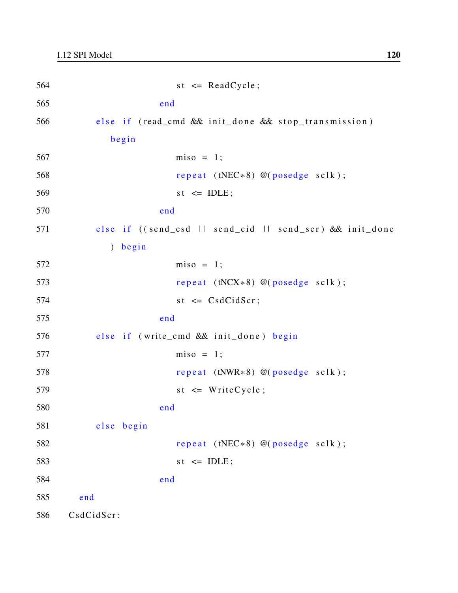| 564 | $st \leq$ ReadCycle;                                        |
|-----|-------------------------------------------------------------|
| 565 | end                                                         |
| 566 | else if (read_cmd && init_done && stop_transmission)        |
|     | begin                                                       |
| 567 | $miso = 1;$                                                 |
| 568 | repeat (tNEC*8) @(posedge sclk);                            |
| 569 | $st \leq IDLE;$                                             |
| 570 | end                                                         |
| 571 | else if ((send_csd     send_cid     send_scr) & & init_done |
|     | begin<br>$\mathcal{L}$                                      |
| 572 | $miso = 1;$                                                 |
| 573 | repeat $(tNCX*8)$ @(posedge sclk);                          |
| 574 | $st \leq CsdCidScr;$                                        |
| 575 | end                                                         |
| 576 | else if (write_cmd && init_done) begin                      |
| 577 | $miso = 1;$                                                 |
| 578 | repeat (tNWR*8) @(posedge sclk);                            |
| 579 | $st \leq WriteCycle;$                                       |
| 580 | end                                                         |
| 581 | else begin                                                  |
| 582 | repeat (tNEC*8) @(posedge sclk);                            |
| 583 | $st \leq IDLE;$                                             |
| 584 | end                                                         |
| 585 | end                                                         |
| 586 | CsdCidScr:                                                  |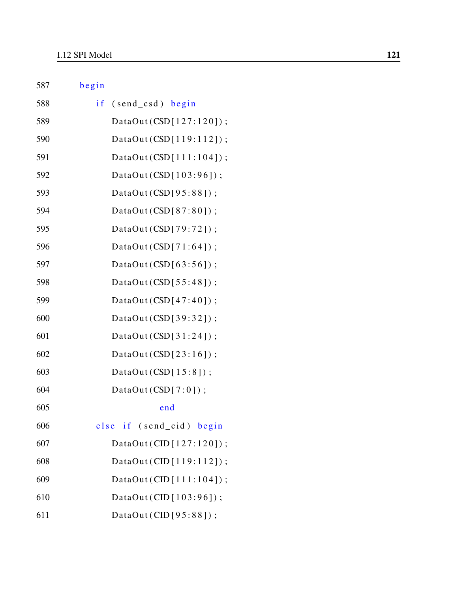| 587 | begin                        |
|-----|------------------------------|
| 588 | if<br>(send_csd) begin       |
| 589 | DataOut (CSD[ $127:120$ ]);  |
| 590 | DataOut(CSD[119:112]);       |
| 591 | DataOut (CSD $[111:104]$ );  |
| 592 | DataOut(CSD $[103:96]$ );    |
| 593 | DataOut(CSD[95:88]);         |
| 594 | DataOut(CSD[87:80]);         |
| 595 | DataOut(CSD $[79:72]$ );     |
| 596 | DataOut(CSD $[71:64]$ );     |
| 597 | DataOut(CSD $[63:56]$ );     |
| 598 | DataOut( $CSD[55:48]$ );     |
| 599 | DataOut(CSD $[47:40]$ );     |
| 600 | DataOut(CSD $[39:32]$ );     |
| 601 | DataOut(CSD $[31:24]$ );     |
| 602 | DataOut(CSD $[23:16]$ );     |
| 603 | DataOut(CSD $[15:8]$ );      |
| 604 | DataOut( $CSD[7:0]$ );       |
| 605 | end                          |
| 606 | else if (send_cid) begin     |
| 607 | DataOut (CID [ $127:120$ ]); |
| 608 | DataOut (CID[119:112]);      |
| 609 | DataOut (CID $[111:104]$ );  |
| 610 | DataOut (CID [ $103:96$ ]);  |
| 611 | DataOut(CID[95:88]);         |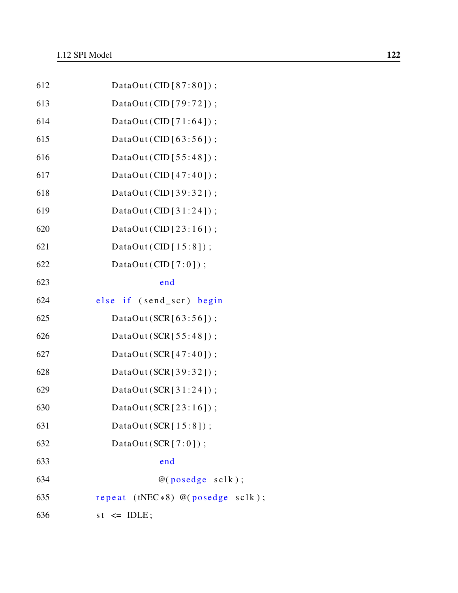| 612 | DataOut(CID $[87:80]$ );           |
|-----|------------------------------------|
| 613 | DataOut(CID $[79:72]$ );           |
| 614 | DataOut(CID $[71:64]$ );           |
| 615 | DataOut(CID $[63:56]$ );           |
| 616 | DataOut(CID $[55:48]$ );           |
| 617 | DataOut(CID $[47:40]$ );           |
| 618 | DataOut(CID $[39:32]$ );           |
| 619 | DataOut(CID $[31:24]$ );           |
| 620 | DataOut(CID $[23:16]$ );           |
| 621 | DataOut(CID $[15:8]$ );            |
| 622 | DataOut $(CID[7:0])$ ;             |
| 623 | end                                |
| 624 | else if (send_scr) begin           |
| 625 | DataOut( $SCR[63:56]$ );           |
| 626 | DataOut( $SCR[55:48]$ );           |
| 627 | DataOut $(SCR[47:40])$ ;           |
| 628 | DataOut $(SCR[39:32])$ ;           |
| 629 | DataOut $(SCR[31:24])$ ;           |
| 630 | DataOut $(SCR[23:16])$ ;           |
| 631 | DataOut $(SCR[15:8])$ ;            |
| 632 | DataOut $(SCR[7:0])$ ;             |
| 633 | end                                |
| 634 | @(posedge sclk);                   |
| 635 | repeat $(tNEC*8)$ @(posedge sclk); |
| 636 | $st \leq IDLE;$                    |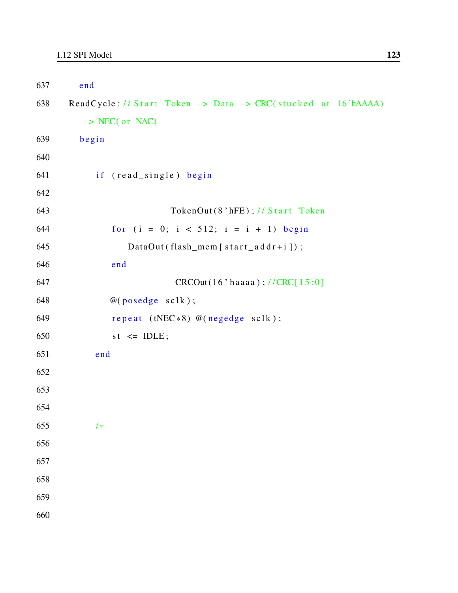```
637 end
638 ReadCycle: // Start Token \rightarrow Data \rightarrow CRC( stucked at 16 'hAAAA)
       \rightarrow NEC( or NAC)
639 begin
640
641 if (read_single) begin
642
643 TokenOut (8 'hFE); // Start Token
644 for (i = 0; i < 512; i = i + 1) begin
645 DataOut (flash_mem [ start_addr+i ]);
646 end
647 CRCOut (16 ' haaaa ) ; //CRC [ 15 : 0 ]
648 @(posedge sclk);649 repeat (tNEC*8) @(negedge sclk);
650 st \leq IDLE;
651 end
652
653
654
655 /\ast656
657
658
659
660
```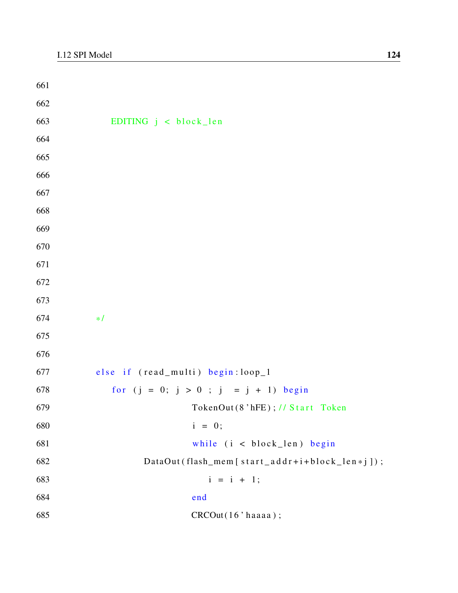| 661 |                                                 |
|-----|-------------------------------------------------|
| 662 |                                                 |
| 663 | EDITING j < block_len                           |
| 664 |                                                 |
| 665 |                                                 |
| 666 |                                                 |
| 667 |                                                 |
| 668 |                                                 |
| 669 |                                                 |
| 670 |                                                 |
| 671 |                                                 |
| 672 |                                                 |
| 673 |                                                 |
| 674 | $* /$                                           |
| 675 |                                                 |
| 676 |                                                 |
| 677 | else if (read_multi) begin:loop_1               |
| 678 | for $(j = 0; j > 0; j = j + 1)$ begin           |
| 679 | TokenOut(8'hFE); // Start Token                 |
| 680 | $i = 0;$                                        |
| 681 | while (i < block_len) begin                     |
| 682 | DataOut (flash_mem [start_addr+i+block_len*j]); |
| 683 | $i = i + 1;$                                    |
| 684 | end                                             |
| 685 | CRCOut(16'haaaa);                               |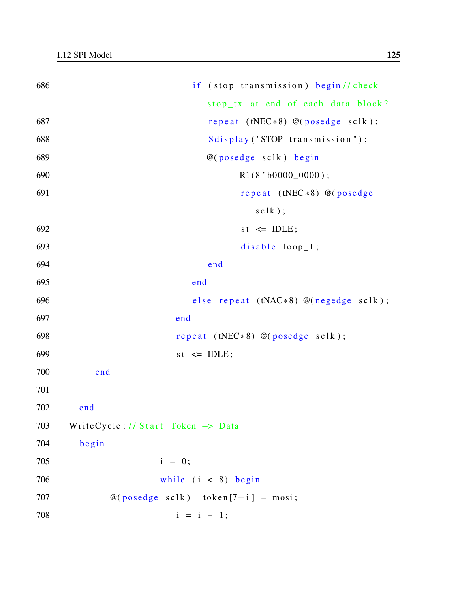| 686 | if (stop_transmission) begin//check           |
|-----|-----------------------------------------------|
|     | stop_tx at end of each data block?            |
| 687 | repeat (tNEC $*8$ ) @(posedge sclk);          |
| 688 | \$display ("STOP transmission");              |
| 689 | @(posedge sclk) begin                         |
| 690 | $R1(8' b0000_0000)$ ;                         |
| 691 | repeat (tNEC *8) @(posedge                    |
|     | $sclk$ ;                                      |
| 692 | $st \leq IDLE;$                               |
| 693 | $disable$ $loop_1$ ;                          |
| 694 | end                                           |
| 695 | end                                           |
| 696 | else repeat $(tNAC*8)$ @(negedge sclk);       |
| 697 | end                                           |
| 698 | repeat (tNEC*8) @(posedge sclk);              |
| 699 | $st \leq IDLE;$                               |
| 700 | end                                           |
| 701 |                                               |
| 702 | end                                           |
| 703 | WriteCycle: // Start Token $\rightarrow$ Data |
| 704 | begin                                         |
| 705 | $i = 0;$                                      |
| 706 | while $(i < 8)$ begin                         |
| 707 | $@(posedge \; sclk) \; token[7-i] = mosi;$    |
| 708 | $i = i + 1;$                                  |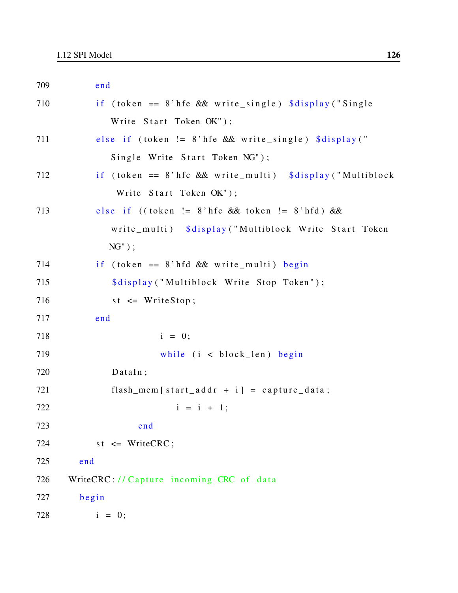| 709 | end                                                               |
|-----|-------------------------------------------------------------------|
| 710 | if (token $= 8$ 'hfe && write_single) $\delta$ display ("Single") |
|     | Write Start Token OK");                                           |
| 711 | else if (token != 8'hfe & write_single) \$display("               |
|     | Single Write Start Token NG");                                    |
| 712 | if $(token == 8)$ hfc & write_multi) $$display('Multiblock$       |
|     | Write Start Token OK");                                           |
| 713 | else if $((\text{token } != 8)$ hfc & token $!= 8$ 'hfd) & &      |
|     | write_multi) \$display("Multiblock Write Start Token              |
|     | $NG''$ );                                                         |
| 714 | if (token $== 8$ 'hfd && write_multi) begin                       |
| 715 | \$display ("Multiblock Write Stop Token");                        |
| 716 | $st \le$ WriteStop;                                               |
| 717 | end                                                               |
| 718 | $i = 0;$                                                          |
| 719 | while $(i \lt block\_len)$ begin                                  |
| 720 | DataIn;                                                           |
| 721 | $flash_mem[start\_addr + i] = capture_data;$                      |
| 722 | $i = i + 1;$                                                      |
| 723 | end                                                               |
| 724 | $st \le$ WriteCRC;                                                |
| 725 | end                                                               |
| 726 | WriteCRC:// Capture incoming CRC of data                          |
| 727 | begin                                                             |
| 728 | $i = 0;$                                                          |
|     |                                                                   |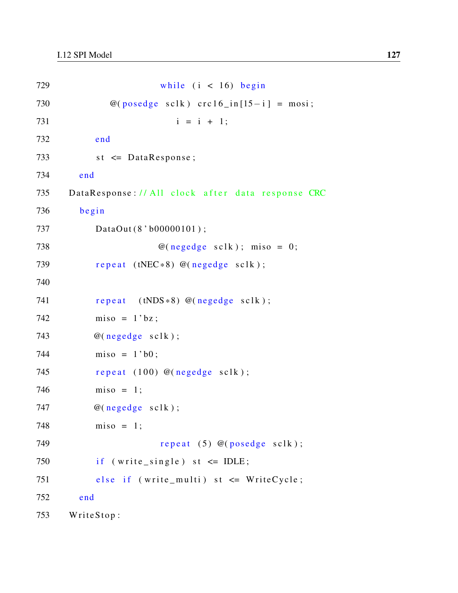| 729 | while $(i < 16)$ begin                               |
|-----|------------------------------------------------------|
| 730 | $@(posedge \; sclk) \; crc16_in[15-i] = mosi;$       |
| 731 | $i = i + 1;$                                         |
| 732 | end                                                  |
| 733 | $st \leq$ DataResponse;                              |
| 734 | end                                                  |
| 735 | DataResponse: // All clock after data response CRC   |
| 736 | begin                                                |
| 737 | DataOut(8'b00000101);                                |
| 738 | $@(negedge \text{ }\text{ }sclk); \text{ }miso = 0;$ |
| 739 | repeat (tNEC*8) @(negedge sclk);                     |
| 740 |                                                      |
| 741 | repeat $(HDS*8)$ @(negedge sclk);                    |
| 742 | $miso = 1'bz;$                                       |
| 743 | $@(negedge \; sclk);$                                |
| 744 | $miso = 1$ 'b0;                                      |
| 745 | repeat $(100)$ @(negedge sclk);                      |
| 746 | $miso = 1;$                                          |
| 747 | $@(negedge \; sclk);$                                |
| 748 | $miso = 1;$                                          |
| 749 | repeat $(5)$ @(posedge sclk);                        |
| 750 | if $(write_single)$ st $\leq$ IDLE;                  |
| 751 | else if (write_multi) st <= WriteCycle;              |
| 752 | end                                                  |
| 753 | WriteStop:                                           |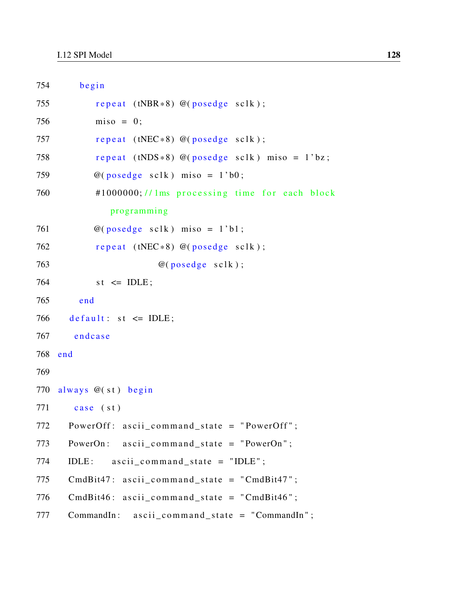```
754 begin
755 repeat (tNBR*8) @(posedge \; sclk);756 miso = 0;
757 repeat (tNEC*8) @(posedge sclk);
758 repeat (tNDS * 8) @(posedge \; sclk) miso = 1'bz;
759 @(posedge \; sclk) \; misso = 1'b0;760 #1000000; // 1ms processing time for each block
              programming
761 @(posedge \; sclk) \; miss = 1'b1;762 repeat (tNEC*8) @(posedge sclk);
\frac{\omega(\text{posedge} \text{ sclk})}{\omega(\text{posedge} \text{ sclk})}764 st \leq IDLE;
765 end
766 default: st \leq IDLE;
767 endcase
768 end
769
770 always @( st ) begin
771 case (st)
772 PowerOff: ascii command state = "PowerOff";
773 PowerOn: ascii_command_state = "PowerOn";
774 IDLE: ascii command state = "IDLE";
775 CmdBit47: ascii command state = "CmdBit47";
776 CmdBit46: ascii_command_state = "CmdBit46";
777 CommandIn: a \, \text{scii}_\text{1} command_state = "CommandIn";
```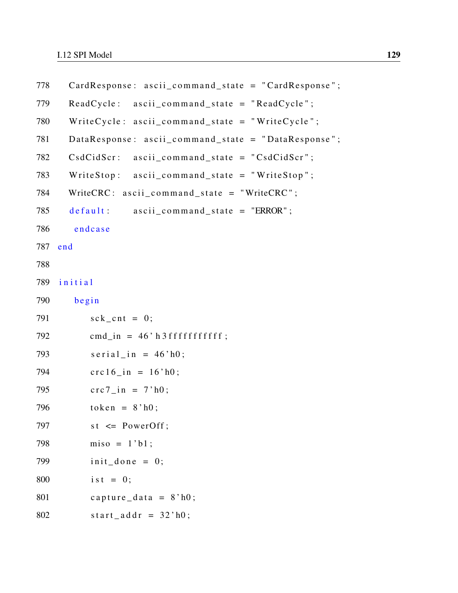```
778 CardResponse: ascii_command_state = "CardResponse";
779 ReadCycle: ascii_command_state = "ReadCycle";
780 Write Cycle: ascii_command_state = "Write Cycle";
781 DataResponse: ascii_command_state = "DataResponse";
782 \text{ CsdCidScr}: ascii_command_state = "\text{CsdCidScr}";
783 WriteStop: ascii_command_state = "WriteStop";
784 WriteCRC: ascii_command_state = "WriteCRC";
785 default: ascii command state = "ERROR";
786 endcase
787 end
788
789 initial
790 begin
791 sck cnt = 0;
792 cmd_in = 46' h 3 f f f f f f f f f f f f j
793 serial in = 46' h0;
794 crc16 \text{ in } = 16 \text{ h0};795 \text{crc7}_{\text{in}} = 7 \text{h0};
796 token = 8 \text{ h0};
797 st \le PowerOff;
798 miso = 1' b1;
799 init done = 0;
800 ist = 0;
801 capture_data = 8'h0;
802 start_addr = 32 \text{ h0};
```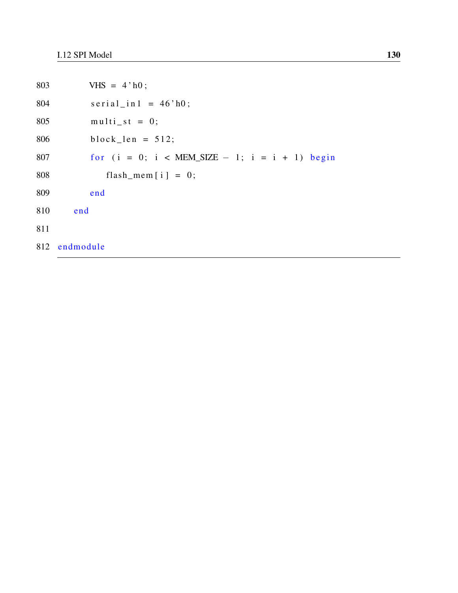| 803 | $VHS = 4'h0;$                                    |
|-----|--------------------------------------------------|
| 804 | $\text{serial}_\text{in1} = 46 \text{ h0};$      |
| 805 | $multi_st = 0;$                                  |
| 806 | block $len = 512$ ;                              |
| 807 | for $(i = 0; i < MEM_SIZE - 1; i = i + 1)$ begin |
| 808 | flash_mem[i] = $0$ ;                             |
| 809 | end                                              |
| 810 | end                                              |
| 811 |                                                  |
|     | 812 endmodule                                    |
|     |                                                  |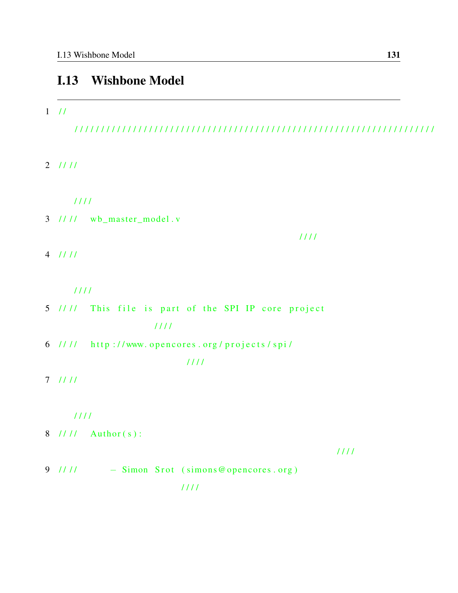## I.13 Wishbone Model

## $1 / l$

|--|--|

/ / / /

## $2 / 11 / 11$

 $/ 1111$ 

- 3 //// wb\_master\_model.v
- $4 / 11$

 $/ 1111$ 

- 5 //// This file is part of the SPI IP core project / / / /
- 6  $\frac{1}{11}$  http://www.opencores.org/projects/spi/

/ / / /

 $7$  ////

 $/ 1111$ 

8 //// Author(s):

/ / / /

 $9$  ////  $-$  Simon Srot (simons@opencores.org) / / / /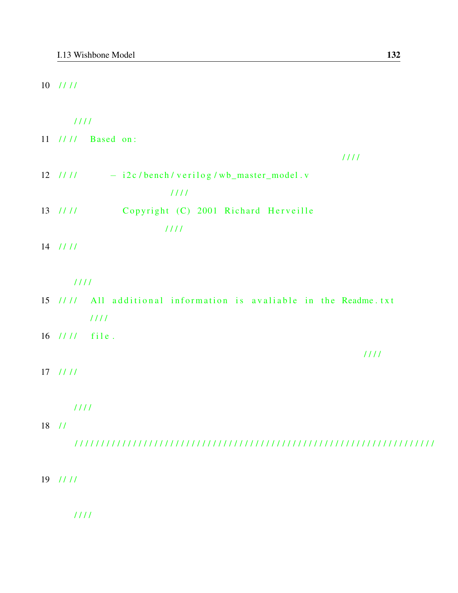10 / / / /

 $/ 1111$ 

- 11 //// Based on:
- $12$  ////  $-$  i2c/bench/verilog/wb\_master\_model.v / / / / 13 //// Copyright (C) 2001 Richard Herveille / / / /

14 ////

 $/ 1111$ 

- 15 //// All additional information is avaliable in the Readme. txt  $/ 1111$
- $16$  //// file.

/ / / /

 $17$  ////

 $/ 1111$ 

18 / /

|--|--|

 $19$  ////

/ / / /

/ / / /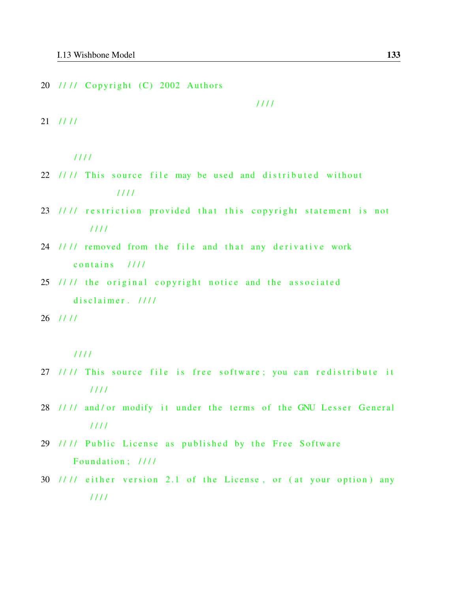20 //// Copyright (C) 2002 Authors

 $1111$ 

- $21 / 111$ 
	- $1111$
- 22 //// This source file may be used and distributed without  $1111$
- 23 //// restriction provided that this copyright statement is not  $1111$
- 24 //// removed from the file and that any derivative work contains  $1111$
- 25 //// the original copyright notice and the associated disclaimer.  $1111$

 $26$  ////

 $1111$ 

- 27 //// This source file is free software; you can redistribute it  $1111$
- 28 //// and/or modify it under the terms of the GNU Lesser General  $1111$
- 29 //// Public License as published by the Free Software Foundation; ////
- 30 //// either version 2.1 of the License, or (at your option) any  $1111$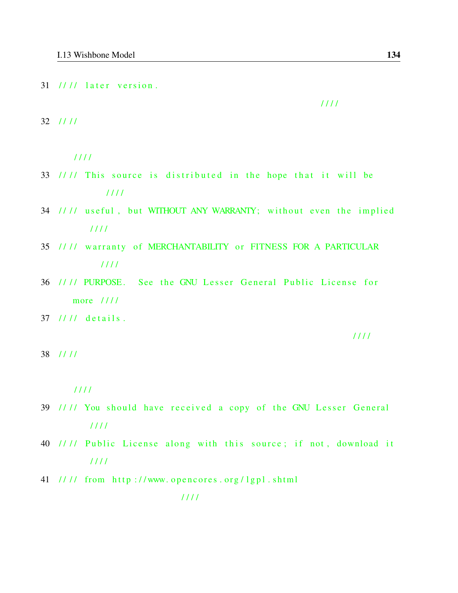31 //// later version.

 $1111$ 

- $32 / 1111$ 
	- $1111$
- 33 //// This source is distributed in the hope that it will be  $1111$
- 34 //// useful, but WITHOUT ANY WARRANTY; without even the implied  $1111$
- 35 //// warranty of MERCHANTABILITY or FITNESS FOR A PARTICULAR  $1111$
- 36 //// PURPOSE. See the GNU Lesser General Public License for more  $1111$
- $37$  //// details.

 $1111$ 

 $38 / 111$ 

 $1111$ 

- 39 //// You should have received a copy of the GNU Lesser General  $1111$
- 40 //// Public License along with this source; if not, download it  $1111$
- 41 //// from http://www.opencores.org/lgpl.shtml

 $1111$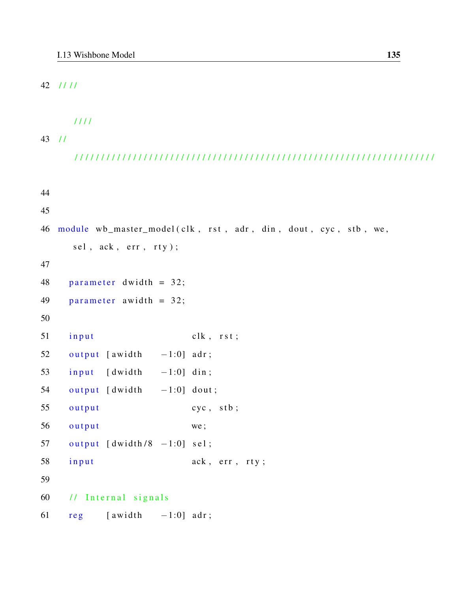42 / / / /

```
/ / / /
```

```
43 / l
```

```
/ / / / / / / / / / / / / / / / / / / / / / / / / / / / / / / / / / / / / / / / / / / / / / / / / / / / / / / / / / / / / / / / / / / /
44
45
46 module wb_master_model(clk, rst, adr, din, dout, cyc, stb, we,
      sel, ack, err, rty);
47
48 parameter dwidth = 32;
49 parameter awidth = 32;
50
51 input clk, rst;
52 output [ awidth -1:0] adr;
53 input [dwidth -1:0] din;
54 output [dwidth -1:0] dout;
55 output \csc, \operatorname{stb};
56 output we;
57 output \left[ dwidth /8 -1:0] sel;
58 input ack, err, rty;
59
60 // Internal signals
61 reg [awidth -1:0] adr;
```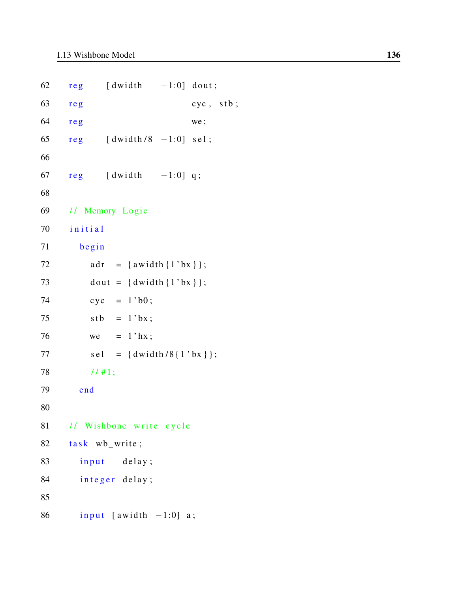| 62 | $[dwidth -1:0]$ dout;<br>re <sub>g</sub> |
|----|------------------------------------------|
| 63 | $cyc$ , $stb$ ;<br>reg                   |
| 64 | reg<br>we;                               |
| 65 | $[dwidth/8 -1:0]$ sel;<br>reg            |
| 66 |                                          |
| 67 | reg $[dwidth -1:0] q;$                   |
| 68 |                                          |
| 69 | // Memory Logic                          |
| 70 | initial                                  |
| 71 | begin                                    |
| 72 | $adr = {awidth} {1 'bx };$               |
| 73 | dout = { $dwidth$ {1'bx}};               |
| 74 | $cyc = 1$ bo;                            |
| 75 | $stb = 1$ 'bx;                           |
| 76 | we $= 1$ 'hx;                            |
| 77 | $self = \{dwidth / 8\{1 'bx\}\};$        |
| 78 | 11#1;                                    |
| 79 | end                                      |
| 80 |                                          |
| 81 | // Wishbone write cycle                  |
| 82 | task wb_write;                           |
| 83 | input delay;                             |
| 84 | integer delay;                           |
| 85 |                                          |
| 86 | input [awidth $-1:0$ ] a;                |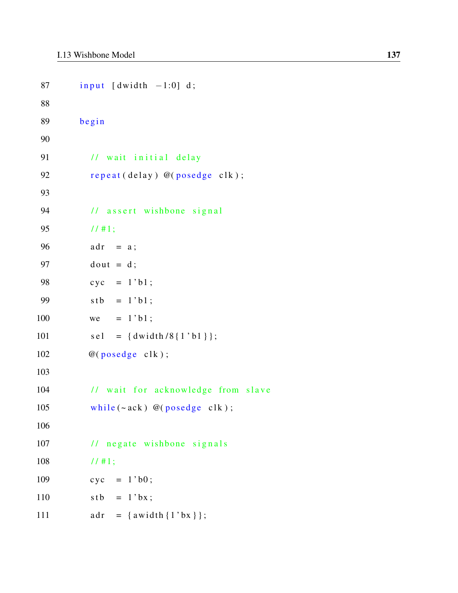```
87 input [ dwidth -1:0] d;
88
89 begin
90
91 // wait initial delay
92 repeat (delay) @(posedge clk);
93
94 // assert wishbone signal
95 // #1;96 adr = a;
97 dout = d;
98 cyc = 1' b1;
99 s \, t \, b = 1' \, b \, 1;
100 we = 1' b1;
101 sel = \{ \frac{dw}{dt} \} \{ \frac{1}{b1} \};102 \qquad \qquad @(posedge \text{ c} 1k);103
104 // wait for acknowledge from slave
105 while (\sim ack) @(posedge clk);
106
107 // negate wishbone signals
108 //#1;
109 cyc = 1'b0;
110 \text{stb} = 1 \text{'} \text{bx};
111 adr = \{awidth\{1'bx\}\};
```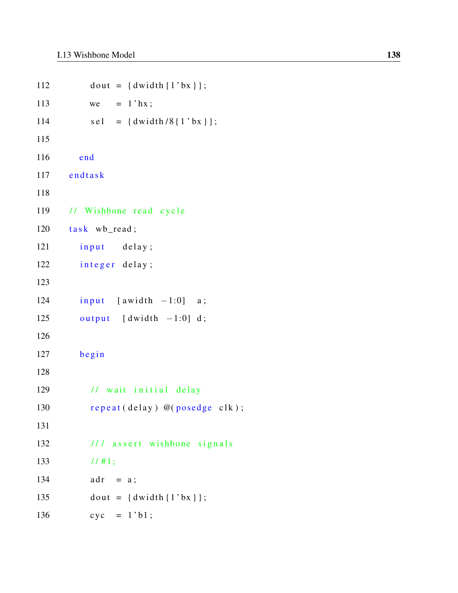```
112 dout = {dwidth{1'bx}};
113 we = 1' hx;
114 sel = \{ \frac{dw}{dt} \} \{ \frac{1}{b} \} ;115
116 end
117 endtask
118
119 // Wishbone read cycle
120 task wb_read;
121 input delay;
122 integer delay;
123
124 input [awidth -1:0] a;
125 output [dwidth -1:0] d;
126
127 begin
128
129 // wait initial delay
130 repeat (delay) \mathcal{Q}(\text{posedge } \text{clk});131
132 /// assert wishbone signals
133 //#1;
134 adr = a;
135 dout = {dwidth{1'bx}};
136 cyc = 1' b1;
```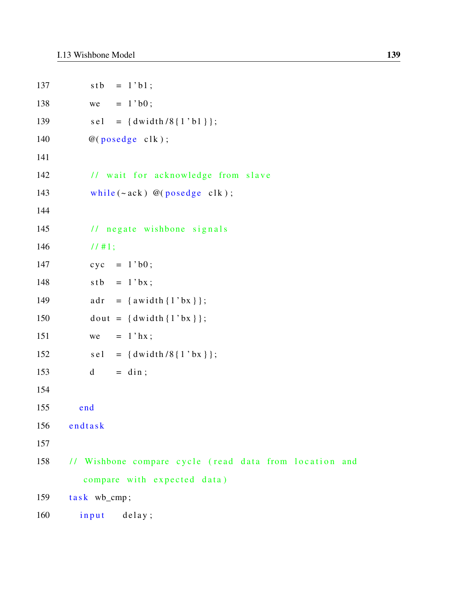| 137 | $stb = 1'b1;$                                          |
|-----|--------------------------------------------------------|
| 138 | $= 1$ bo;<br>we                                        |
| 139 | $self = \{dwidth/8\{1'bl\}\};$                         |
| 140 | $@(posedge \text{clk});$                               |
| 141 |                                                        |
| 142 | // wait for acknowledge from slave                     |
| 143 | while $(\sim \text{ack})$ @(posedge clk);              |
| 144 |                                                        |
| 145 | // negate wishbone signals                             |
| 146 | 11#1;                                                  |
| 147 | $cyc = 1$ 'b0;                                         |
| 148 | $stb = 1$ 'bx;                                         |
| 149 | $adr = {awidth} {1 'bx };$                             |
| 150 | dout = { $dwidth$ {1'bx}};                             |
| 151 | $= 1$ 'hx;<br>we                                       |
| 152 | $self = \{dwidth / 8\{1 'bx\}\};$                      |
| 153 | $=$ din;<br>d                                          |
| 154 |                                                        |
| 155 | end                                                    |
| 156 | endtask                                                |
| 157 |                                                        |
| 158 | // Wishbone compare cycle (read data from location and |
|     | compare with expected data)                            |
| 159 | $task wb_cmp;$                                         |
| 160 | input<br>delay;                                        |